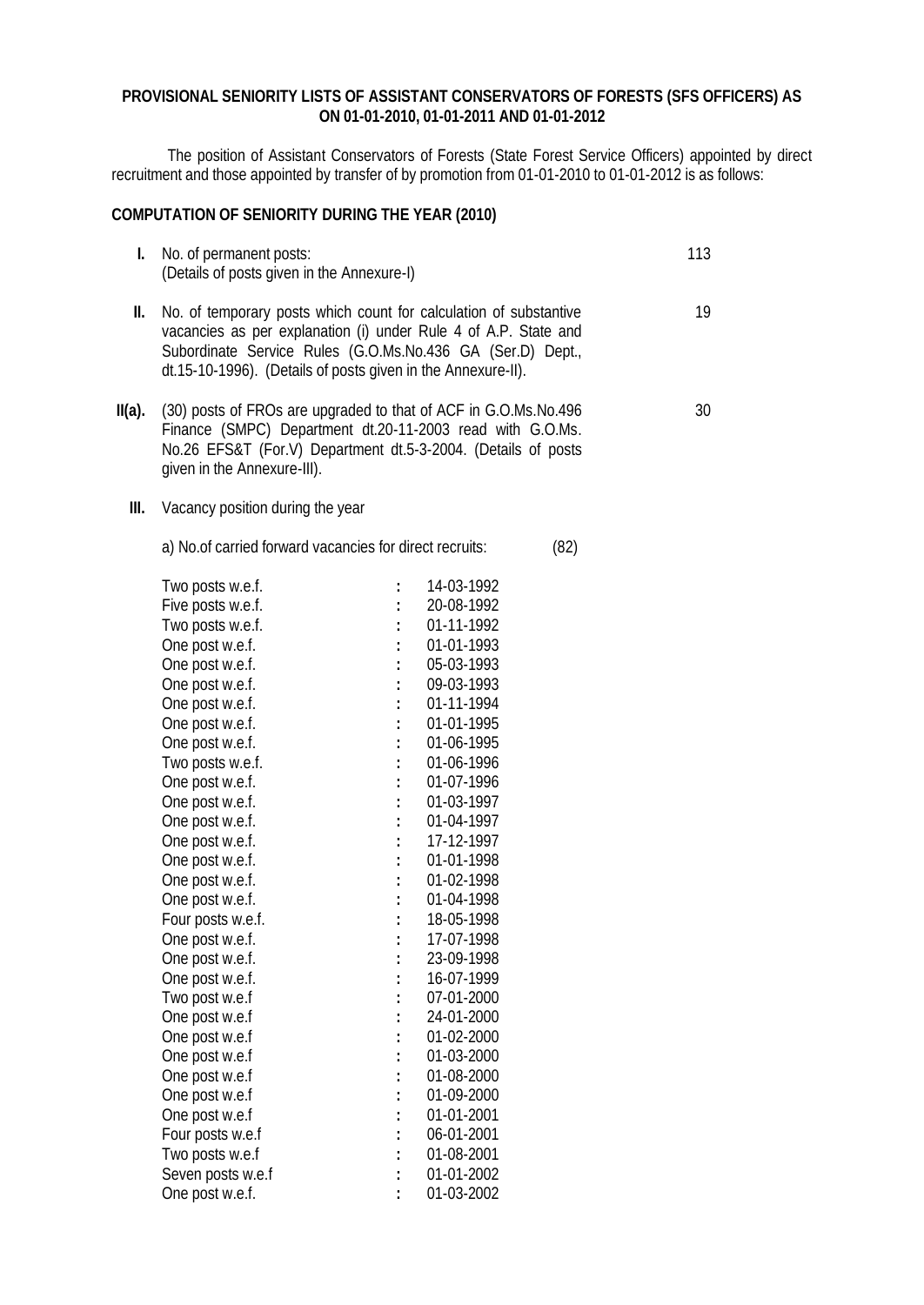## **PROVISIONAL SENIORITY LISTS OF ASSISTANT CONSERVATORS OF FORESTS (SFS OFFICERS) AS ON 01-01-2010, 01-01-2011 AND 01-01-2012**

The position of Assistant Conservators of Forests (State Forest Service Officers) appointed by direct recruitment and those appointed by transfer of by promotion from 01-01-2010 to 01-01-2012 is as follows:

## **COMPUTATION OF SENIORITY DURING THE YEAR (2010)**

| l.        | No. of permanent posts:<br>(Details of posts given in the Annexure-I)                                                                                                                                                                                                                                                                                                                                              |                                                                                                                                                                                                    |                                                                                                                                                                                                                                                                                                    |      | 113 |
|-----------|--------------------------------------------------------------------------------------------------------------------------------------------------------------------------------------------------------------------------------------------------------------------------------------------------------------------------------------------------------------------------------------------------------------------|----------------------------------------------------------------------------------------------------------------------------------------------------------------------------------------------------|----------------------------------------------------------------------------------------------------------------------------------------------------------------------------------------------------------------------------------------------------------------------------------------------------|------|-----|
| II.       | No. of temporary posts which count for calculation of substantive<br>vacancies as per explanation (i) under Rule 4 of A.P. State and<br>Subordinate Service Rules (G.O.Ms.No.436 GA (Ser.D) Dept.,<br>dt.15-10-1996). (Details of posts given in the Annexure-II).                                                                                                                                                 |                                                                                                                                                                                                    |                                                                                                                                                                                                                                                                                                    |      | 19  |
| $II(a)$ . | (30) posts of FROs are upgraded to that of ACF in G.O.Ms.No.496<br>Finance (SMPC) Department dt.20-11-2003 read with G.O.Ms.<br>No.26 EFS&T (For.V) Department dt.5-3-2004. (Details of posts<br>given in the Annexure-III).                                                                                                                                                                                       |                                                                                                                                                                                                    |                                                                                                                                                                                                                                                                                                    |      | 30  |
| Ш.        | Vacancy position during the year                                                                                                                                                                                                                                                                                                                                                                                   |                                                                                                                                                                                                    |                                                                                                                                                                                                                                                                                                    |      |     |
|           | a) No. of carried forward vacancies for direct recruits:                                                                                                                                                                                                                                                                                                                                                           |                                                                                                                                                                                                    |                                                                                                                                                                                                                                                                                                    | (82) |     |
|           | Two posts w.e.f.<br>Five posts w.e.f.<br>Two posts w.e.f.<br>One post w.e.f.<br>One post w.e.f.<br>One post w.e.f.<br>One post w.e.f.<br>One post w.e.f.<br>One post w.e.f.<br>Two posts w.e.f.<br>One post w.e.f.<br>One post w.e.f.<br>One post w.e.f.<br>One post w.e.f.<br>One post w.e.f.<br>One post w.e.f.<br>One post w.e.f.<br>Four posts w.e.f.<br>One post w.e.f.<br>One post w.e.f.<br>One post w.e.f. | $\ddot{\cdot}$<br>$\ddot{\cdot}$<br>$\ddot{\cdot}$<br>$\ddot{\phantom{a}}$<br>$\vdots$<br>$\ddot{\cdot}$<br>$\ddot{\cdot}$<br>$\ddot{\cdot}$<br>$\ddot{\cdot}$<br>$\ddot{\cdot}$<br>$\ddot{\cdot}$ | 14-03-1992<br>20-08-1992<br>01-11-1992<br>01-01-1993<br>05-03-1993<br>09-03-1993<br>01-11-1994<br>01-01-1995<br>01-06-1995<br>01-06-1996<br>01-07-1996<br>01-03-1997<br>01-04-1997<br>17-12-1997<br>01-01-1998<br>01-02-1998<br>01-04-1998<br>18-05-1998<br>17-07-1998<br>23-09-1998<br>16-07-1999 |      |     |
|           | Two post w.e.f<br>One post w.e.f<br>One post w.e.f<br>One post w.e.f<br>One post w.e.f<br>One post w.e.f<br>One post w.e.f<br>Four posts w.e.f<br>Two posts w.e.f<br>Seven posts w.e.f<br>One post w.e.f.                                                                                                                                                                                                          |                                                                                                                                                                                                    | 07-01-2000<br>24-01-2000<br>01-02-2000<br>01-03-2000<br>01-08-2000<br>01-09-2000<br>01-01-2001<br>06-01-2001<br>01-08-2001<br>01-01-2002<br>01-03-2002                                                                                                                                             |      |     |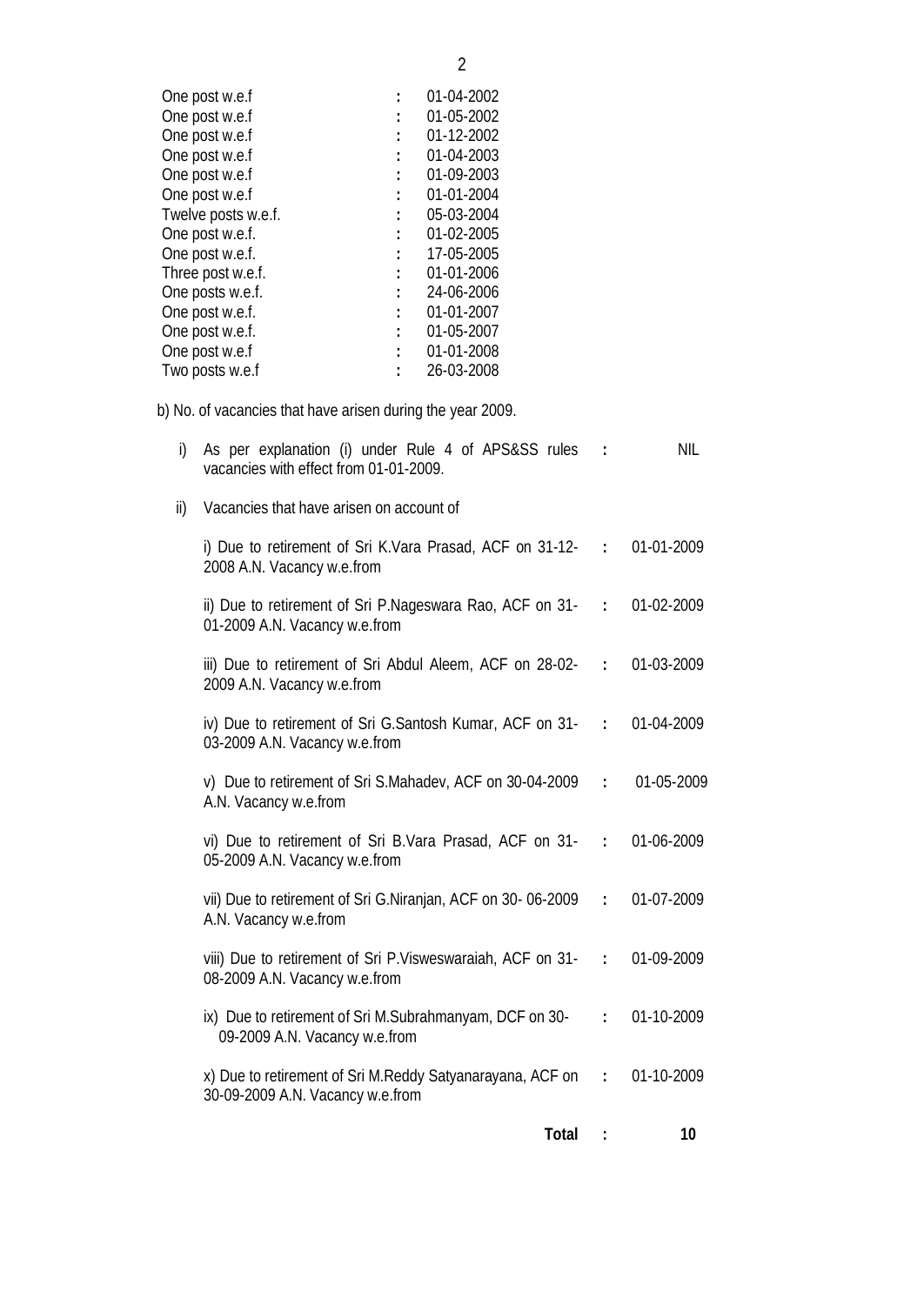| One post w.e.f      |                      | 01-04-2002 |
|---------------------|----------------------|------------|
| One post w.e.f      |                      | 01-05-2002 |
| One post w.e.f      |                      | 01-12-2002 |
| One post w.e.f      |                      | 01-04-2003 |
| One post w.e.f      |                      | 01-09-2003 |
| One post w.e.f      |                      | 01-01-2004 |
| Twelve posts w.e.f. | $\ddot{\phantom{0}}$ | 05-03-2004 |
| One post w.e.f.     |                      | 01-02-2005 |
| One post w.e.f.     |                      | 17-05-2005 |
| Three post w.e.f.   | $\ddot{\phantom{a}}$ | 01-01-2006 |
| One posts w.e.f.    |                      | 24-06-2006 |
| One post w.e.f.     | $\ddot{\phantom{0}}$ | 01-01-2007 |
| One post w.e.f.     |                      | 01-05-2007 |
| One post w.e.f      | $\mathbf{L}$         | 01-01-2008 |
| Two posts w.e.f     |                      | 26-03-2008 |
|                     |                      |            |

b) No. of vacancies that have arisen during the year 2009.

| i) As per explanation (i) under Rule 4 of APS&SS rules :<br>vacancies with effect from 01-01-2009. | NIL. |
|----------------------------------------------------------------------------------------------------|------|
| ii) Vacancies that have arisen on account of                                                       |      |

| i) Due to retirement of Sri K.Vara Prasad, ACF on $31-12-$ : 01-01-2009<br>2008 A.N. Vacancy w.e.from  |  |
|--------------------------------------------------------------------------------------------------------|--|
| ii) Due to retirement of Sri P.Nageswara Rao, ACF on 31- : 01-02-2009<br>01-2009 A.N. Vacancy w.e.from |  |

| iii) Due to retirement of Sri Abdul Aleem, ACF on 28-02- : 01-03-2009 |  |  |
|-----------------------------------------------------------------------|--|--|
| 2009 A.N. Vacancy w.e.from                                            |  |  |

- iv) Due to retirement of Sri G.Santosh Kumar, ACF on 31- 03-2009 A.N. Vacancy w.e.from **:** 01-04-2009
- v) Due to retirement of Sri S.Mahadev, ACF on 30-04-2009 A.N. Vacancy w.e.from **:** 01-05-2009
- vi) Due to retirement of Sri B.Vara Prasad, ACF on 31- 05-2009 A.N. Vacancy w.e.from **:** 01-06-2009
- vii) Due to retirement of Sri G.Niranjan, ACF on 30- 06-2009 A.N. Vacancy w.e.from **:** 01-07-2009
- viii) Due to retirement of Sri P.Visweswaraiah, ACF on 31- 08-2009 A.N. Vacancy w.e.from **:** 01-09-2009
- ix) Due to retirement of Sri M.Subrahmanyam, DCF on 30- 09-2009 A.N. Vacancy w.e.from **:** 01-10-2009 x) Due to retirement of Sri M.Reddy Satyanarayana, ACF on **:** 01-10-2009

30-09-2009 A.N. Vacancy w.e.from

- **Total : 10**
	-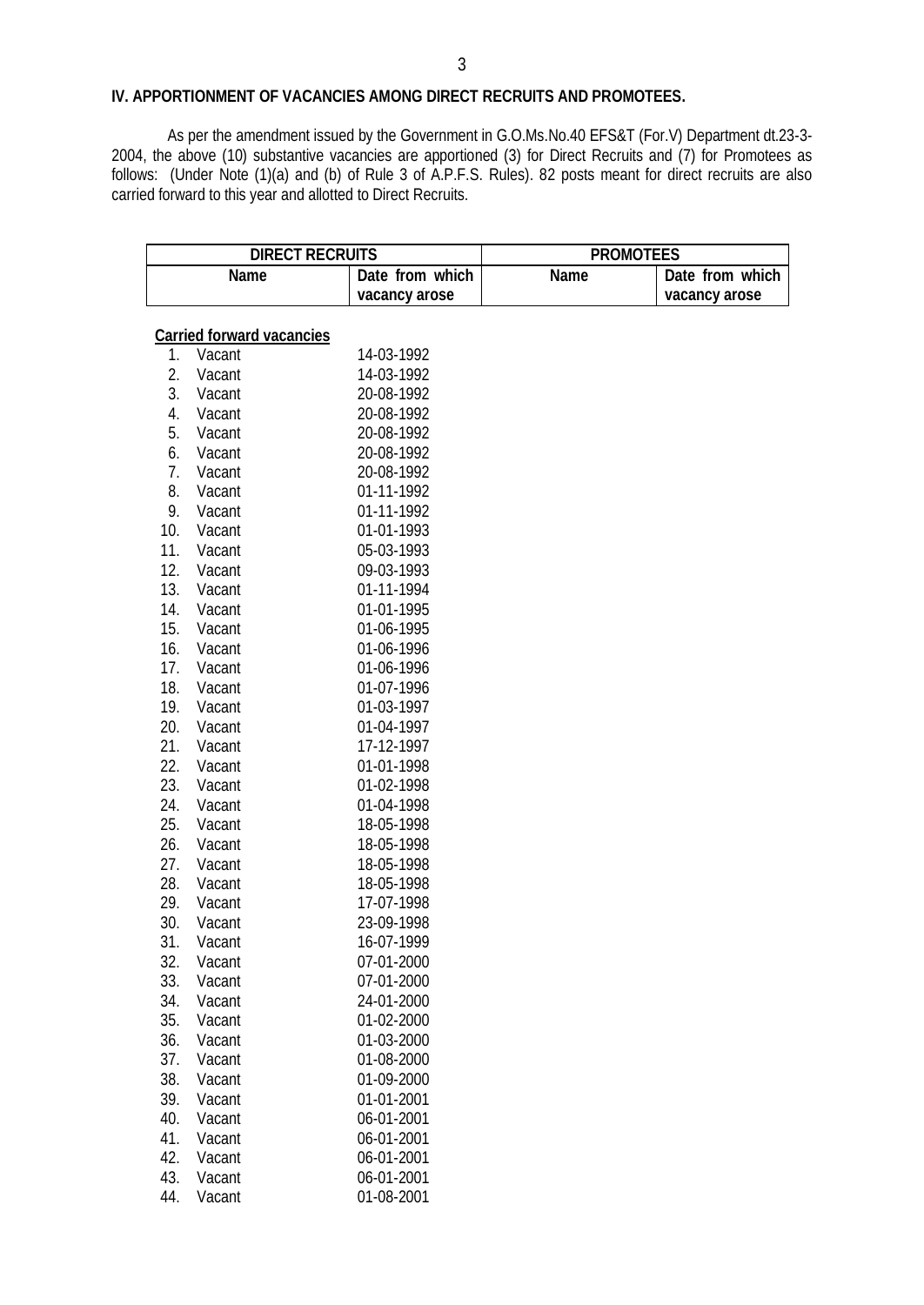## **IV. APPORTIONMENT OF VACANCIES AMONG DIRECT RECRUITS AND PROMOTEES.**

As per the amendment issued by the Government in G.O.Ms.No.40 EFS&T (For.V) Department dt.23-3- 2004, the above (10) substantive vacancies are apportioned (3) for Direct Recruits and (7) for Promotees as follows: (Under Note (1)(a) and (b) of Rule 3 of A.P.F.S. Rules). 82 posts meant for direct recruits are also carried forward to this year and allotted to Direct Recruits.

|     |                                  | <b>DIRECT RECRUITS</b><br><b>PROMOTEES</b> |             |                 |
|-----|----------------------------------|--------------------------------------------|-------------|-----------------|
|     | <b>Name</b>                      | Date from which                            | <b>Name</b> | Date from which |
|     |                                  | vacancy arose                              |             | vacancy arose   |
|     |                                  |                                            |             |                 |
|     | <b>Carried forward vacancies</b> |                                            |             |                 |
| 1.  | Vacant                           | 14-03-1992                                 |             |                 |
| 2.  | Vacant                           | 14-03-1992                                 |             |                 |
| 3.  | Vacant                           | 20-08-1992                                 |             |                 |
| 4.  | Vacant                           | 20-08-1992                                 |             |                 |
| 5.  | Vacant                           | 20-08-1992                                 |             |                 |
| 6.  | Vacant                           | 20-08-1992                                 |             |                 |
| 7.  | Vacant                           | 20-08-1992                                 |             |                 |
| 8.  | Vacant                           | 01-11-1992                                 |             |                 |
| 9.  | Vacant                           | 01-11-1992                                 |             |                 |
| 10. | Vacant                           | 01-01-1993                                 |             |                 |
| 11. | Vacant                           | 05-03-1993                                 |             |                 |
| 12. | Vacant                           | 09-03-1993                                 |             |                 |
| 13. | Vacant                           | 01-11-1994                                 |             |                 |
| 14. | Vacant                           | 01-01-1995                                 |             |                 |
| 15. | Vacant                           | 01-06-1995                                 |             |                 |
| 16. | Vacant                           | 01-06-1996                                 |             |                 |
| 17. | Vacant                           | 01-06-1996                                 |             |                 |
| 18. | Vacant                           | 01-07-1996                                 |             |                 |
| 19. | Vacant                           | 01-03-1997                                 |             |                 |
| 20. | Vacant                           | 01-04-1997                                 |             |                 |
| 21. | Vacant                           | 17-12-1997                                 |             |                 |
| 22. | Vacant                           | 01-01-1998                                 |             |                 |
| 23. | Vacant                           | 01-02-1998                                 |             |                 |
| 24. | Vacant                           | 01-04-1998                                 |             |                 |
| 25. | Vacant                           | 18-05-1998                                 |             |                 |
| 26. | Vacant                           | 18-05-1998                                 |             |                 |
| 27. | Vacant                           | 18-05-1998                                 |             |                 |
| 28. | Vacant                           | 18-05-1998                                 |             |                 |
| 29. | Vacant                           | 17-07-1998                                 |             |                 |
| 30. | Vacant                           | 23-09-1998                                 |             |                 |
| 31. | Vacant                           | 16-07-1999                                 |             |                 |
| 32. | Vacant                           | 07-01-2000                                 |             |                 |
| 33. | Vacant                           | 07-01-2000                                 |             |                 |
| 34. | Vacant                           | 24-01-2000                                 |             |                 |
| 35. | Vacant                           | 01-02-2000                                 |             |                 |
| 36. | Vacant                           | 01-03-2000                                 |             |                 |
| 37. | Vacant                           | 01-08-2000                                 |             |                 |
| 38. | Vacant                           | 01-09-2000                                 |             |                 |
| 39. | Vacant                           | 01-01-2001                                 |             |                 |
| 40. | Vacant                           | 06-01-2001                                 |             |                 |
| 41. | Vacant                           | 06-01-2001                                 |             |                 |
| 42. | Vacant                           | 06-01-2001                                 |             |                 |
| 43. | Vacant                           | 06-01-2001                                 |             |                 |

44. Vacant 01-08-2001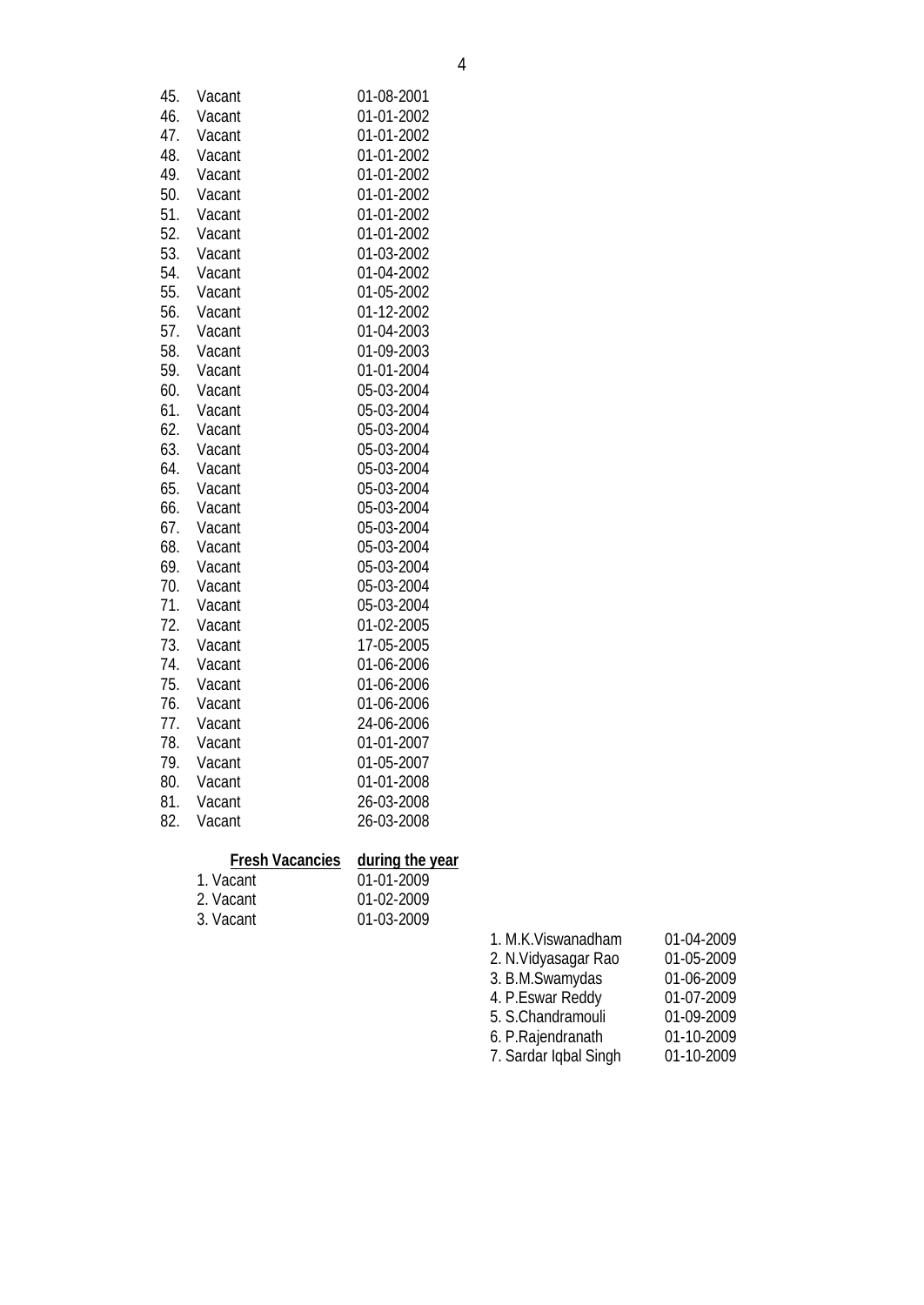| 45. | Vacant | 01-08-2001 |
|-----|--------|------------|
| 46. | Vacant | 01-01-2002 |
| 47. | Vacant | 01-01-2002 |
| 48. | Vacant | 01-01-2002 |
| 49. | Vacant | 01-01-2002 |
| 50. | Vacant | 01-01-2002 |
| 51. | Vacant | 01-01-2002 |
| 52. | Vacant | 01-01-2002 |
| 53. | Vacant | 01-03-2002 |
| 54. | Vacant | 01-04-2002 |
| 55. | Vacant | 01-05-2002 |
| 56. | Vacant | 01-12-2002 |
| 57. | Vacant | 01-04-2003 |
| 58. | Vacant | 01-09-2003 |
| 59. | Vacant | 01-01-2004 |
| 60. | Vacant | 05-03-2004 |
| 61. | Vacant | 05-03-2004 |
| 62. | Vacant | 05-03-2004 |
| 63. | Vacant | 05-03-2004 |
| 64. | Vacant | 05-03-2004 |
| 65. | Vacant | 05-03-2004 |
| 66. | Vacant | 05-03-2004 |
| 67. | Vacant | 05-03-2004 |
| 68. | Vacant | 05-03-2004 |
| 69. | Vacant | 05-03-2004 |
| 70. | Vacant | 05-03-2004 |
| 71. | Vacant | 05-03-2004 |
| 72. | Vacant | 01-02-2005 |
| 73. | Vacant | 17-05-2005 |
| 74. | Vacant | 01-06-2006 |
| 75. | Vacant | 01-06-2006 |
| 76. | Vacant | 01-06-2006 |
| 77. | Vacant | 24-06-2006 |
| 78. | Vacant | 01-01-2007 |
| 79. | Vacant | 01-05-2007 |
| 80. | Vacant | 01-01-2008 |
| 81. | Vacant | 26-03-2008 |
| 82. | Vacant | 26-03-2008 |
|     |        |            |

# **Fresh Vacancies during the year**

| 1. Vacant | 01-01-2009       |
|-----------|------------------|
| 2. Vacant | $01-02-2009$     |
| 3. Vacant | $01 - 03 - 2009$ |

1. M.K.Viswanadham 01-04-2009 2. N.Vidyasagar Rao 01-05-2009 3. B.M.Swamydas 01-06-2009 4. P.Eswar Reddy 01-07-2009 5. S.Chandramouli 01-09-2009<br>6. P.Rajendranath 01-10-2009 6. P.Rajendranath 01-10-2009 7. Sardar Iqbal Singh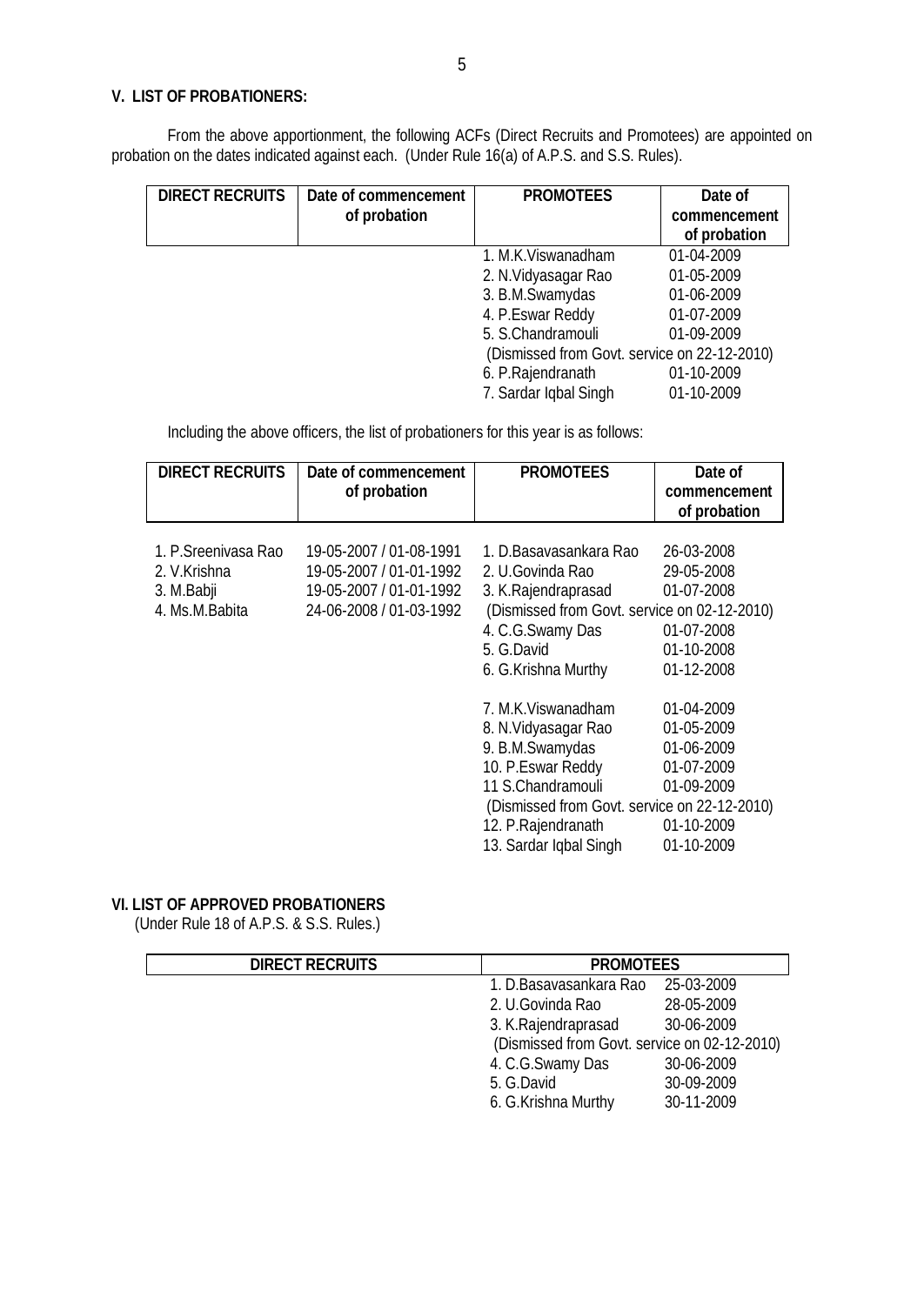## **V. LIST OF PROBATIONERS:**

From the above apportionment, the following ACFs (Direct Recruits and Promotees) are appointed on probation on the dates indicated against each. (Under Rule 16(a) of A.P.S. and S.S. Rules).

| <b>DIRECT RECRUITS</b> | Date of commencement<br>of probation | <b>PROMOTEES</b>                             | Date of<br>commencement<br>of probation |
|------------------------|--------------------------------------|----------------------------------------------|-----------------------------------------|
|                        |                                      | 1. M.K. Viswanadham                          | 01-04-2009                              |
|                        |                                      | 2. N. Vidyasagar Rao                         | 01-05-2009                              |
|                        |                                      | 3. B.M.Swamydas                              | 01-06-2009                              |
|                        |                                      | 4. P.Eswar Reddy                             | 01-07-2009                              |
|                        |                                      | 5. S.Chandramouli                            | 01-09-2009                              |
|                        |                                      | (Dismissed from Govt. service on 22-12-2010) |                                         |
|                        |                                      | 6. P.Rajendranath                            | 01-10-2009                              |
|                        |                                      | 7. Sardar Iqbal Singh                        | 01-10-2009                              |

Including the above officers, the list of probationers for this year is as follows:

| <b>DIRECT RECRUITS</b> | Date of commencement | <b>PROMOTEES</b> | Date of      |
|------------------------|----------------------|------------------|--------------|
|                        | of probation         |                  | commencement |
|                        |                      |                  | of probation |
|                        |                      |                  |              |

| 1. P. Sreenivasa Rao<br>2. V.Krishna<br>3. M.Babji<br>4. Ms.M.Babita | 19-05-2007 / 01-08-1991<br>19-05-2007 / 01-01-1992<br>19-05-2007 / 01-01-1992<br>24-06-2008 / 01-03-1992 | 1. D.Basavasankara Rao<br>2. U.Govinda Rao<br>3. K.Rajendraprasad<br>(Dismissed from Govt. service on 02-12-2010) | 26-03-2008<br>29-05-2008<br>01-07-2008 |
|----------------------------------------------------------------------|----------------------------------------------------------------------------------------------------------|-------------------------------------------------------------------------------------------------------------------|----------------------------------------|
|                                                                      |                                                                                                          | 4. C.G. Swamy Das                                                                                                 | 01-07-2008                             |
|                                                                      |                                                                                                          | 5. G.David                                                                                                        | 01-10-2008                             |
|                                                                      |                                                                                                          | 6. G.Krishna Murthy                                                                                               | 01-12-2008                             |
|                                                                      |                                                                                                          |                                                                                                                   |                                        |
|                                                                      |                                                                                                          | 7. M.K. Viswanadham                                                                                               | 01-04-2009                             |
|                                                                      |                                                                                                          | 8. N. Vidyasagar Rao                                                                                              | 01-05-2009                             |
|                                                                      |                                                                                                          | 9. B.M.Swamydas                                                                                                   | 01-06-2009                             |
|                                                                      |                                                                                                          | 10. P.Eswar Reddy                                                                                                 | 01-07-2009                             |
|                                                                      |                                                                                                          | 11 S.Chandramouli                                                                                                 | 01-09-2009                             |
|                                                                      |                                                                                                          | (Dismissed from Govt. service on 22-12-2010)                                                                      |                                        |
|                                                                      |                                                                                                          | 12. P. Rajendranath                                                                                               | 01-10-2009                             |
|                                                                      |                                                                                                          | 13. Sardar Iqbal Singh                                                                                            | 01-10-2009                             |

## **VI. LIST OF APPROVED PROBATIONERS**

(Under Rule 18 of A.P.S. & S.S. Rules.)

| <b>DIRECT RECRUITS</b> | <b>PROMOTEES</b>                             |            |
|------------------------|----------------------------------------------|------------|
|                        | 1. D.Basavasankara Rao                       | 25-03-2009 |
|                        | 2. U.Govinda Rao                             | 28-05-2009 |
|                        | 3. K. Rajendraprasad                         | 30-06-2009 |
|                        | (Dismissed from Govt. service on 02-12-2010) |            |
|                        | 4. C.G.Swamy Das                             | 30-06-2009 |
|                        | 5. G.David                                   | 30-09-2009 |
|                        | 6. G.Krishna Murthy                          | 30-11-2009 |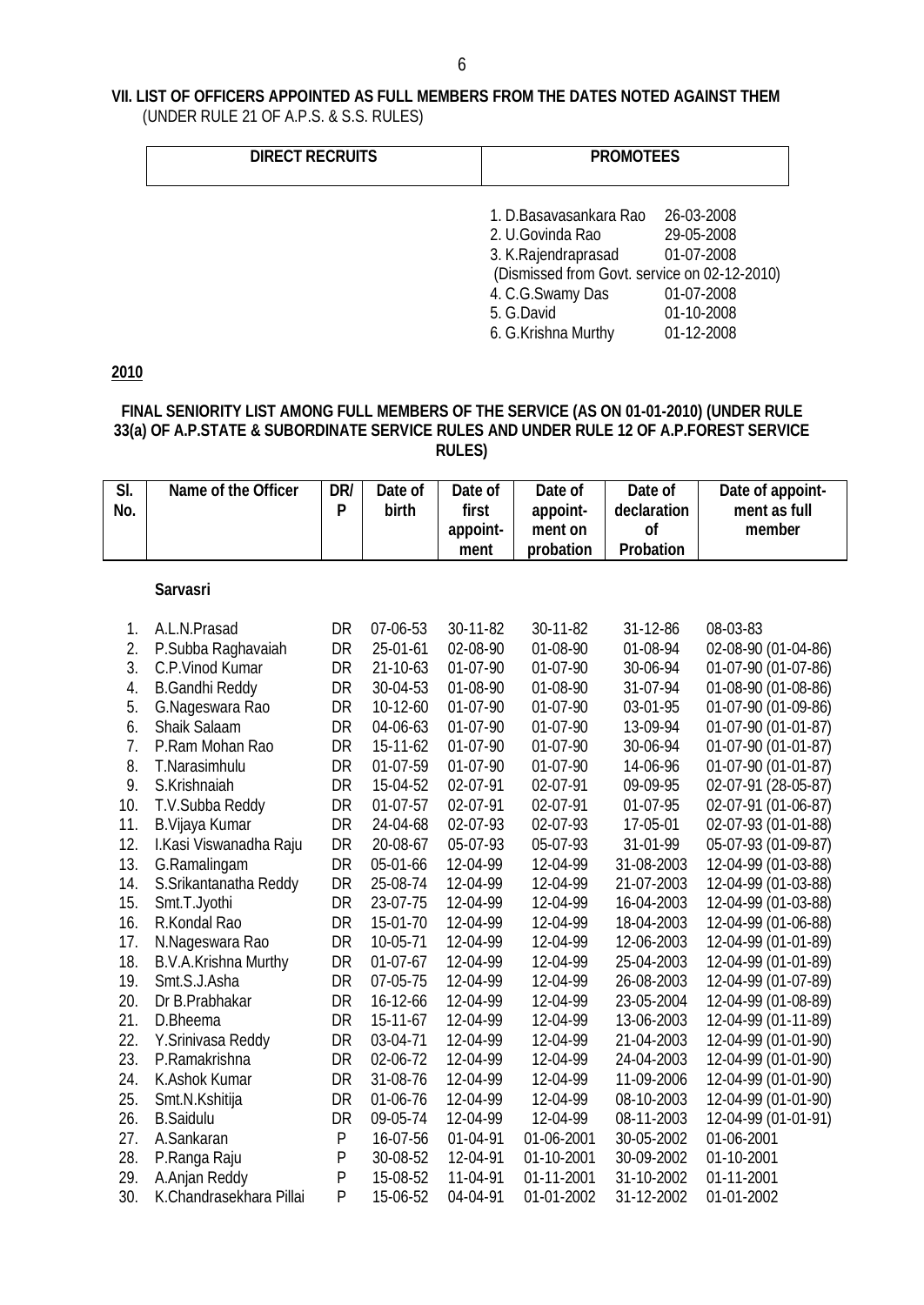## **VII. LIST OF OFFICERS APPOINTED AS FULL MEMBERS FROM THE DATES NOTED AGAINST THEM** (UNDER RULE 21 OF A.P.S. & S.S. RULES)

| <b>DIRECT RECRUITS</b> | <b>PROMOTEES</b>                             |            |  |
|------------------------|----------------------------------------------|------------|--|
|                        | 1. D.Basavasankara Rao                       | 26-03-2008 |  |
|                        | 2. U.Govinda Rao                             | 29-05-2008 |  |
|                        | 3. K. Rajendraprasad                         | 01-07-2008 |  |
|                        | (Dismissed from Govt. service on 02-12-2010) |            |  |
|                        | 4. C.G.Swamy Das                             | 01-07-2008 |  |
|                        | 5. G.David                                   | 01-10-2008 |  |
|                        | 6. G.Krishna Murthy                          | 01-12-2008 |  |

**2010**

## **FINAL SENIORITY LIST AMONG FULL MEMBERS OF THE SERVICE (AS ON 01-01-2010) (UNDER RULE 33(a) OF A.P.STATE & SUBORDINATE SERVICE RULES AND UNDER RULE 12 OF A.P.FOREST SERVICE RULES)**

| $\overline{\mathsf{S}}$<br>No. | Name of the Officer         | DR/<br>P  | Date of<br>birth | Date of<br>first | Date of<br>appoint- | Date of<br>declaration | Date of appoint-<br>ment as full |
|--------------------------------|-----------------------------|-----------|------------------|------------------|---------------------|------------------------|----------------------------------|
|                                |                             |           |                  | appoint-         | ment on             | <b>of</b>              | member                           |
|                                |                             |           |                  | ment             | probation           | <b>Probation</b>       |                                  |
|                                | <b>Sarvasri</b>             |           |                  |                  |                     |                        |                                  |
| 1.                             | A.L.N.Prasad                | DR        | 07-06-53         | 30-11-82         | 30-11-82            | 31-12-86               | 08-03-83                         |
| 2.                             | P.Subba Raghavaiah          | DR        | 25-01-61         | 02-08-90         | 01-08-90            | 01-08-94               | 02-08-90 (01-04-86)              |
| 3.                             | C.P.Vinod Kumar             | DR        | 21-10-63         | 01-07-90         | 01-07-90            | 30-06-94               | 01-07-90 (01-07-86)              |
| 4.                             | <b>B.Gandhi Reddy</b>       | DR        | 30-04-53         | 01-08-90         | 01-08-90            | 31-07-94               | 01-08-90 (01-08-86)              |
| 5.                             | G.Nageswara Rao             | DR        | 10-12-60         | 01-07-90         | 01-07-90            | 03-01-95               | 01-07-90 (01-09-86)              |
| 6.                             | Shaik Salaam                | DR        | 04-06-63         | 01-07-90         | 01-07-90            | 13-09-94               | 01-07-90 (01-01-87)              |
| 7.                             | P.Ram Mohan Rao             | DR        | 15-11-62         | 01-07-90         | 01-07-90            | 30-06-94               | 01-07-90 (01-01-87)              |
| 8.                             | T.Narasimhulu               | DR        | 01-07-59         | 01-07-90         | 01-07-90            | 14-06-96               | 01-07-90 (01-01-87)              |
| 9.                             | S.Krishnaiah                | DR        | 15-04-52         | 02-07-91         | 02-07-91            | 09-09-95               | 02-07-91 (28-05-87)              |
| 10.                            | T.V.Subba Reddy             | DR        | $01-07-57$       | 02-07-91         | 02-07-91            | 01-07-95               | 02-07-91 (01-06-87)              |
| 11.                            | B. Vijaya Kumar             | DR        | 24-04-68         | 02-07-93         | 02-07-93            | 17-05-01               | 02-07-93 (01-01-88)              |
| 12.                            | I.Kasi Viswanadha Raju      | DR        | 20-08-67         | 05-07-93         | 05-07-93            | 31-01-99               | 05-07-93 (01-09-87)              |
| 13.                            | G.Ramalingam                | DR        | 05-01-66         | 12-04-99         | 12-04-99            | 31-08-2003             | 12-04-99 (01-03-88)              |
| 14.                            | S.Srikantanatha Reddy       | DR        | 25-08-74         | 12-04-99         | 12-04-99            | 21-07-2003             | 12-04-99 (01-03-88)              |
| 15.                            | Smt.T.Jyothi                | DR        | 23-07-75         | 12-04-99         | 12-04-99            | 16-04-2003             | 12-04-99 (01-03-88)              |
| 16.                            | R.Kondal Rao                | DR        | 15-01-70         | 12-04-99         | 12-04-99            | 18-04-2003             | 12-04-99 (01-06-88)              |
| 17.                            | N.Nageswara Rao             | DR        | 10-05-71         | 12-04-99         | 12-04-99            | 12-06-2003             | 12-04-99 (01-01-89)              |
| 18.                            | <b>B.V.A.Krishna Murthy</b> | DR        | $01-07-67$       | 12-04-99         | 12-04-99            | 25-04-2003             | 12-04-99 (01-01-89)              |
| 19.                            | Smt.S.J.Asha                | DR        | 07-05-75         | 12-04-99         | 12-04-99            | 26-08-2003             | 12-04-99 (01-07-89)              |
| 20.                            | Dr B.Prabhakar              | DR        | 16-12-66         | 12-04-99         | 12-04-99            | 23-05-2004             | 12-04-99 (01-08-89)              |
| 21.                            | D.Bheema                    | DR        | 15-11-67         | 12-04-99         | 12-04-99            | 13-06-2003             | 12-04-99 (01-11-89)              |
| 22.                            | Y.Srinivasa Reddy           | DR        | 03-04-71         | 12-04-99         | 12-04-99            | 21-04-2003             | 12-04-99 (01-01-90)              |
| 23.                            | P.Ramakrishna               | DR        | 02-06-72         | 12-04-99         | 12-04-99            | 24-04-2003             | 12-04-99 (01-01-90)              |
| 24.                            | K.Ashok Kumar               | <b>DR</b> | 31-08-76         | 12-04-99         | 12-04-99            | 11-09-2006             | 12-04-99 (01-01-90)              |
| 25.                            | Smt.N.Kshitija              | DR        | 01-06-76         | 12-04-99         | 12-04-99            | 08-10-2003             | 12-04-99 (01-01-90)              |
| 26.                            | <b>B.Saidulu</b>            | DR        | 09-05-74         | 12-04-99         | 12-04-99            | 08-11-2003             | 12-04-99 (01-01-91)              |
| 27.                            | A.Sankaran                  | ${\sf P}$ | 16-07-56         | 01-04-91         | 01-06-2001          | 30-05-2002             | 01-06-2001                       |
| 28.                            | P.Ranga Raju                | P         | 30-08-52         | 12-04-91         | 01-10-2001          | 30-09-2002             | 01-10-2001                       |
| 29.                            | A.Anjan Reddy               | P         | 15-08-52         | 11-04-91         | 01-11-2001          | 31-10-2002             | 01-11-2001                       |
| 30.                            | K.Chandrasekhara Pillai     | P         | 15-06-52         | 04-04-91         | 01-01-2002          | 31-12-2002             | 01-01-2002                       |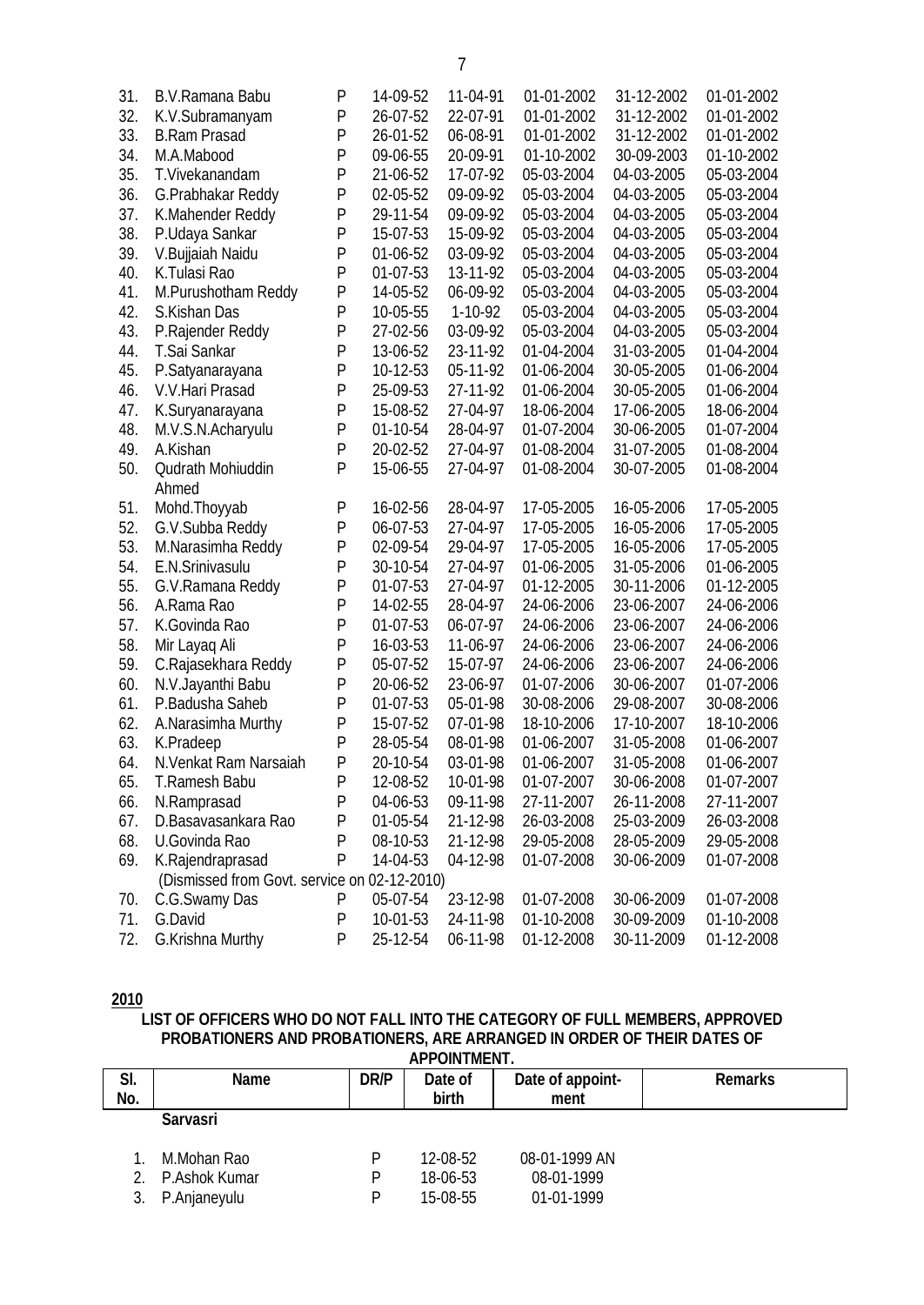| 31. | B.V.Ramana Babu                              | P            | 14-09-52 | 11-04-91  | 01-01-2002 | 31-12-2002 | 01-01-2002 |
|-----|----------------------------------------------|--------------|----------|-----------|------------|------------|------------|
| 32. | K.V.Subramanyam                              | $\mathsf{P}$ | 26-07-52 | 22-07-91  | 01-01-2002 | 31-12-2002 | 01-01-2002 |
| 33. | <b>B.Ram Prasad</b>                          | P            | 26-01-52 | 06-08-91  | 01-01-2002 | 31-12-2002 | 01-01-2002 |
| 34. | M.A.Mabood                                   | P            | 09-06-55 | 20-09-91  | 01-10-2002 | 30-09-2003 | 01-10-2002 |
| 35. | T.Vivekanandam                               | $\mathsf{P}$ | 21-06-52 | 17-07-92  | 05-03-2004 | 04-03-2005 | 05-03-2004 |
| 36. | G.Prabhakar Reddy                            | $\mathsf{P}$ | 02-05-52 | 09-09-92  | 05-03-2004 | 04-03-2005 | 05-03-2004 |
| 37. | K.Mahender Reddy                             | P            | 29-11-54 | 09-09-92  | 05-03-2004 | 04-03-2005 | 05-03-2004 |
| 38. | P.Udaya Sankar                               | P            | 15-07-53 | 15-09-92  | 05-03-2004 | 04-03-2005 | 05-03-2004 |
| 39. | V.Bujjaiah Naidu                             | P            | 01-06-52 | 03-09-92  | 05-03-2004 | 04-03-2005 | 05-03-2004 |
| 40. | K.Tulasi Rao                                 | P            | 01-07-53 | 13-11-92  | 05-03-2004 | 04-03-2005 | 05-03-2004 |
| 41. | M.Purushotham Reddy                          | P            | 14-05-52 | 06-09-92  | 05-03-2004 | 04-03-2005 | 05-03-2004 |
| 42. | S.Kishan Das                                 | P            | 10-05-55 | $1-10-92$ | 05-03-2004 | 04-03-2005 | 05-03-2004 |
| 43. | P.Rajender Reddy                             | P            | 27-02-56 | 03-09-92  | 05-03-2004 | 04-03-2005 | 05-03-2004 |
| 44. | T.Sai Sankar                                 | $\mathsf{P}$ | 13-06-52 | 23-11-92  | 01-04-2004 | 31-03-2005 | 01-04-2004 |
| 45. | P.Satyanarayana                              | $\mathsf{P}$ | 10-12-53 | 05-11-92  | 01-06-2004 | 30-05-2005 | 01-06-2004 |
| 46. | V.V.Hari Prasad                              | $\mathsf{P}$ | 25-09-53 | 27-11-92  | 01-06-2004 | 30-05-2005 | 01-06-2004 |
| 47. | K.Suryanarayana                              | P            | 15-08-52 | 27-04-97  | 18-06-2004 | 17-06-2005 | 18-06-2004 |
| 48. | M.V.S.N.Acharyulu                            | P            | 01-10-54 | 28-04-97  | 01-07-2004 | 30-06-2005 | 01-07-2004 |
| 49. | A.Kishan                                     | P            | 20-02-52 | 27-04-97  | 01-08-2004 | 31-07-2005 | 01-08-2004 |
| 50. | Qudrath Mohiuddin                            | P            | 15-06-55 | 27-04-97  | 01-08-2004 | 30-07-2005 | 01-08-2004 |
|     | Ahmed                                        |              |          |           |            |            |            |
| 51. | Mohd.Thoyyab                                 | P            | 16-02-56 | 28-04-97  | 17-05-2005 | 16-05-2006 | 17-05-2005 |
| 52. | G.V.Subba Reddy                              | $\mathsf{P}$ | 06-07-53 | 27-04-97  | 17-05-2005 | 16-05-2006 | 17-05-2005 |
| 53. | M.Narasimha Reddy                            | $\mathsf{P}$ | 02-09-54 | 29-04-97  | 17-05-2005 | 16-05-2006 | 17-05-2005 |
| 54. | E.N.Srinivasulu                              | P            | 30-10-54 | 27-04-97  | 01-06-2005 | 31-05-2006 | 01-06-2005 |
| 55. | G.V.Ramana Reddy                             | P            | 01-07-53 | 27-04-97  | 01-12-2005 | 30-11-2006 | 01-12-2005 |
| 56. | A.Rama Rao                                   | P            | 14-02-55 | 28-04-97  | 24-06-2006 | 23-06-2007 | 24-06-2006 |
| 57. | K.Govinda Rao                                | P            | 01-07-53 | 06-07-97  | 24-06-2006 | 23-06-2007 | 24-06-2006 |
| 58. | Mir Layaq Ali                                | P            | 16-03-53 | 11-06-97  | 24-06-2006 | 23-06-2007 | 24-06-2006 |
| 59. | C.Rajasekhara Reddy                          | P            | 05-07-52 | 15-07-97  | 24-06-2006 | 23-06-2007 | 24-06-2006 |
| 60. | N.V.Jayanthi Babu                            | P            | 20-06-52 | 23-06-97  | 01-07-2006 | 30-06-2007 | 01-07-2006 |
| 61. | P.Badusha Saheb                              | P            | 01-07-53 | 05-01-98  | 30-08-2006 | 29-08-2007 | 30-08-2006 |
| 62. | A.Narasimha Murthy                           | P            | 15-07-52 | 07-01-98  | 18-10-2006 | 17-10-2007 | 18-10-2006 |
| 63. | K.Pradeep                                    | P            | 28-05-54 | 08-01-98  | 01-06-2007 | 31-05-2008 | 01-06-2007 |
| 64. | N.Venkat Ram Narsaiah                        | P            | 20-10-54 | 03-01-98  | 01-06-2007 | 31-05-2008 | 01-06-2007 |
| 65. | T.Ramesh Babu                                | P            | 12-08-52 | 10-01-98  | 01-07-2007 | 30-06-2008 | 01-07-2007 |
| 66. | N.Ramprasad                                  | P            | 04-06-53 | 09-11-98  | 27-11-2007 | 26-11-2008 | 27-11-2007 |
| 67. | D.Basavasankara Rao                          | P            | 01-05-54 | 21-12-98  | 26-03-2008 | 25-03-2009 | 26-03-2008 |
| 68. | U.Govinda Rao                                | P            | 08-10-53 | 21-12-98  | 29-05-2008 | 28-05-2009 | 29-05-2008 |
| 69. | K.Rajendraprasad                             | P            | 14-04-53 | 04-12-98  | 01-07-2008 | 30-06-2009 | 01-07-2008 |
|     | (Dismissed from Govt. service on 02-12-2010) |              |          |           |            |            |            |
| 70. | C.G.Swamy Das                                | P            | 05-07-54 | 23-12-98  | 01-07-2008 | 30-06-2009 | 01-07-2008 |
| 71. | G.David                                      | P            | 10-01-53 | 24-11-98  | 01-10-2008 | 30-09-2009 | 01-10-2008 |
| 72. | G.Krishna Murthy                             | P            | 25-12-54 | 06-11-98  | 01-12-2008 | 30-11-2009 | 01-12-2008 |

## **2010**

# **LIST OF OFFICERS WHO DO NOT FALL INTO THE CATEGORY OF FULL MEMBERS, APPROVED PROBATIONERS AND PROBATIONERS, ARE ARRANGED IN ORDER OF THEIR DATES OF**

|     | APPOINTMENT.  |             |            |                  |                |  |  |  |  |
|-----|---------------|-------------|------------|------------------|----------------|--|--|--|--|
| SI. | <b>Name</b>   | <b>DR/P</b> | Date of    | Date of appoint- | <b>Remarks</b> |  |  |  |  |
| No. |               |             | birth      | ment             |                |  |  |  |  |
|     | Sarvasri      |             |            |                  |                |  |  |  |  |
|     | M.Mohan Rao   |             | 12-08-52   | 08-01-1999 AN    |                |  |  |  |  |
|     | P.Ashok Kumar |             | $18-06-53$ | 08-01-1999       |                |  |  |  |  |
|     | P.Anjaneyulu  |             | 15-08-55   | 01-01-1999       |                |  |  |  |  |

7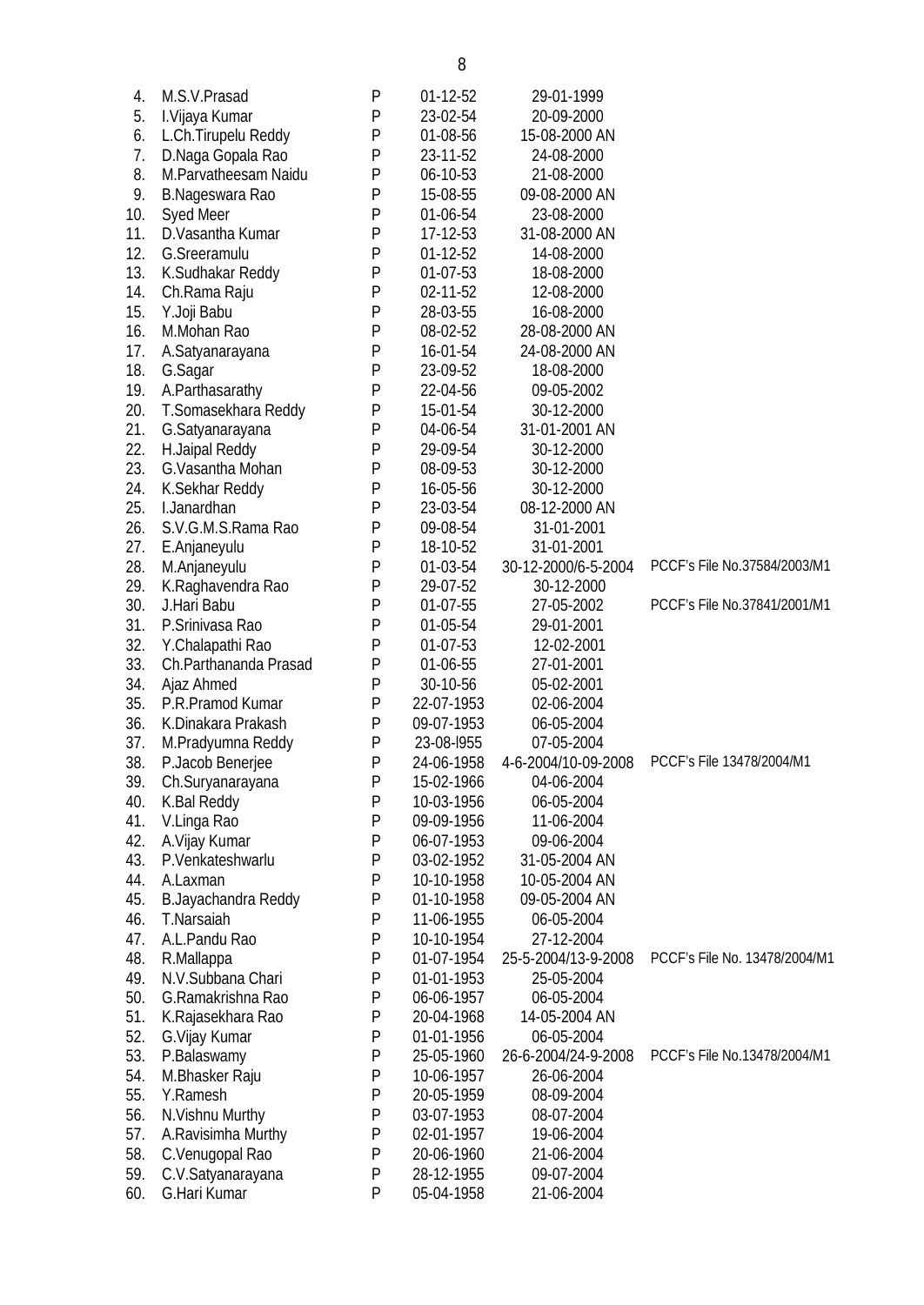| 4.  | M.S.V.Prasad          | P | $01-12-52$ | 29-01-1999          |                               |
|-----|-----------------------|---|------------|---------------------|-------------------------------|
| 5.  | I. Vijaya Kumar       | P | 23-02-54   | 20-09-2000          |                               |
| 6.  | L.Ch.Tirupelu Reddy   | P | 01-08-56   | 15-08-2000 AN       |                               |
| 7.  | D.Naga Gopala Rao     | P | 23-11-52   | 24-08-2000          |                               |
| 8.  | M.Parvatheesam Naidu  | P | 06-10-53   | 21-08-2000          |                               |
| 9.  | B.Nageswara Rao       | P | 15-08-55   | 09-08-2000 AN       |                               |
| 10. | <b>Syed Meer</b>      | P | 01-06-54   | 23-08-2000          |                               |
| 11. | D.Vasantha Kumar      | P | 17-12-53   | 31-08-2000 AN       |                               |
| 12. | G.Sreeramulu          | P | $01-12-52$ | 14-08-2000          |                               |
| 13. | K.Sudhakar Reddy      | P | $01-07-53$ | 18-08-2000          |                               |
| 14. | Ch.Rama Raju          | P | 02-11-52   | 12-08-2000          |                               |
| 15. | Y.Joji Babu           | P | 28-03-55   | 16-08-2000          |                               |
| 16. | M.Mohan Rao           | P | 08-02-52   | 28-08-2000 AN       |                               |
| 17. | A.Satyanarayana       | P | 16-01-54   | 24-08-2000 AN       |                               |
| 18. | G.Sagar               | P | 23-09-52   | 18-08-2000          |                               |
| 19. | A.Parthasarathy       | P | 22-04-56   | 09-05-2002          |                               |
| 20. | T.Somasekhara Reddy   | P | 15-01-54   | 30-12-2000          |                               |
| 21. | G.Satyanarayana       | P | 04-06-54   | 31-01-2001 AN       |                               |
| 22. | H.Jaipal Reddy        | P | 29-09-54   | 30-12-2000          |                               |
| 23. | G.Vasantha Mohan      | P | 08-09-53   | 30-12-2000          |                               |
| 24. | K.Sekhar Reddy        | P | 16-05-56   | 30-12-2000          |                               |
| 25. | I.Janardhan           | P | 23-03-54   | 08-12-2000 AN       |                               |
| 26. | S.V.G.M.S.Rama Rao    | P | 09-08-54   | 31-01-2001          |                               |
| 27. | E.Anjaneyulu          | P | 18-10-52   | 31-01-2001          |                               |
| 28. | M.Anjaneyulu          | P | 01-03-54   | 30-12-2000/6-5-2004 | PCCF's File No.37584/2003/M1  |
| 29. | K.Raghavendra Rao     | P | 29-07-52   | 30-12-2000          |                               |
| 30. | J.Hari Babu           | P | 01-07-55   | 27-05-2002          | PCCF's File No.37841/2001/M1  |
| 31. | P.Srinivasa Rao       | P | 01-05-54   | 29-01-2001          |                               |
| 32. | Y.Chalapathi Rao      | P | 01-07-53   | 12-02-2001          |                               |
| 33. | Ch.Parthananda Prasad | P | 01-06-55   | 27-01-2001          |                               |
| 34. | Ajaz Ahmed            | P | 30-10-56   | 05-02-2001          |                               |
| 35. | P.R.Pramod Kumar      | P | 22-07-1953 | 02-06-2004          |                               |
| 36. | K.Dinakara Prakash    | P | 09-07-1953 | 06-05-2004          |                               |
| 37. | M.Pradyumna Reddy     | P | 23-08-1955 | 07-05-2004          |                               |
| 38. | P.Jacob Benerjee      | P | 24-06-1958 | 4-6-2004/10-09-2008 | PCCF's File 13478/2004/M1     |
| 39. | Ch.Suryanarayana      | P | 15-02-1966 | 04-06-2004          |                               |
| 40. | K.Bal Reddy           | P | 10-03-1956 | 06-05-2004          |                               |
| 41. | V.Linga Rao           | P | 09-09-1956 | 11-06-2004          |                               |
| 42. | A.Vijay Kumar         | P | 06-07-1953 | 09-06-2004          |                               |
| 43. | P.Venkateshwarlu      | P | 03-02-1952 | 31-05-2004 AN       |                               |
| 44. | A.Laxman              | P | 10-10-1958 | 10-05-2004 AN       |                               |
| 45. | B.Jayachandra Reddy   | P | 01-10-1958 | 09-05-2004 AN       |                               |
| 46. | T.Narsaiah            | P | 11-06-1955 | 06-05-2004          |                               |
| 47. | A.L.Pandu Rao         | P | 10-10-1954 | 27-12-2004          |                               |
| 48. | R.Mallappa            | P | 01-07-1954 | 25-5-2004/13-9-2008 | PCCF's File No. 13478/2004/M1 |
| 49. | N.V.Subbana Chari     | P | 01-01-1953 | 25-05-2004          |                               |
| 50. | G.Ramakrishna Rao     | P | 06-06-1957 | 06-05-2004          |                               |
| 51. | K.Rajasekhara Rao     | P | 20-04-1968 | 14-05-2004 AN       |                               |
| 52. | G. Vijay Kumar        | P | 01-01-1956 | 06-05-2004          |                               |
| 53. | P.Balaswamy           | P | 25-05-1960 | 26-6-2004/24-9-2008 | PCCF's File No.13478/2004/M1  |
| 54. | M.Bhasker Raju        | P | 10-06-1957 | 26-06-2004          |                               |
| 55. | Y.Ramesh              | P | 20-05-1959 | 08-09-2004          |                               |
| 56. | N.Vishnu Murthy       | P | 03-07-1953 | 08-07-2004          |                               |
| 57. | A.Ravisimha Murthy    | P | 02-01-1957 | 19-06-2004          |                               |
| 58. | C.Venugopal Rao       | P | 20-06-1960 | 21-06-2004          |                               |
| 59. | C.V.Satyanarayana     | P | 28-12-1955 | 09-07-2004          |                               |
| 60. | G.Hari Kumar          | P | 05-04-1958 | 21-06-2004          |                               |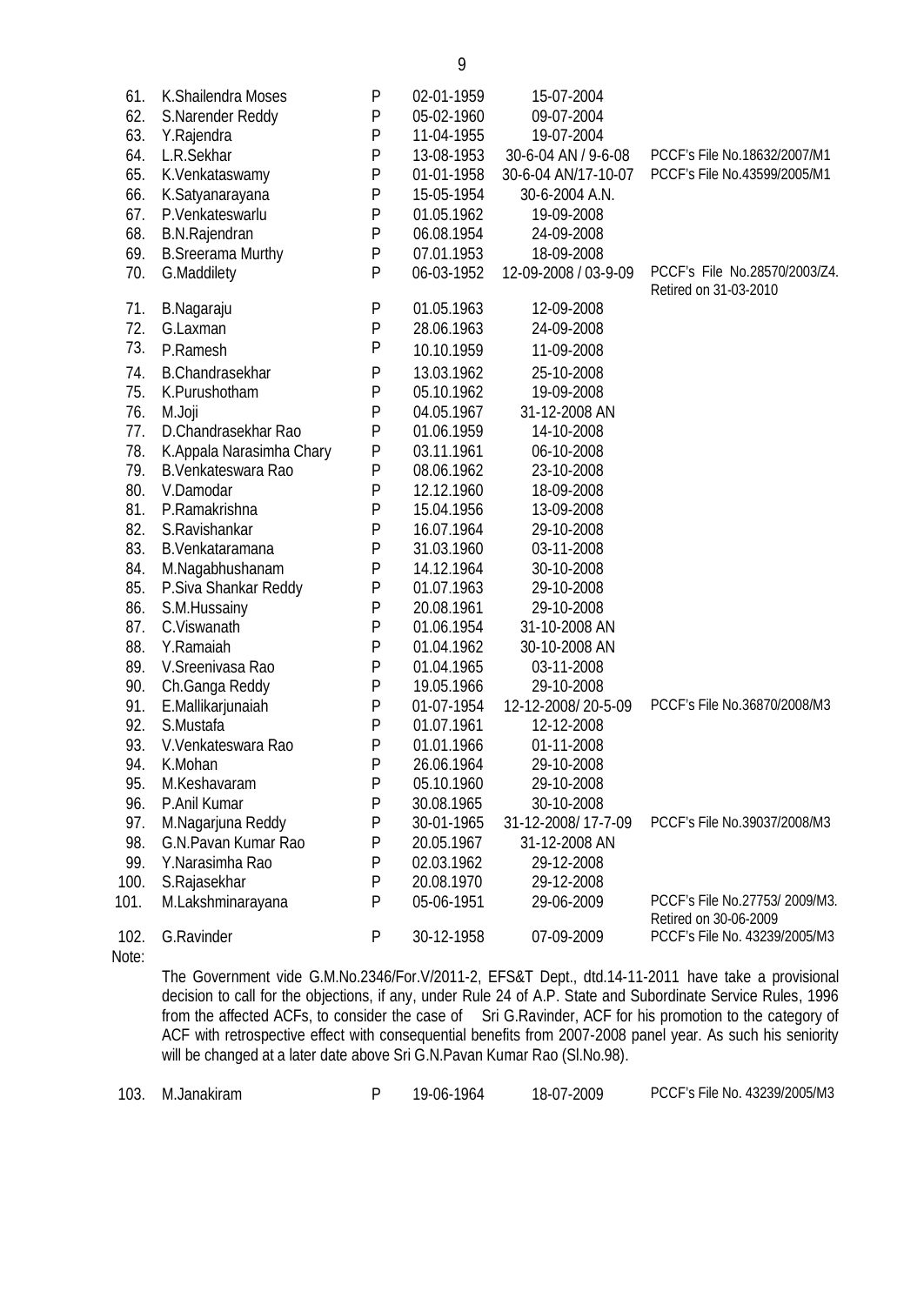| 61.  | K.Shailendra Moses       | P         | 02-01-1959 | 15-07-2004           |                                                        |
|------|--------------------------|-----------|------------|----------------------|--------------------------------------------------------|
| 62.  | S.Narender Reddy         | P         | 05-02-1960 | 09-07-2004           |                                                        |
| 63.  | Y.Rajendra               | P         | 11-04-1955 | 19-07-2004           |                                                        |
| 64.  | L.R.Sekhar               | P         | 13-08-1953 | 30-6-04 AN / 9-6-08  | PCCF's File No.18632/2007/M1                           |
| 65.  | K.Venkataswamy           | P         | 01-01-1958 | 30-6-04 AN/17-10-07  | PCCF's File No.43599/2005/M1                           |
| 66.  | K.Satyanarayana          | P         | 15-05-1954 | 30-6-2004 A.N.       |                                                        |
| 67.  | P.Venkateswarlu          | P         | 01.05.1962 | 19-09-2008           |                                                        |
| 68.  | <b>B.N.Rajendran</b>     | P         | 06.08.1954 | 24-09-2008           |                                                        |
| 69.  | <b>B.Sreerama Murthy</b> | P         | 07.01.1953 | 18-09-2008           |                                                        |
| 70.  | G.Maddilety              | P         | 06-03-1952 | 12-09-2008 / 03-9-09 | PCCF's File No.28570/2003/Z4.<br>Retired on 31-03-2010 |
| 71.  | B.Nagaraju               | P         | 01.05.1963 | 12-09-2008           |                                                        |
| 72.  | G.Laxman                 | P         | 28.06.1963 | 24-09-2008           |                                                        |
| 73.  | P.Ramesh                 | P         | 10.10.1959 | 11-09-2008           |                                                        |
| 74.  | <b>B.Chandrasekhar</b>   | P         | 13.03.1962 | 25-10-2008           |                                                        |
| 75.  | K.Purushotham            | P         | 05.10.1962 | 19-09-2008           |                                                        |
| 76.  | M.Joji                   | P         | 04.05.1967 | 31-12-2008 AN        |                                                        |
| 77.  | D.Chandrasekhar Rao      | P         | 01.06.1959 | 14-10-2008           |                                                        |
| 78.  | K.Appala Narasimha Chary | P         | 03.11.1961 | 06-10-2008           |                                                        |
| 79.  | B.Venkateswara Rao       | P         | 08.06.1962 | 23-10-2008           |                                                        |
| 80.  | V.Damodar                | P         | 12.12.1960 | 18-09-2008           |                                                        |
| 81.  | P.Ramakrishna            | P         | 15.04.1956 | 13-09-2008           |                                                        |
| 82.  | S.Ravishankar            | P         | 16.07.1964 | 29-10-2008           |                                                        |
| 83.  | B.Venkataramana          | P         | 31.03.1960 | 03-11-2008           |                                                        |
| 84.  | M.Nagabhushanam          | P         | 14.12.1964 | 30-10-2008           |                                                        |
| 85.  | P.Siva Shankar Reddy     | P         | 01.07.1963 | 29-10-2008           |                                                        |
| 86.  | S.M.Hussainy             | P         | 20.08.1961 | 29-10-2008           |                                                        |
| 87.  | C.Viswanath              | P         | 01.06.1954 | 31-10-2008 AN        |                                                        |
| 88.  | Y.Ramaiah                | P         | 01.04.1962 | 30-10-2008 AN        |                                                        |
| 89.  | V.Sreenivasa Rao         | P         | 01.04.1965 | 03-11-2008           |                                                        |
| 90.  | Ch.Ganga Reddy           | P         | 19.05.1966 | 29-10-2008           |                                                        |
| 91.  | E.Mallikarjunaiah        | P         | 01-07-1954 | 12-12-2008/20-5-09   | PCCF's File No.36870/2008/M3                           |
| 92.  | S.Mustafa                | P         | 01.07.1961 | 12-12-2008           |                                                        |
| 93.  | V.Venkateswara Rao       | P         | 01.01.1966 | 01-11-2008           |                                                        |
| 94.  | K.Mohan                  | P         | 26.06.1964 | 29-10-2008           |                                                        |
| 95.  | M.Keshavaram             | ${\sf P}$ | 05.10.1960 | 29-10-2008           |                                                        |
| 96.  | P.Anil Kumar             | P         | 30.08.1965 | 30-10-2008           |                                                        |
| 97.  | M.Nagarjuna Reddy        | P         | 30-01-1965 | 31-12-2008/17-7-09   | PCCF's File No.39037/2008/M3                           |
| 98.  | G.N.Pavan Kumar Rao      | P         | 20.05.1967 | 31-12-2008 AN        |                                                        |
| 99.  | Y.Narasimha Rao          | P         | 02.03.1962 | 29-12-2008           |                                                        |
| 100. | S.Rajasekhar             | P         | 20.08.1970 | 29-12-2008           |                                                        |
| 101. | M.Lakshminarayana        | P         | 05-06-1951 | 29-06-2009           | PCCF's File No.27753/2009/M3.<br>Retired on 30-06-2009 |
| 102. | G.Ravinder               | P         | 30-12-1958 | 07-09-2009           | PCCF's File No. 43239/2005/M3                          |

Note:

The Government vide G.M.No.2346/For.V/2011-2, EFS&T Dept., dtd.14-11-2011 have take a provisional decision to call for the objections, if any, under Rule 24 of A.P. State and Subordinate Service Rules, 1996 from the affected ACFs, to consider the case of Sri G.Ravinder, ACF for his promotion to the category of ACF with retrospective effect with consequential benefits from 2007-2008 panel year. As such his seniority will be changed at a later date above Sri G.N.Pavan Kumar Rao (Sl.No.98).

103. M.Janakiram P 19-06-1964 18-07-2009 PCCF's File No. 43239/2005/M3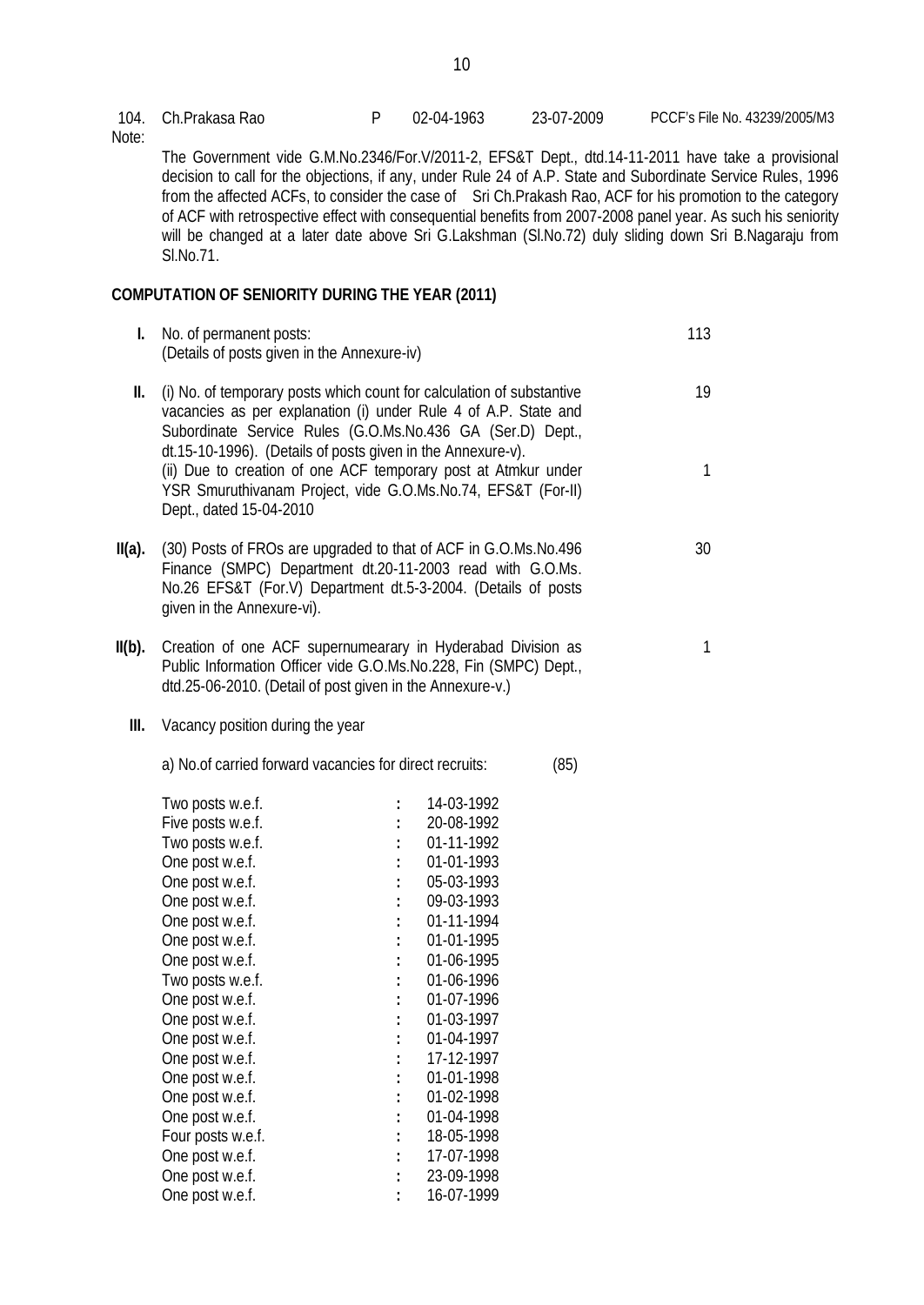104. Ch.Prakasa Rao P 02-04-1963 23-07-2009 PCCF's File No. 43239/2005/M3 Note: The Government vide G.M.No.2346/For.V/2011-2, EFS&T Dept., dtd.14-11-2011 have take a provisional decision to call for the objections, if any, under Rule 24 of A.P. State and Subordinate Service Rules, 1996 from the affected ACFs, to consider the case of Sri Ch.Prakash Rao, ACF for his promotion to the category of ACF with retrospective effect with consequential benefits from 2007-2008 panel year. As such his seniority will be changed at a later date above Sri G.Lakshman (Sl.No.72) duly sliding down Sri B.Nagaraju from Sl.No.71. **COMPUTATION OF SENIORITY DURING THE YEAR (2011) I.** No. of permanent posts: (Details of posts given in the Annexure-iv) 113 **II.** (i) No. of temporary posts which count for calculation of substantive vacancies as per explanation (i) under Rule 4 of A.P. State and Subordinate Service Rules (G.O.Ms.No.436 GA (Ser.D) Dept., dt.15-10-1996). (Details of posts given in the Annexure-v). (ii) Due to creation of one ACF temporary post at Atmkur under YSR Smuruthivanam Project, vide G.O.Ms.No.74, EFS&T (For-II) Dept., dated 15-04-2010 19 1 **II(a).** (30) Posts of FROs are upgraded to that of ACF in G.O.Ms.No.496 Finance (SMPC) Department dt.20-11-2003 read with G.O.Ms. No.26 EFS&T (For.V) Department dt.5-3-2004. (Details of posts given in the Annexure-vi). 30 **II(b).** Creation of one ACF supernumearary in Hyderabad Division as Public Information Officer vide G.O.Ms.No.228, Fin (SMPC) Dept., dtd.25-06-2010. (Detail of post given in the Annexure-v.) 1 **III.** Vacancy position during the year a) No.of carried forward vacancies for direct recruits: (85) Two posts w.e.f. **:** 14-03-1992 Five posts w.e.f. **:** 20-08-1992 Two posts w.e.f. **:** 01-11-1992 One post w.e.f. **:** 01-01-1993 One post w.e.f. **:** 05-03-1993 One post w.e.f. **:** 09-03-1993 One post w.e.f. **:** 01-11-1994 One post w.e.f. **:** 01-01-1995 One post w.e.f. **:** 01-06-1995 Two posts w.e.f. **:** 01-06-1996 One post w.e.f. **:** 01-07-1996 One post w.e.f. **:** 01-03-1997 One post w.e.f. **:** 01-04-1997 One post w.e.f. **:** 17-12-1997 One post w.e.f. **:** 01-01-1998<br>One post w.e.f. **:** 01-02-1998 One post w.e.f. **:** 01-02-1998 One post w.e.f. **:** 01-04-1998 Four posts w.e.f. **:** 18-05-1998 One post w.e.f. **:** 17-07-1998 One post w.e.f. **:** 23-09-1998

One post w.e.f. **:** 16-07-1999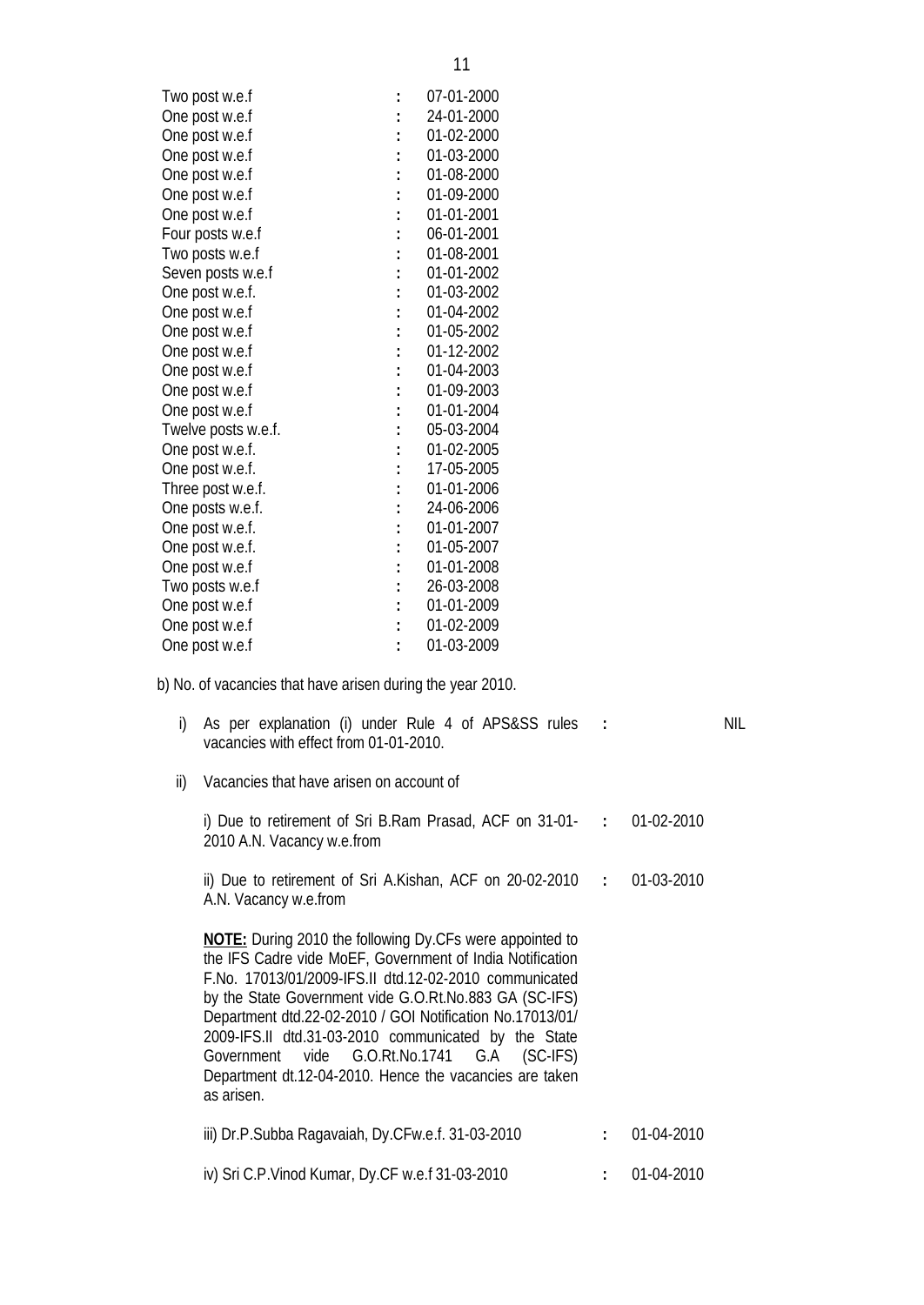| Two post w.e.f | 07-01-2000 |
|----------------|------------|
| One post w.e.f | 24-01-2000 |
| One post w.e.f | 01-02-2000 |
| One post w.e.f | 01-03-2000 |

| One post w.e.f      | 01-02-2000 |
|---------------------|------------|
| One post w.e.f      | 01-03-2000 |
| One post w.e.f      | 01-08-2000 |
| One post w.e.f      | 01-09-2000 |
| One post w.e.f      | 01-01-2001 |
| Four posts w.e.f    | 06-01-2001 |
| Two posts w.e.f     | 01-08-2001 |
| Seven posts w.e.f   | 01-01-2002 |
| One post w.e.f.     | 01-03-2002 |
| One post w.e.f      | 01-04-2002 |
| One post w.e.f      | 01-05-2002 |
| One post w.e.f      | 01-12-2002 |
| One post w.e.f      | 01-04-2003 |
| One post w.e.f      | 01-09-2003 |
| One post w.e.f      | 01-01-2004 |
| Twelve posts w.e.f. | 05-03-2004 |
| One post w.e.f.     | 01-02-2005 |
| One post w.e.f.     | 17-05-2005 |
| Three post w.e.f.   | 01-01-2006 |
| One posts w.e.f.    | 24-06-2006 |
| One post w.e.f.     | 01-01-2007 |
| One post w.e.f.     | 01-05-2007 |
| One post w.e.f      | 01-01-2008 |
| Two posts w.e.f     | 26-03-2008 |
| One post w.e.f      | 01-01-2009 |
| One post w.e.f      | 01-02-2009 |
| One post w.e.f      | 01-03-2009 |
|                     |            |

b) No. of vacancies that have arisen during the year 2010.

| i)  | As per explanation (i) under Rule 4 of APS&SS rules :<br>vacancies with effect from 01-01-2010.                                                                                                                                                                                                                                                                                                                                                                                               |            | NIL |
|-----|-----------------------------------------------------------------------------------------------------------------------------------------------------------------------------------------------------------------------------------------------------------------------------------------------------------------------------------------------------------------------------------------------------------------------------------------------------------------------------------------------|------------|-----|
| ii) | Vacancies that have arisen on account of                                                                                                                                                                                                                                                                                                                                                                                                                                                      |            |     |
|     | i) Due to retirement of Sri B.Ram Prasad, ACF on $31-01-$ : 01-02-2010<br>2010 A.N. Vacancy w.e.from                                                                                                                                                                                                                                                                                                                                                                                          |            |     |
|     | ii) Due to retirement of Sri A.Kishan, ACF on 20-02-2010 $\cdot$ 01-03-2010<br>A.N. Vacancy w.e.from                                                                                                                                                                                                                                                                                                                                                                                          |            |     |
|     | <b>NOTE:</b> During 2010 the following Dy.CFs were appointed to<br>the IFS Cadre vide MoEF, Government of India Notification<br>F.No. 17013/01/2009-IFS.II dtd.12-02-2010 communicated<br>by the State Government vide G.O.Rt.No.883 GA (SC-IFS)<br>Department dtd.22-02-2010 / GOI Notification No.17013/01/<br>2009-IFS.II dtd.31-03-2010 communicated by the State<br>Government vide G.O.Rt.No.1741 G.A (SC-IFS)<br>Department dt.12-04-2010. Hence the vacancies are taken<br>as arisen. |            |     |
|     | iii) Dr.P.Subba Ragavaiah, Dy.CFw.e.f. 31-03-2010                                                                                                                                                                                                                                                                                                                                                                                                                                             | 01-04-2010 |     |
|     | iv) Sri C.P. Vinod Kumar, Dy.CF w.e.f 31-03-2010                                                                                                                                                                                                                                                                                                                                                                                                                                              | 01-04-2010 |     |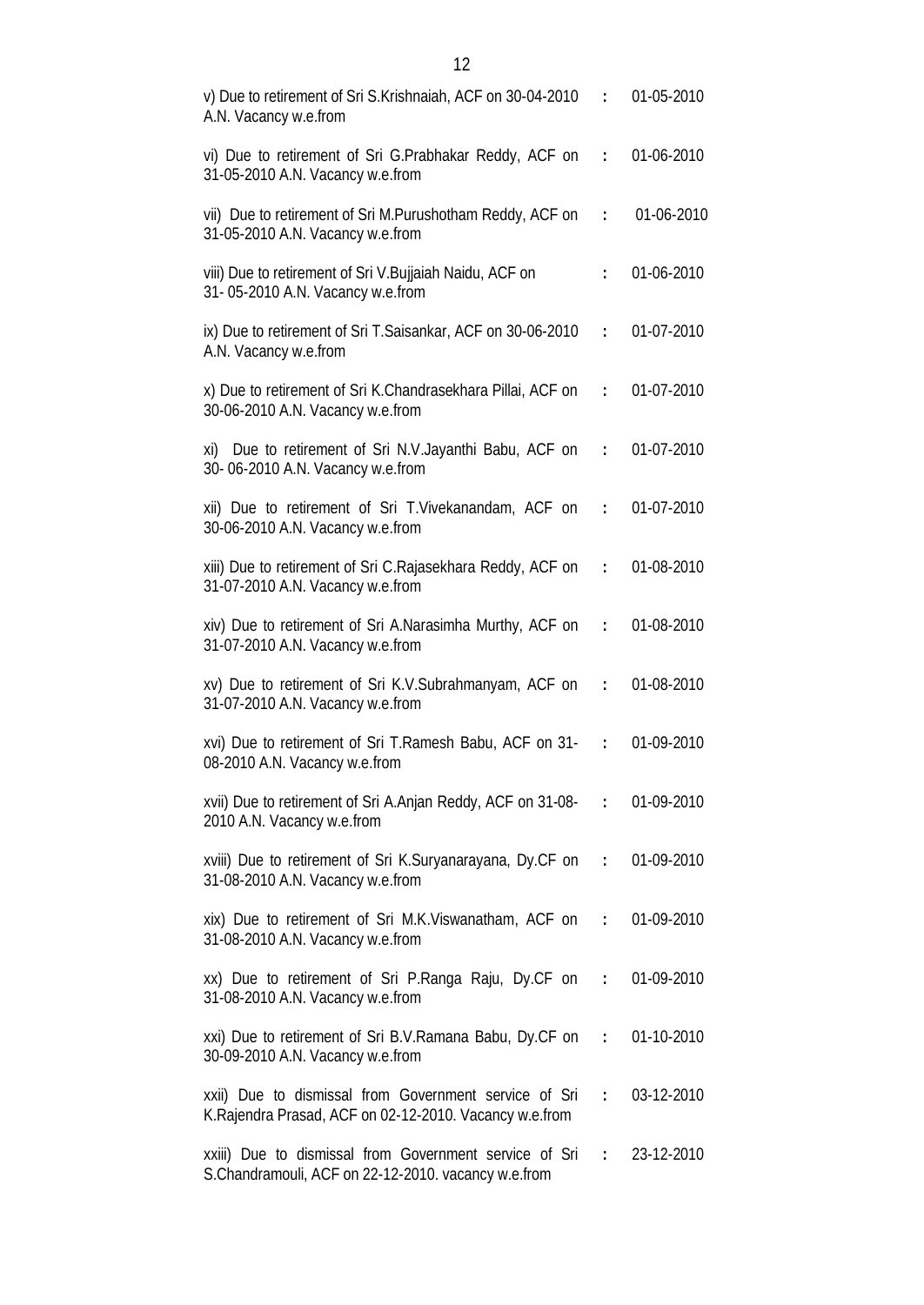| v) Due to retirement of Sri S.Krishnaiah, ACF on 30-04-2010 :<br>A.N. Vacancy w.e.from                                     |                           | 01-05-2010 |
|----------------------------------------------------------------------------------------------------------------------------|---------------------------|------------|
| vi) Due to retirement of Sri G. Prabhakar Reddy, ACF on<br>31-05-2010 A.N. Vacancy w.e.from                                | $\mathbb{R}^{\mathbb{Z}}$ | 01-06-2010 |
| vii) Due to retirement of Sri M.Purushotham Reddy, ACF on<br>31-05-2010 A.N. Vacancy w.e.from                              | $\mathbf{L}$              | 01-06-2010 |
| viii) Due to retirement of Sri V. Bujjaiah Naidu, ACF on<br>31-05-2010 A.N. Vacancy w.e.from                               | ÷                         | 01-06-2010 |
| ix) Due to retirement of Sri T.Saisankar, ACF on 30-06-2010<br>A.N. Vacancy w.e.from                                       | $\mathcal{L}$             | 01-07-2010 |
| x) Due to retirement of Sri K.Chandrasekhara Pillai, ACF on<br>30-06-2010 A.N. Vacancy w.e.from                            | $\ddot{\phantom{a}}$      | 01-07-2010 |
| xi) Due to retirement of Sri N.V. Jayanthi Babu, ACF on<br>30-06-2010 A.N. Vacancy w.e.from                                | $\ddot{\phantom{a}}$      | 01-07-2010 |
| xii) Due to retirement of Sri T. Vivekanandam, ACF on<br>30-06-2010 A.N. Vacancy w.e.from                                  | $\mathbf{L}$              | 01-07-2010 |
| xiii) Due to retirement of Sri C.Rajasekhara Reddy, ACF on<br>31-07-2010 A.N. Vacancy w.e.from                             | $\mathbf{L}$              | 01-08-2010 |
| xiv) Due to retirement of Sri A.Narasimha Murthy, ACF on<br>31-07-2010 A.N. Vacancy w.e.from                               | $\ddot{\phantom{a}}$      | 01-08-2010 |
| xv) Due to retirement of Sri K.V.Subrahmanyam, ACF on<br>31-07-2010 A.N. Vacancy w.e.from                                  | $\ddot{\cdot}$            | 01-08-2010 |
| xvi) Due to retirement of Sri T.Ramesh Babu, ACF on 31-<br>08-2010 A.N. Vacancy w.e.from                                   | $\ddot{\phantom{a}}$      | 01-09-2010 |
| xvii) Due to retirement of Sri A.Anjan Reddy, ACF on 31-08- : 01-09-2010<br>2010 A.N. Vacancy w.e.from                     |                           |            |
| xviii) Due to retirement of Sri K.Suryanarayana, Dy.CF on<br>31-08-2010 A.N. Vacancy w.e.from                              | $\mathbf{L}$              | 01-09-2010 |
| xix) Due to retirement of Sri M.K.Viswanatham, ACF on :<br>31-08-2010 A.N. Vacancy w.e.from                                |                           | 01-09-2010 |
| xx) Due to retirement of Sri P.Ranga Raju, Dy.CF on :<br>31-08-2010 A.N. Vacancy w.e.from                                  |                           | 01-09-2010 |
| xxi) Due to retirement of Sri B.V.Ramana Babu, Dy.CF on :<br>30-09-2010 A.N. Vacancy w.e.from                              |                           | 01-10-2010 |
| xxii) Due to dismissal from Government service of Sri<br>K.Rajendra Prasad, ACF on 02-12-2010. Vacancy w.e.from            | $\mathbf{1}$              | 03-12-2010 |
| xxiii) Due to dismissal from Government service of Sri : 23-12-2010<br>S.Chandramouli, ACF on 22-12-2010. vacancy w.e.from |                           |            |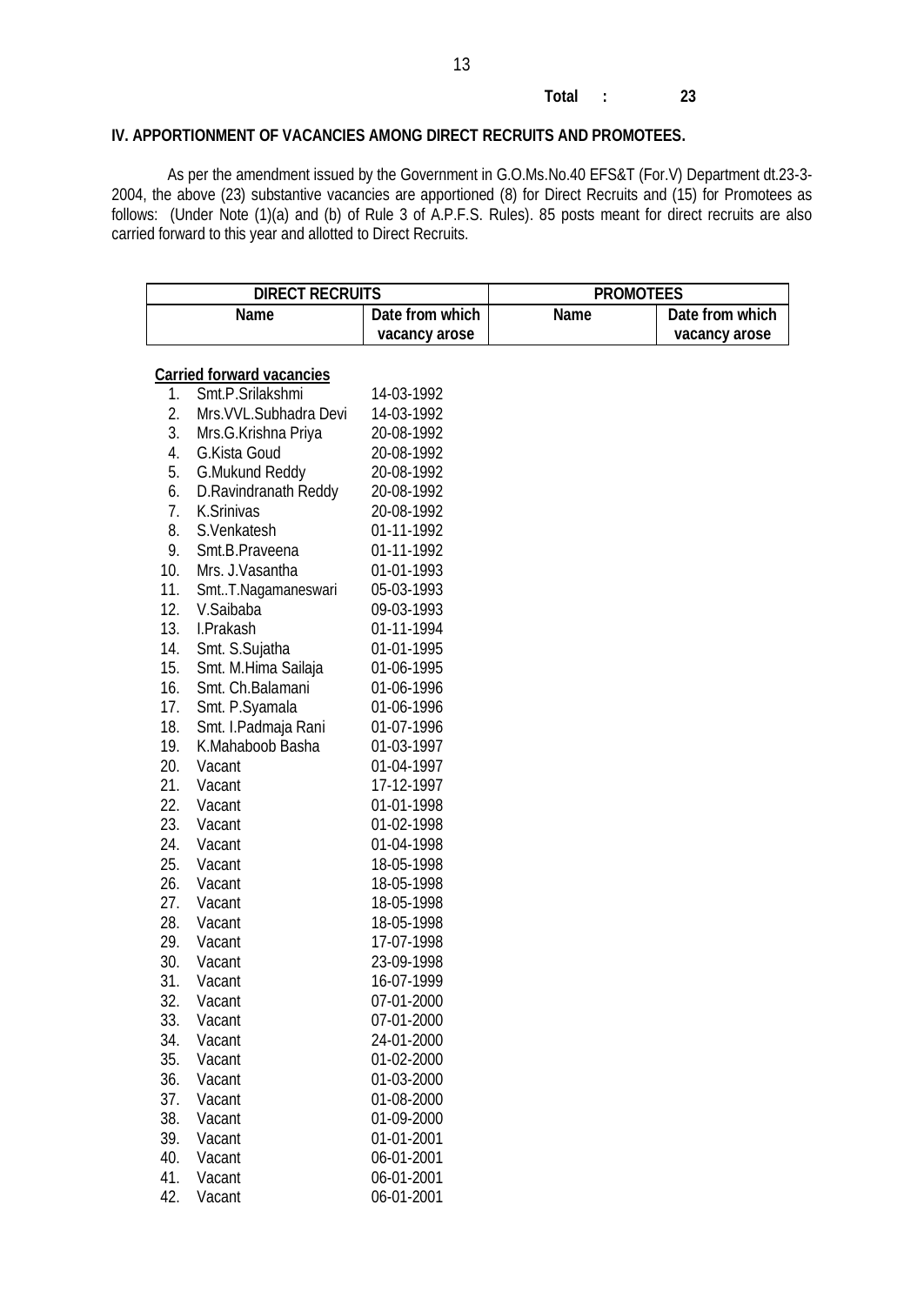#### **Total : 23**

## **IV. APPORTIONMENT OF VACANCIES AMONG DIRECT RECRUITS AND PROMOTEES.**

As per the amendment issued by the Government in G.O.Ms.No.40 EFS&T (For.V) Department dt.23-3- 2004, the above (23) substantive vacancies are apportioned (8) for Direct Recruits and (15) for Promotees as follows: (Under Note (1)(a) and (b) of Rule 3 of A.P.F.S. Rules). 85 posts meant for direct recruits are also carried forward to this year and allotted to Direct Recruits.

| <b>DIRECT RECRUITS</b> |                                  |                 | <b>PROMOTEES</b> |                 |
|------------------------|----------------------------------|-----------------|------------------|-----------------|
|                        | <b>Name</b>                      | Date from which | <b>Name</b>      | Date from which |
|                        |                                  | vacancy arose   |                  | vacancy arose   |
|                        |                                  |                 |                  |                 |
|                        | <b>Carried forward vacancies</b> |                 |                  |                 |
| 1.                     | Smt.P.Srilakshmi                 | 14-03-1992      |                  |                 |
| 2.                     | Mrs. VVL. Subhadra Devi          | 14-03-1992      |                  |                 |
| 3.                     | Mrs.G.Krishna Priya              | 20-08-1992      |                  |                 |
| 4.                     | G.Kista Goud                     | 20-08-1992      |                  |                 |
| 5.                     | <b>G.Mukund Reddy</b>            | 20-08-1992      |                  |                 |
| 6.                     | D.Ravindranath Reddy             | 20-08-1992      |                  |                 |
| 7.                     | K.Srinivas                       | 20-08-1992      |                  |                 |
| 8.                     | S.Venkatesh                      | 01-11-1992      |                  |                 |
| 9.                     | Smt.B.Praveena                   | 01-11-1992      |                  |                 |
| 10.                    | Mrs. J. Vasantha                 | 01-01-1993      |                  |                 |
| 11.                    | SmtT.Nagamaneswari               | 05-03-1993      |                  |                 |
| 12.                    | V.Saibaba                        | 09-03-1993      |                  |                 |
| 13.                    | I.Prakash                        | 01-11-1994      |                  |                 |
| 14.                    | Smt. S.Sujatha                   | 01-01-1995      |                  |                 |
| 15.                    | Smt. M.Hima Sailaja              | 01-06-1995      |                  |                 |
| 16.                    | Smt. Ch.Balamani                 | 01-06-1996      |                  |                 |
| 17.                    | Smt. P.Syamala                   | 01-06-1996      |                  |                 |
| 18.                    | Smt. I.Padmaja Rani              | 01-07-1996      |                  |                 |
| 19.                    | K.Mahaboob Basha                 | 01-03-1997      |                  |                 |
| 20.                    | Vacant                           | 01-04-1997      |                  |                 |
| 21.                    | Vacant                           | 17-12-1997      |                  |                 |
| 22.                    | Vacant                           | 01-01-1998      |                  |                 |
| 23.                    | Vacant                           | 01-02-1998      |                  |                 |
| 24.                    | Vacant                           | 01-04-1998      |                  |                 |
| 25.                    | Vacant                           | 18-05-1998      |                  |                 |
| 26.                    | Vacant                           | 18-05-1998      |                  |                 |
| 27.                    | Vacant                           | 18-05-1998      |                  |                 |
| 28.                    | Vacant                           | 18-05-1998      |                  |                 |
| 29.                    | Vacant                           | 17-07-1998      |                  |                 |
| 30.                    | Vacant                           | 23-09-1998      |                  |                 |
| 31.                    | Vacant                           | 16-07-1999      |                  |                 |
| 32.                    | Vacant                           | 07-01-2000      |                  |                 |
| 33.                    | Vacant                           | 07-01-2000      |                  |                 |
| 34.                    | Vacant                           | 24-01-2000      |                  |                 |
| 35.                    | Vacant                           | 01-02-2000      |                  |                 |
| 36.                    | Vacant                           | 01-03-2000      |                  |                 |
| 37.                    | Vacant                           | 01-08-2000      |                  |                 |
| 38.                    | Vacant                           | 01-09-2000      |                  |                 |
| 39.                    | Vacant                           | 01-01-2001      |                  |                 |
| 40.                    | Vacant                           | 06-01-2001      |                  |                 |
| 41.                    | Vacant                           | 06-01-2001      |                  |                 |
| 42.                    | Vacant                           | 06-01-2001      |                  |                 |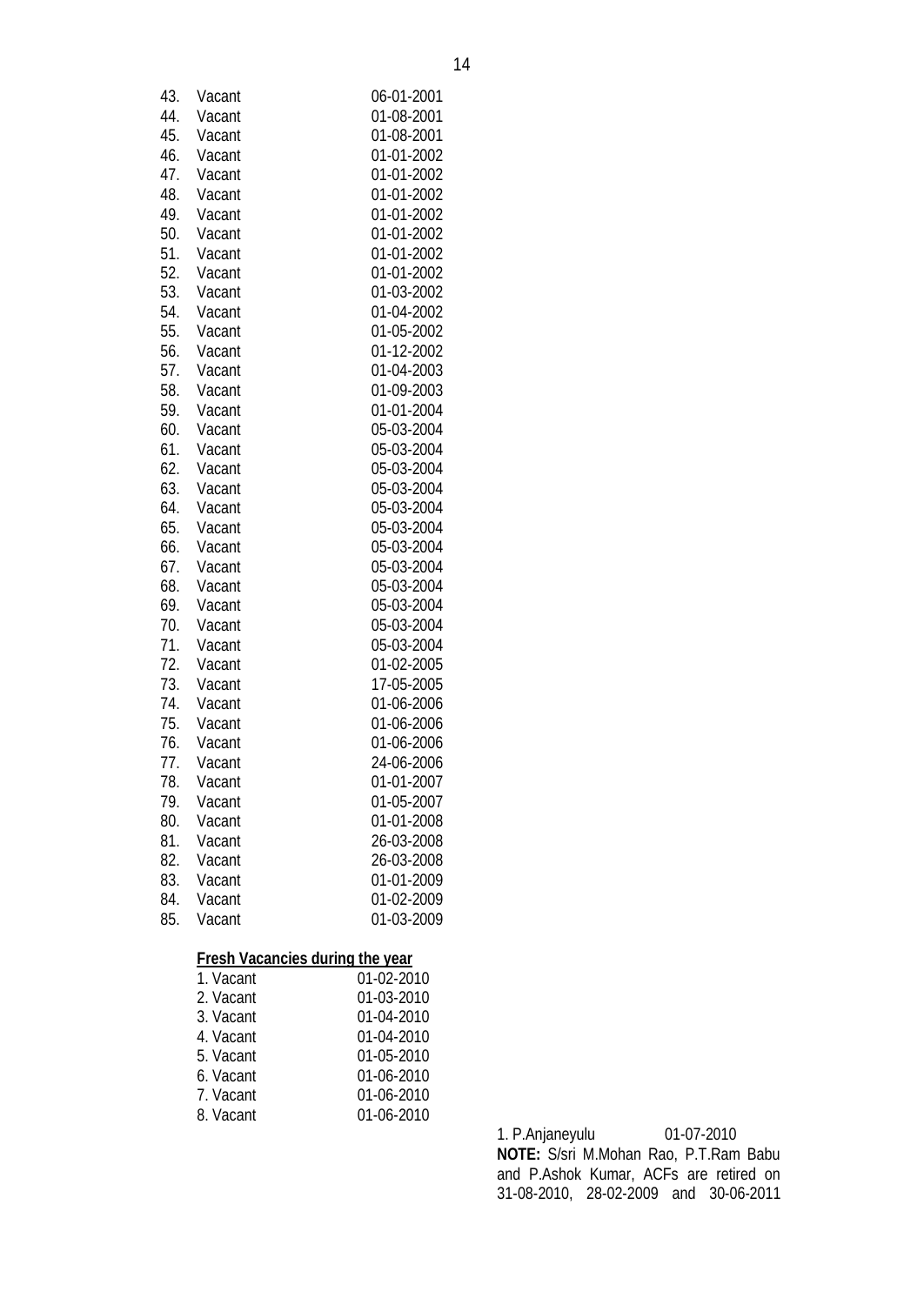|            | <b>Fresh Vacancies during the year</b><br>1. Vacant | 01-02-2010               |
|------------|-----------------------------------------------------|--------------------------|
|            |                                                     |                          |
| 85.        | Vacant                                              | 01-03-2009               |
| 84.        | Vacant                                              | 01-02-2009               |
| 83.        | Vacant                                              | 01-01-2009               |
| 82.        | Vacant                                              | 26-03-2008               |
| 81.        | Vacant                                              | 26-03-2008               |
| 80.        | Vacant                                              | 01-01-2008               |
| 79.        | Vacant                                              | 01-05-2007               |
| 78.        | Vacant                                              | 01-01-2007               |
| 77.        | Vacant                                              | 24-06-2006               |
| 76.        | Vacant                                              | 01-06-2006               |
| 74.<br>75. | Vacant<br>Vacant                                    | 01-06-2006<br>01-06-2006 |
| 73.        | Vacant                                              | 17-05-2005               |
| 72.        | Vacant                                              | 01-02-2005               |
| 71.        | Vacant                                              | 05-03-2004               |
| 70.        | Vacant                                              | 05-03-2004               |
| 69.        | Vacant                                              | 05-03-2004               |
| 68.        | Vacant                                              | 05-03-2004               |
| 67.        | Vacant                                              | 05-03-2004               |
| 66.        | Vacant                                              | 05-03-2004               |
| 65.        | Vacant                                              | 05-03-2004               |
| 64.        | Vacant                                              | 05-03-2004               |
| 63.        | Vacant                                              | 05-03-2004               |
| 62.        | Vacant                                              | 05-03-2004               |
| 61.        | Vacant                                              | 05-03-2004               |
| 60.        | Vacant                                              | 05-03-2004               |
| 59.        | Vacant                                              | 01-01-2004               |
| 58.        | Vacant                                              | 01-09-2003               |
| 57.        | Vacant                                              | 01-04-2003               |
| 56.        | Vacant                                              | 01-12-2002               |
| 55.        | Vacant                                              | 01-05-2002               |
| 54.        | Vacant                                              | 01-04-2002               |
| 53.        | Vacant                                              | 01-03-2002               |
| 52.        | Vacant                                              | 01-01-2002               |
| 51.        | Vacant                                              | 01-01-2002               |
| 50.        | Vacant                                              | 01-01-2002               |
| 49.        | Vacant                                              | 01-01-2002               |
| 48.        | Vacant                                              | 01-01-2002               |
| 47.        | Vacant                                              | 01-01-2002               |
| 46.        | Vacant                                              | 01-01-2002               |
| 45.        | Vacant                                              | 01-08-2001               |
| 44.        | Vacant                                              | 01-08-2001               |
| 43.        | Vacant                                              | 06-01-2001               |

| 1. Vacant | 01-02-2010 |
|-----------|------------|
| 2. Vacant | 01-03-2010 |
| 3. Vacant | 01-04-2010 |
| 4. Vacant | 01-04-2010 |
| 5. Vacant | 01-05-2010 |
| 6. Vacant | 01-06-2010 |
| 7. Vacant | 01-06-2010 |
| 8. Vacant | 01-06-2010 |
|           |            |

1. P.Anjaneyulu 01-07-2010 **NOTE:** S/sri M.Mohan Rao, P.T.Ram Babu and P.Ashok Kumar, ACFs are retired on 31-08-2010, 28-02-2009 and 30-06-2011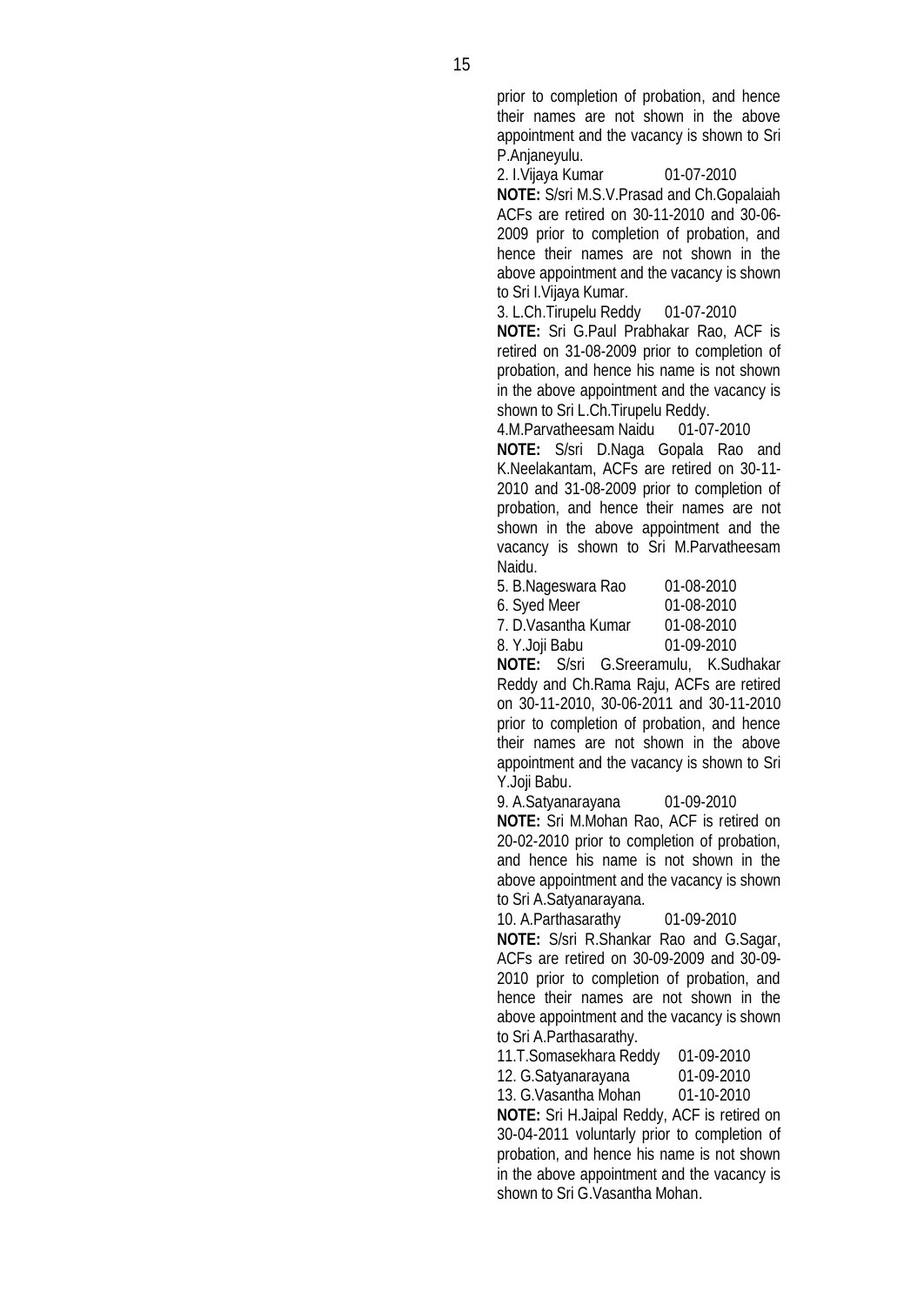prior to completion of probation, and hence their names are not shown in the above appointment and the vacancy is shown to Sri P.Anjaneyulu.

2. I.Vijaya Kumar 01-07-2010 **NOTE:** S/sri M.S.V.Prasad and Ch.Gopalaiah ACFs are retired on 30-11-2010 and 30-06- 2009 prior to completion of probation, and hence their names are not shown in the above appointment and the vacancy is shown to Sri I.Vijaya Kumar.

3. L.Ch.Tirupelu Reddy 01-07-2010 **NOTE:** Sri G.Paul Prabhakar Rao, ACF is retired on 31-08-2009 prior to completion of probation, and hence his name is not shown in the above appointment and the vacancy is

shown to Sri L.Ch.Tirupelu Reddy.<br>4.M.Parvatheesam Naidu 01-07-2010 4.M.Parvatheesam Naidu

**NOTE:** S/sri D.Naga Gopala Rao and K.Neelakantam, ACFs are retired on 30-11- 2010 and 31-08-2009 prior to completion of probation, and hence their names are not shown in the above appointment and the vacancy is shown to Sri M.Parvatheesam Naidu.

5. B.Nageswara Rao 01-08-2010

6. Syed Meer 01-08-2010

7. D.Vasantha Kumar 01-08-2010 8. Y.Joji Babu 01-09-2010

**NOTE:** S/sri G.Sreeramulu, K.Sudhakar Reddy and Ch.Rama Raju, ACFs are retired on 30-11-2010, 30-06-2011 and 30-11-2010 prior to completion of probation, and hence their names are not shown in the above appointment and the vacancy is shown to Sri Y.Joji Babu.

9. A.Satyanarayana 01-09-2010 **NOTE:** Sri M.Mohan Rao, ACF is retired on 20-02-2010 prior to completion of probation,

and hence his name is not shown in the above appointment and the vacancy is shown to Sri A.Satyanarayana.

10. A.Parthasarathy 01-09-2010

**NOTE:** S/sri R.Shankar Rao and G.Sagar, ACFs are retired on 30-09-2009 and 30-09- 2010 prior to completion of probation, and hence their names are not shown in the above appointment and the vacancy is shown to Sri A.Parthasarathy.

11.T.Somasekhara Reddy 01-09-2010

12. G.Satyanarayana 01-09-2010

13. G.Vasantha Mohan 01-10-2010

**NOTE:** Sri H.Jaipal Reddy, ACF is retired on 30-04-2011 voluntarly prior to completion of probation, and hence his name is not shown in the above appointment and the vacancy is shown to Sri G.Vasantha Mohan.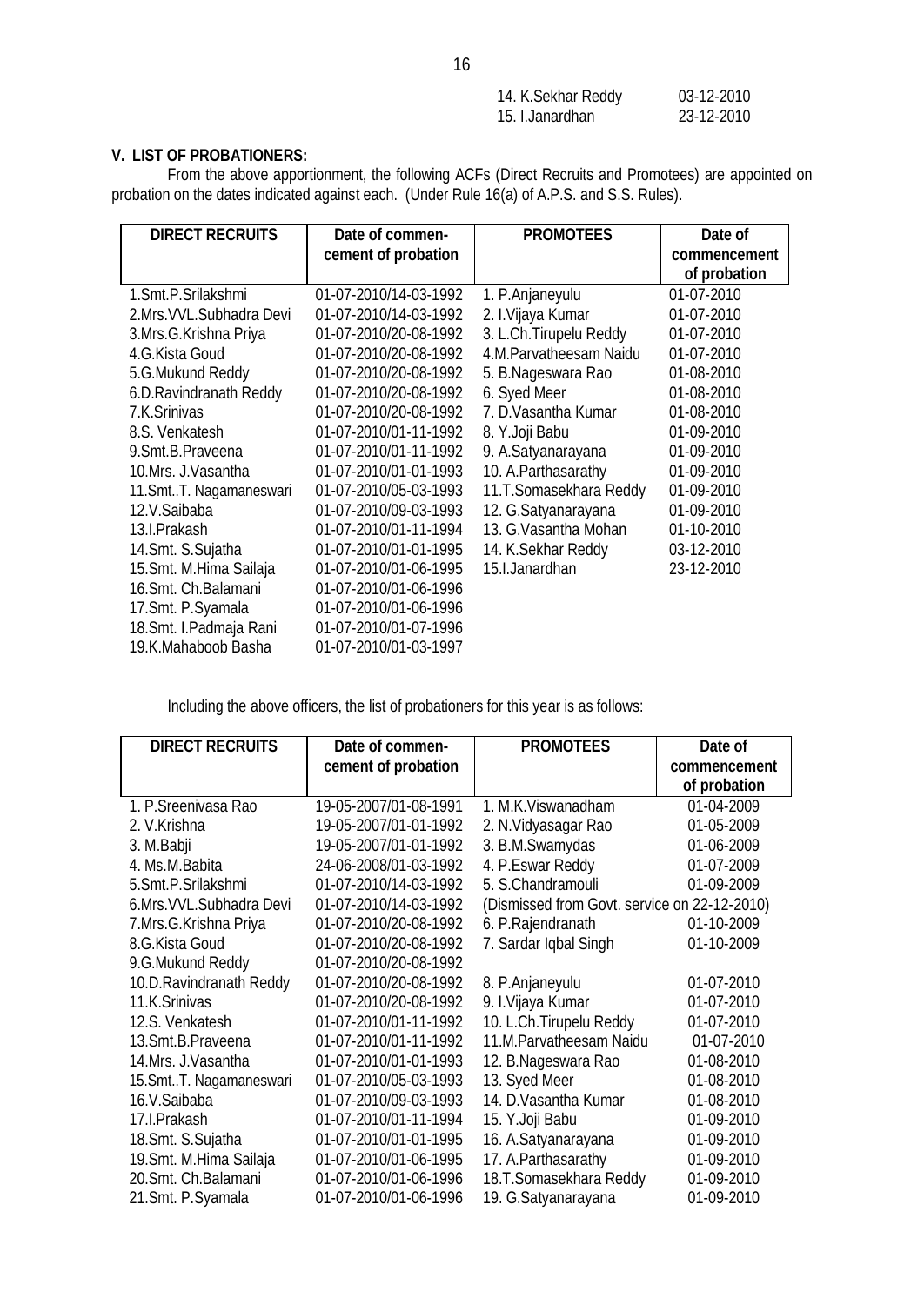| 14. K. Sekhar Reddy | 03-12-2010 |
|---------------------|------------|
| 15. I.Janardhan     | 23-12-2010 |

## **V. LIST OF PROBATIONERS:**

From the above apportionment, the following ACFs (Direct Recruits and Promotees) are appointed on probation on the dates indicated against each. (Under Rule 16(a) of A.P.S. and S.S. Rules).

| <b>DIRECT RECRUITS</b>     | Date of commen-       | <b>PROMOTEES</b>        | Date of      |  |
|----------------------------|-----------------------|-------------------------|--------------|--|
|                            | cement of probation   |                         | commencement |  |
|                            |                       |                         | of probation |  |
| 1.Smt.P.Srilakshmi         | 01-07-2010/14-03-1992 | 1. P.Anjaneyulu         | 01-07-2010   |  |
| 2. Mrs. VVL. Subhadra Devi | 01-07-2010/14-03-1992 | 2. I.Vijaya Kumar       | 01-07-2010   |  |
| 3.Mrs.G.Krishna Priya      | 01-07-2010/20-08-1992 | 3. L.Ch. Tirupelu Reddy | 01-07-2010   |  |
| 4.G.Kista Goud             | 01-07-2010/20-08-1992 | 4.M.Parvatheesam Naidu  | 01-07-2010   |  |
| 5.G.Mukund Reddy           | 01-07-2010/20-08-1992 | 5. B.Nageswara Rao      | 01-08-2010   |  |
| 6.D.Ravindranath Reddy     | 01-07-2010/20-08-1992 | 6. Syed Meer            | 01-08-2010   |  |
| 7.K.Srinivas               | 01-07-2010/20-08-1992 | 7. D. Vasantha Kumar    | 01-08-2010   |  |
| 8.S. Venkatesh             | 01-07-2010/01-11-1992 | 8. Y.Joji Babu          | 01-09-2010   |  |
| 9. Smt. B. Praveena        | 01-07-2010/01-11-1992 | 9. A.Satyanarayana      | 01-09-2010   |  |
| 10.Mrs. J.Vasantha         | 01-07-2010/01-01-1993 | 10. A. Parthasarathy    | 01-09-2010   |  |
| 11. Smt T. Nagamaneswari   | 01-07-2010/05-03-1993 | 11.T.Somasekhara Reddy  | 01-09-2010   |  |
| 12.V.Saibaba               | 01-07-2010/09-03-1993 | 12. G.Satyanarayana     | 01-09-2010   |  |
| 13.I.Prakash               | 01-07-2010/01-11-1994 | 13. G. Vasantha Mohan   | 01-10-2010   |  |
| 14. Smt. S. Sujatha        | 01-07-2010/01-01-1995 | 14. K. Sekhar Reddy     | 03-12-2010   |  |
| 15. Smt. M. Hima Sailaja   | 01-07-2010/01-06-1995 | 15.I.Janardhan          | 23-12-2010   |  |
| 16.Smt. Ch.Balamani        | 01-07-2010/01-06-1996 |                         |              |  |
| 17. Smt. P. Syamala        | 01-07-2010/01-06-1996 |                         |              |  |
| 18. Smt. I. Padmaja Rani   | 01-07-2010/01-07-1996 |                         |              |  |
| 19.K.Mahaboob Basha        | 01-07-2010/01-03-1997 |                         |              |  |

Including the above officers, the list of probationers for this year is as follows:

| <b>DIRECT RECRUITS</b>    | Date of commen-       | <b>PROMOTEES</b>                             | Date of      |
|---------------------------|-----------------------|----------------------------------------------|--------------|
|                           | cement of probation   |                                              | commencement |
|                           |                       |                                              | of probation |
| 1. P. Sreenivasa Rao      | 19-05-2007/01-08-1991 | 1. M.K. Viswanadham                          | 01-04-2009   |
| 2. V.Krishna              | 19-05-2007/01-01-1992 | 2. N. Vidyasagar Rao                         | 01-05-2009   |
| 3. M.Babji                | 19-05-2007/01-01-1992 | 3. B.M.Swamydas                              | 01-06-2009   |
| 4. Ms.M.Babita            | 24-06-2008/01-03-1992 | 4. P.Eswar Reddy                             | 01-07-2009   |
| 5.Smt.P.Srilakshmi        | 01-07-2010/14-03-1992 | 5. S.Chandramouli                            | 01-09-2009   |
| 6.Mrs. VVL. Subhadra Devi | 01-07-2010/14-03-1992 | (Dismissed from Govt. service on 22-12-2010) |              |
| 7.Mrs.G.Krishna Priya     | 01-07-2010/20-08-1992 | 6. P.Rajendranath                            | 01-10-2009   |
| 8.G.Kista Goud            | 01-07-2010/20-08-1992 | 7. Sardar Iqbal Singh                        | 01-10-2009   |
| 9.G.Mukund Reddy          | 01-07-2010/20-08-1992 |                                              |              |
| 10.D.Ravindranath Reddy   | 01-07-2010/20-08-1992 | 8. P.Anjaneyulu                              | 01-07-2010   |
| 11.K.Srinivas             | 01-07-2010/20-08-1992 | 9. I.Vijaya Kumar                            | 01-07-2010   |
| 12.S. Venkatesh           | 01-07-2010/01-11-1992 | 10. L.Ch.Tirupelu Reddy                      | 01-07-2010   |
| 13. Smt. B. Praveena      | 01-07-2010/01-11-1992 | 11.M.Parvatheesam Naidu                      | 01-07-2010   |
| 14.Mrs. J.Vasantha        | 01-07-2010/01-01-1993 | 12. B.Nageswara Rao                          | 01-08-2010   |
| 15. Smt T. Nagamaneswari  | 01-07-2010/05-03-1993 | 13. Syed Meer                                | 01-08-2010   |
| 16.V.Saibaba              | 01-07-2010/09-03-1993 | 14. D. Vasantha Kumar                        | 01-08-2010   |
| 17.I.Prakash              | 01-07-2010/01-11-1994 | 15. Y.Joji Babu                              | 01-09-2010   |
| 18. Smt. S. Sujatha       | 01-07-2010/01-01-1995 | 16. A.Satyanarayana                          | 01-09-2010   |
| 19. Smt. M. Hima Sailaja  | 01-07-2010/01-06-1995 | 17. A. Parthasarathy                         | 01-09-2010   |
| 20.Smt. Ch.Balamani       | 01-07-2010/01-06-1996 | 18.T.Somasekhara Reddy                       | 01-09-2010   |
| 21. Smt. P. Syamala       | 01-07-2010/01-06-1996 | 19. G.Satyanarayana                          | 01-09-2010   |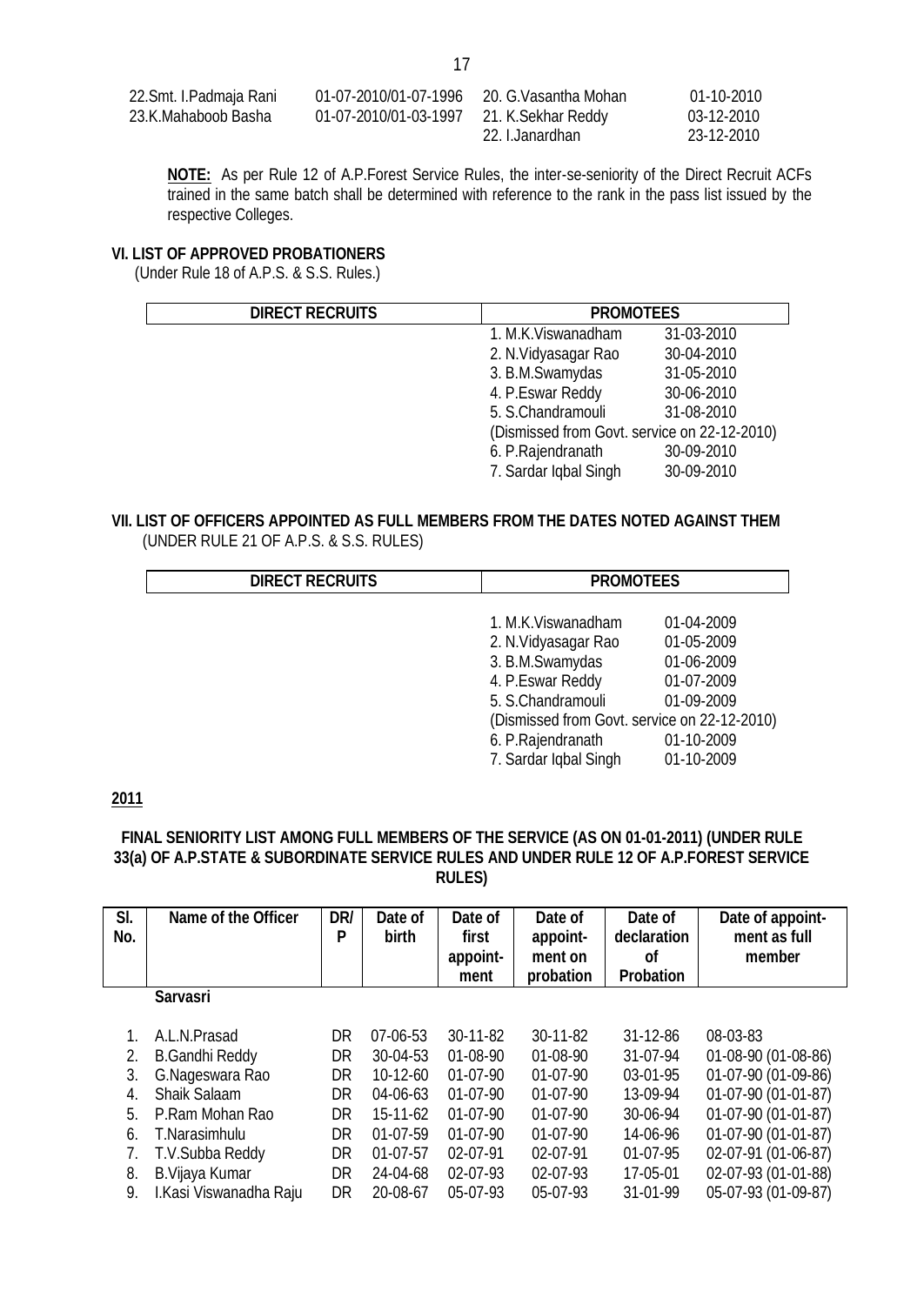| 22.Smt. I.Padmaja Rani | 01-07-2010/01-07-1996 | 20. G.Vasantha Mohan | $01-10-2010$ |
|------------------------|-----------------------|----------------------|--------------|
| 23.K.Mahaboob Basha    | 01-07-2010/01-03-1997 | 21. K. Sekhar Reddy  | 03-12-2010   |
|                        |                       | 22. I.Janardhan      | 23-12-2010   |

**NOTE:** As per Rule 12 of A.P.Forest Service Rules, the inter-se-seniority of the Direct Recruit ACFs trained in the same batch shall be determined with reference to the rank in the pass list issued by the respective Colleges.

#### **VI. LIST OF APPROVED PROBATIONERS**

(Under Rule 18 of A.P.S. & S.S. Rules.)

| <b>DIRECT RECRUITS</b> | <b>PROMOTEES</b>                             |            |  |
|------------------------|----------------------------------------------|------------|--|
|                        | 1. M.K. Viswanadham                          | 31-03-2010 |  |
|                        | 2. N.Vidyasagar Rao                          | 30-04-2010 |  |
|                        | 3. B.M.Swamydas                              | 31-05-2010 |  |
|                        | 4. P.Eswar Reddy                             | 30-06-2010 |  |
|                        | 5. S.Chandramouli                            | 31-08-2010 |  |
|                        | (Dismissed from Govt. service on 22-12-2010) |            |  |
|                        | 6. P.Rajendranath                            | 30-09-2010 |  |
|                        | 7. Sardar Iqbal Singh                        | 30-09-2010 |  |

# **VII. LIST OF OFFICERS APPOINTED AS FULL MEMBERS FROM THE DATES NOTED AGAINST THEM**

| <b>DIRECT RECRUITS</b> | <b>PROMOTEES</b>                             |            |  |
|------------------------|----------------------------------------------|------------|--|
|                        |                                              |            |  |
|                        | 1. M.K.Viswanadham                           | 01-04-2009 |  |
|                        | 2. N. Vidyasagar Rao                         | 01-05-2009 |  |
|                        | 3. B.M.Swamydas                              | 01-06-2009 |  |
|                        | 4. P.Eswar Reddy                             | 01-07-2009 |  |
|                        | 5. S.Chandramouli                            | 01-09-2009 |  |
|                        | (Dismissed from Govt. service on 22-12-2010) |            |  |
|                        | 6. P.Rajendranath                            | 01-10-2009 |  |
|                        | 7. Sardar Iqbal Singh                        | 01-10-2009 |  |

**2011**

## **FINAL SENIORITY LIST AMONG FULL MEMBERS OF THE SERVICE (AS ON 01-01-2011) (UNDER RULE 33(a) OF A.P.STATE & SUBORDINATE SERVICE RULES AND UNDER RULE 12 OF A.P.FOREST SERVICE RULES)**

| SI.<br>No. | Name of the Officer    | DR/<br>P | Date of<br>birth | Date of<br>first<br>appoint-<br>ment | Date of<br>appoint-<br>ment on<br>probation | Date of<br>declaration<br>Οf<br><b>Probation</b> | Date of appoint-<br>ment as full<br>member |
|------------|------------------------|----------|------------------|--------------------------------------|---------------------------------------------|--------------------------------------------------|--------------------------------------------|
|            | <b>Sarvasri</b>        |          |                  |                                      |                                             |                                                  |                                            |
|            |                        |          |                  |                                      |                                             |                                                  |                                            |
|            | A.L.N.Prasad           | DR       | 07-06-53         | $30 - 11 - 82$                       | $30 - 11 - 82$                              | 31-12-86                                         | 08-03-83                                   |
| 2.         | <b>B.Gandhi Reddy</b>  | DR       | $30 - 04 - 53$   | $01-08-90$                           | $01-08-90$                                  | 31-07-94                                         | 01-08-90 (01-08-86)                        |
| 3.         | G.Nageswara Rao        | DR       | $10-12-60$       | $01-07-90$                           | $01-07-90$                                  | 03-01-95                                         | 01-07-90 (01-09-86)                        |
| 4.         | <b>Shaik Salaam</b>    | DR       | 04-06-63         | $01-07-90$                           | $01-07-90$                                  | 13-09-94                                         | 01-07-90 (01-01-87)                        |
| 5.         | P.Ram Mohan Rao        | DR       | $15 - 11 - 62$   | $01-07-90$                           | $01-07-90$                                  | 30-06-94                                         | 01-07-90 (01-01-87)                        |
| 6.         | T.Narasimhulu          | DR       | $01-07-59$       | $01-07-90$                           | $01-07-90$                                  | 14-06-96                                         | 01-07-90 (01-01-87)                        |
|            | T.V.Subba Reddy        | DR       | $01-07-57$       | 02-07-91                             | 02-07-91                                    | $01-07-95$                                       | 02-07-91 (01-06-87)                        |
| 8.         | B. Vijaya Kumar        | DR       | 24-04-68         | 02-07-93                             | 02-07-93                                    | 17-05-01                                         | 02-07-93 (01-01-88)                        |
| 9.         | I.Kasi Viswanadha Raju | DR       | 20-08-67         | 05-07-93                             | 05-07-93                                    | 31-01-99                                         | 05-07-93 (01-09-87)                        |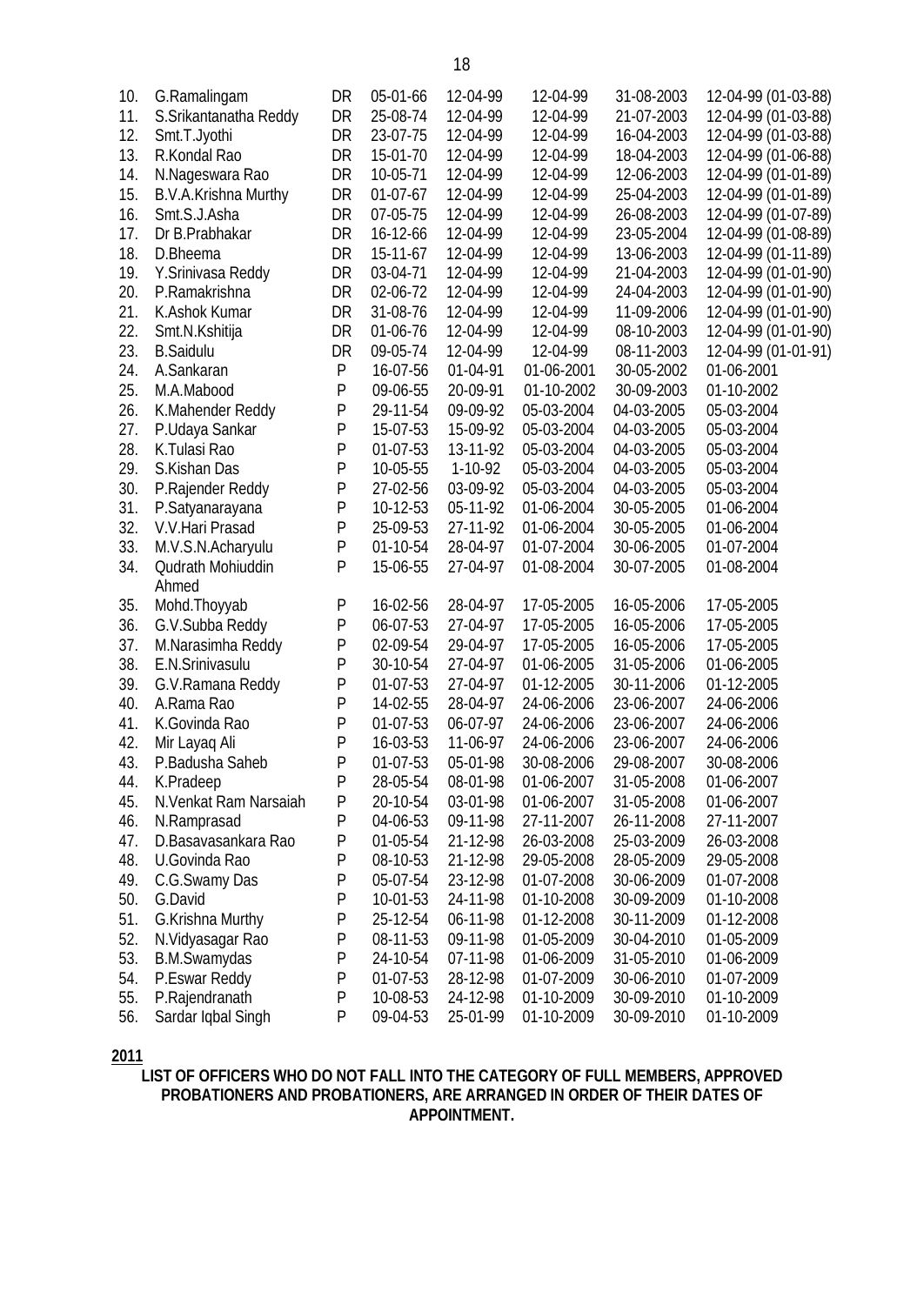| 10. | G.Ramalingam          | DR           | 05-01-66 | 12-04-99  | 12-04-99   | 31-08-2003 | 12-04-99 (01-03-88) |
|-----|-----------------------|--------------|----------|-----------|------------|------------|---------------------|
| 11. | S.Srikantanatha Reddy | DR           | 25-08-74 | 12-04-99  | 12-04-99   | 21-07-2003 | 12-04-99 (01-03-88) |
| 12. | Smt.T.Jyothi          | DR           | 23-07-75 | 12-04-99  | 12-04-99   | 16-04-2003 | 12-04-99 (01-03-88) |
| 13. | R.Kondal Rao          | DR           | 15-01-70 | 12-04-99  | 12-04-99   | 18-04-2003 | 12-04-99 (01-06-88) |
| 14. | N.Nageswara Rao       | DR           | 10-05-71 | 12-04-99  | 12-04-99   | 12-06-2003 | 12-04-99 (01-01-89) |
| 15. | B.V.A.Krishna Murthy  | DR           | 01-07-67 | 12-04-99  | 12-04-99   | 25-04-2003 | 12-04-99 (01-01-89) |
| 16. | Smt.S.J.Asha          | DR           | 07-05-75 | 12-04-99  | 12-04-99   | 26-08-2003 | 12-04-99 (01-07-89) |
| 17. | Dr B.Prabhakar        | DR           | 16-12-66 | 12-04-99  | 12-04-99   | 23-05-2004 | 12-04-99 (01-08-89) |
| 18. | D.Bheema              | DR           | 15-11-67 | 12-04-99  | 12-04-99   | 13-06-2003 | 12-04-99 (01-11-89) |
| 19. | Y.Srinivasa Reddy     | DR           | 03-04-71 | 12-04-99  | 12-04-99   | 21-04-2003 | 12-04-99 (01-01-90) |
| 20. | P.Ramakrishna         | DR           | 02-06-72 | 12-04-99  | 12-04-99   | 24-04-2003 | 12-04-99 (01-01-90) |
| 21. | K.Ashok Kumar         | DR           | 31-08-76 | 12-04-99  | 12-04-99   | 11-09-2006 | 12-04-99 (01-01-90) |
| 22. | Smt.N.Kshitija        | DR           | 01-06-76 | 12-04-99  | 12-04-99   | 08-10-2003 | 12-04-99 (01-01-90) |
| 23. | <b>B.Saidulu</b>      | DR           | 09-05-74 | 12-04-99  | 12-04-99   | 08-11-2003 | 12-04-99 (01-01-91) |
| 24. | A.Sankaran            | ${\sf P}$    | 16-07-56 | 01-04-91  | 01-06-2001 | 30-05-2002 | 01-06-2001          |
| 25. | M.A.Mabood            | ${\sf P}$    | 09-06-55 | 20-09-91  | 01-10-2002 | 30-09-2003 | 01-10-2002          |
| 26. | K.Mahender Reddy      | P            | 29-11-54 | 09-09-92  | 05-03-2004 | 04-03-2005 | 05-03-2004          |
| 27. | P.Udaya Sankar        | $\mathsf{P}$ | 15-07-53 | 15-09-92  | 05-03-2004 | 04-03-2005 | 05-03-2004          |
| 28. | K.Tulasi Rao          | $\mathsf{P}$ | 01-07-53 | 13-11-92  | 05-03-2004 | 04-03-2005 | 05-03-2004          |
| 29. | S.Kishan Das          | $\mathsf{P}$ | 10-05-55 | $1-10-92$ | 05-03-2004 | 04-03-2005 | 05-03-2004          |
| 30. | P.Rajender Reddy      | $\mathsf{P}$ | 27-02-56 | 03-09-92  | 05-03-2004 | 04-03-2005 | 05-03-2004          |
| 31. | P.Satyanarayana       | $\mathsf{P}$ | 10-12-53 | 05-11-92  | 01-06-2004 | 30-05-2005 | 01-06-2004          |
| 32. | V.V. Hari Prasad      | $\mathsf{P}$ | 25-09-53 | 27-11-92  | 01-06-2004 | 30-05-2005 | 01-06-2004          |
| 33. | M.V.S.N.Acharyulu     | $\mathsf{P}$ | 01-10-54 | 28-04-97  | 01-07-2004 | 30-06-2005 | 01-07-2004          |
| 34. | Qudrath Mohiuddin     | P            | 15-06-55 | 27-04-97  | 01-08-2004 | 30-07-2005 | 01-08-2004          |
|     | Ahmed                 |              |          |           |            |            |                     |
| 35. | Mohd.Thoyyab          | P            | 16-02-56 | 28-04-97  | 17-05-2005 | 16-05-2006 | 17-05-2005          |
| 36. | G.V.Subba Reddy       | P            | 06-07-53 | 27-04-97  | 17-05-2005 | 16-05-2006 | 17-05-2005          |
| 37. | M.Narasimha Reddy     | $\mathsf{P}$ | 02-09-54 | 29-04-97  | 17-05-2005 | 16-05-2006 | 17-05-2005          |
| 38. | E.N.Srinivasulu       | $\mathsf{P}$ | 30-10-54 | 27-04-97  | 01-06-2005 | 31-05-2006 | 01-06-2005          |
| 39. | G.V.Ramana Reddy      | ${\sf P}$    | 01-07-53 | 27-04-97  | 01-12-2005 | 30-11-2006 | 01-12-2005          |
| 40. | A.Rama Rao            | $\mathsf{P}$ | 14-02-55 | 28-04-97  | 24-06-2006 | 23-06-2007 | 24-06-2006          |
| 41. | K.Govinda Rao         | $\mathsf{P}$ | 01-07-53 | 06-07-97  | 24-06-2006 | 23-06-2007 | 24-06-2006          |
| 42. | Mir Layaq Ali         | ${\sf P}$    | 16-03-53 | 11-06-97  | 24-06-2006 | 23-06-2007 | 24-06-2006          |
| 43. | P.Badusha Saheb       | $\mathsf{P}$ | 01-07-53 | 05-01-98  | 30-08-2006 | 29-08-2007 | 30-08-2006          |
| 44. | K.Pradeep             | P            | 28-05-54 | 08-01-98  | 01-06-2007 | 31-05-2008 | 01-06-2007          |
| 45. | N.Venkat Ram Narsaiah | P            | 20-10-54 | 03-01-98  | 01-06-2007 | 31-05-2008 | 01-06-2007          |
| 46. | N.Ramprasad           | P            | 04-06-53 | 09-11-98  | 27-11-2007 | 26-11-2008 | 27-11-2007          |
| 47. | D.Basavasankara Rao   | Ρ            | 01-05-54 | 21-12-98  | 26-03-2008 | 25-03-2009 | 26-03-2008          |
| 48. | U.Govinda Rao         | Ρ            | 08-10-53 | 21-12-98  | 29-05-2008 | 28-05-2009 | 29-05-2008          |
| 49. | C.G.Swamy Das         | P            | 05-07-54 | 23-12-98  | 01-07-2008 | 30-06-2009 | 01-07-2008          |
| 50. | G.David               | $\mathsf{P}$ | 10-01-53 | 24-11-98  | 01-10-2008 | 30-09-2009 | 01-10-2008          |
| 51. | G.Krishna Murthy      | P            | 25-12-54 | 06-11-98  | 01-12-2008 | 30-11-2009 | 01-12-2008          |
| 52. | N. Vidyasagar Rao     | $\mathsf{P}$ | 08-11-53 | 09-11-98  | 01-05-2009 | 30-04-2010 | 01-05-2009          |
| 53. | B.M.Swamydas          | P            | 24-10-54 | 07-11-98  | 01-06-2009 | 31-05-2010 | 01-06-2009          |
| 54. | P.Eswar Reddy         | P            | 01-07-53 | 28-12-98  | 01-07-2009 | 30-06-2010 | 01-07-2009          |
| 55. | P.Rajendranath        | P            | 10-08-53 | 24-12-98  | 01-10-2009 | 30-09-2010 | 01-10-2009          |
| 56. | Sardar Iqbal Singh    | P            | 09-04-53 | 25-01-99  | 01-10-2009 | 30-09-2010 | 01-10-2009          |
|     |                       |              |          |           |            |            |                     |

**2011**

**LIST OF OFFICERS WHO DO NOT FALL INTO THE CATEGORY OF FULL MEMBERS, APPROVED PROBATIONERS AND PROBATIONERS, ARE ARRANGED IN ORDER OF THEIR DATES OF APPOINTMENT.**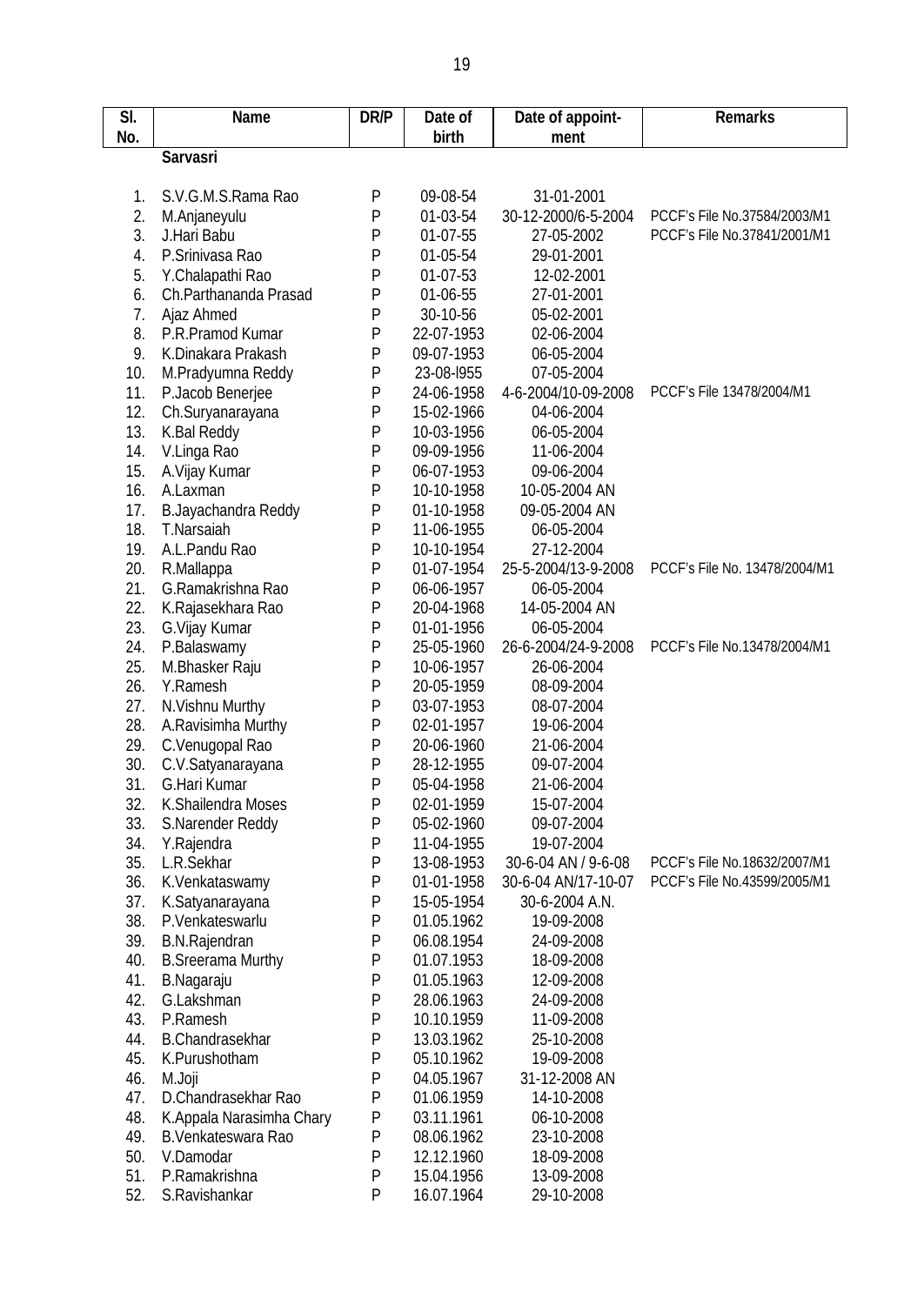| <b>Sarvasri</b><br>P<br>09-08-54<br>31-01-2001<br>S.V.G.M.S.Rama Rao<br>1.<br>2.<br>P<br>01-03-54<br>30-12-2000/6-5-2004<br>PCCF's File No.37584/2003/M1<br>M.Anjaneyulu<br>3.<br>PCCF's File No.37841/2001/M1<br>J.Hari Babu<br>P<br>01-07-55<br>27-05-2002<br>4.<br>P.Srinivasa Rao<br>P<br>01-05-54<br>29-01-2001<br>5.<br>P<br>Y.Chalapathi Rao<br>01-07-53<br>12-02-2001<br>P<br>6.<br>Ch.Parthananda Prasad<br>01-06-55<br>27-01-2001<br>${\sf P}$<br>7.<br>Ajaz Ahmed<br>30-10-56<br>05-02-2001<br>8.<br>${\sf P}$<br>P.R.Pramod Kumar<br>22-07-1953<br>02-06-2004<br>${\sf P}$<br>9.<br>06-05-2004<br>K.Dinakara Prakash<br>09-07-1953<br>${\sf P}$<br>10.<br>23-08-1955<br>07-05-2004<br>M.Pradyumna Reddy<br>P<br>11.<br>PCCF's File 13478/2004/M1<br>P.Jacob Benerjee<br>24-06-1958<br>4-6-2004/10-09-2008<br>12.<br>P<br>15-02-1966<br>04-06-2004<br>Ch.Suryanarayana<br>13.<br>P<br>K.Bal Reddy<br>10-03-1956<br>06-05-2004<br>14.<br>V.Linga Rao<br>P<br>09-09-1956<br>11-06-2004<br>15.<br>P<br>A.Vijay Kumar<br>06-07-1953<br>09-06-2004<br>P<br>16.<br>A.Laxman<br>10-10-1958<br>10-05-2004 AN<br>${\sf P}$<br>17.<br>B.Jayachandra Reddy<br>01-10-1958<br>09-05-2004 AN<br>P<br>18.<br>T.Narsaiah<br>11-06-1955<br>06-05-2004<br>${\sf P}$<br>19.<br>A.L.Pandu Rao<br>27-12-2004<br>10-10-1954<br>${\sf P}$<br>PCCF's File No. 13478/2004/M1<br>20.<br>01-07-1954<br>25-5-2004/13-9-2008<br>R.Mallappa<br>P<br>21.<br>G.Ramakrishna Rao<br>06-06-1957<br>06-05-2004<br>22.<br>P<br>14-05-2004 AN<br>K.Rajasekhara Rao<br>20-04-1968<br>23.<br>G. Vijay Kumar<br>P<br>01-01-1956<br>06-05-2004<br>P<br>PCCF's File No.13478/2004/M1<br>24.<br>P.Balaswamy<br>26-6-2004/24-9-2008<br>25-05-1960<br>25.<br>P<br>10-06-1957<br>M.Bhasker Raju<br>26-06-2004<br>${\sf P}$<br>26.<br>Y.Ramesh<br>20-05-1959<br>08-09-2004<br>${\sf P}$<br>27.<br>N.Vishnu Murthy<br>03-07-1953<br>08-07-2004<br>P<br>28.<br>A.Ravisimha Murthy<br>02-01-1957<br>19-06-2004<br>${\sf P}$<br>29.<br>20-06-1960<br>21-06-2004<br>C.Venugopal Rao<br>P<br>30.<br>C.V.Satyanarayana<br>09-07-2004<br>28-12-1955<br>P<br>31.<br>G.Hari Kumar<br>05-04-1958<br>21-06-2004<br>32.<br>K.Shailendra Moses<br>P<br>02-01-1959<br>15-07-2004<br>33.<br>S.Narender Reddy<br>P<br>05-02-1960<br>09-07-2004<br>34.<br>P<br>19-07-2004<br>Y.Rajendra<br>11-04-1955<br>35.<br>P<br>L.R.Sekhar<br>PCCF's File No.18632/2007/M1<br>13-08-1953<br>30-6-04 AN / 9-6-08<br>P<br>36.<br>K.Venkataswamy<br>30-6-04 AN/17-10-07<br>PCCF's File No.43599/2005/M1<br>01-01-1958<br>P<br>37.<br>15-05-1954<br>30-6-2004 A.N.<br>K.Satyanarayana<br>P<br>38.<br>P.Venkateswarlu<br>01.05.1962<br>19-09-2008<br>P<br>39.<br><b>B.N.Rajendran</b><br>06.08.1954<br>24-09-2008<br>P<br>40.<br><b>B.Sreerama Murthy</b><br>01.07.1953<br>18-09-2008<br>P<br>41.<br>B.Nagaraju<br>01.05.1963<br>12-09-2008<br>42.<br>G.Lakshman<br>P<br>28.06.1963<br>24-09-2008<br>43.<br>P.Ramesh<br>P<br>10.10.1959<br>11-09-2008<br>44.<br>B.Chandrasekhar<br>P<br>13.03.1962<br>25-10-2008<br>P<br>45.<br>K.Purushotham<br>05.10.1962<br>19-09-2008<br>$\mathsf{P}$<br>46.<br>M.Joji<br>04.05.1967<br>31-12-2008 AN<br>P<br>D.Chandrasekhar Rao<br>47.<br>01.06.1959<br>14-10-2008<br>P<br>48.<br>K.Appala Narasimha Chary<br>03.11.1961<br>06-10-2008 | SI.<br>No. | <b>Name</b> | <b>DR/P</b> | Date of appoint-<br>Date of<br>birth<br>ment |  | <b>Remarks</b> |
|-------------------------------------------------------------------------------------------------------------------------------------------------------------------------------------------------------------------------------------------------------------------------------------------------------------------------------------------------------------------------------------------------------------------------------------------------------------------------------------------------------------------------------------------------------------------------------------------------------------------------------------------------------------------------------------------------------------------------------------------------------------------------------------------------------------------------------------------------------------------------------------------------------------------------------------------------------------------------------------------------------------------------------------------------------------------------------------------------------------------------------------------------------------------------------------------------------------------------------------------------------------------------------------------------------------------------------------------------------------------------------------------------------------------------------------------------------------------------------------------------------------------------------------------------------------------------------------------------------------------------------------------------------------------------------------------------------------------------------------------------------------------------------------------------------------------------------------------------------------------------------------------------------------------------------------------------------------------------------------------------------------------------------------------------------------------------------------------------------------------------------------------------------------------------------------------------------------------------------------------------------------------------------------------------------------------------------------------------------------------------------------------------------------------------------------------------------------------------------------------------------------------------------------------------------------------------------------------------------------------------------------------------------------------------------------------------------------------------------------------------------------------------------------------------------------------------------------------------------------------------------------------------------------------------------------------------------------------------------------------------------------------------------------------------------------------------------------------------------------------------------------------------------------------------------------------------------------------------------------------------------------------------------------------------------|------------|-------------|-------------|----------------------------------------------|--|----------------|
|                                                                                                                                                                                                                                                                                                                                                                                                                                                                                                                                                                                                                                                                                                                                                                                                                                                                                                                                                                                                                                                                                                                                                                                                                                                                                                                                                                                                                                                                                                                                                                                                                                                                                                                                                                                                                                                                                                                                                                                                                                                                                                                                                                                                                                                                                                                                                                                                                                                                                                                                                                                                                                                                                                                                                                                                                                                                                                                                                                                                                                                                                                                                                                                                                                                                                                       |            |             |             |                                              |  |                |
|                                                                                                                                                                                                                                                                                                                                                                                                                                                                                                                                                                                                                                                                                                                                                                                                                                                                                                                                                                                                                                                                                                                                                                                                                                                                                                                                                                                                                                                                                                                                                                                                                                                                                                                                                                                                                                                                                                                                                                                                                                                                                                                                                                                                                                                                                                                                                                                                                                                                                                                                                                                                                                                                                                                                                                                                                                                                                                                                                                                                                                                                                                                                                                                                                                                                                                       |            |             |             |                                              |  |                |
|                                                                                                                                                                                                                                                                                                                                                                                                                                                                                                                                                                                                                                                                                                                                                                                                                                                                                                                                                                                                                                                                                                                                                                                                                                                                                                                                                                                                                                                                                                                                                                                                                                                                                                                                                                                                                                                                                                                                                                                                                                                                                                                                                                                                                                                                                                                                                                                                                                                                                                                                                                                                                                                                                                                                                                                                                                                                                                                                                                                                                                                                                                                                                                                                                                                                                                       |            |             |             |                                              |  |                |
|                                                                                                                                                                                                                                                                                                                                                                                                                                                                                                                                                                                                                                                                                                                                                                                                                                                                                                                                                                                                                                                                                                                                                                                                                                                                                                                                                                                                                                                                                                                                                                                                                                                                                                                                                                                                                                                                                                                                                                                                                                                                                                                                                                                                                                                                                                                                                                                                                                                                                                                                                                                                                                                                                                                                                                                                                                                                                                                                                                                                                                                                                                                                                                                                                                                                                                       |            |             |             |                                              |  |                |
|                                                                                                                                                                                                                                                                                                                                                                                                                                                                                                                                                                                                                                                                                                                                                                                                                                                                                                                                                                                                                                                                                                                                                                                                                                                                                                                                                                                                                                                                                                                                                                                                                                                                                                                                                                                                                                                                                                                                                                                                                                                                                                                                                                                                                                                                                                                                                                                                                                                                                                                                                                                                                                                                                                                                                                                                                                                                                                                                                                                                                                                                                                                                                                                                                                                                                                       |            |             |             |                                              |  |                |
|                                                                                                                                                                                                                                                                                                                                                                                                                                                                                                                                                                                                                                                                                                                                                                                                                                                                                                                                                                                                                                                                                                                                                                                                                                                                                                                                                                                                                                                                                                                                                                                                                                                                                                                                                                                                                                                                                                                                                                                                                                                                                                                                                                                                                                                                                                                                                                                                                                                                                                                                                                                                                                                                                                                                                                                                                                                                                                                                                                                                                                                                                                                                                                                                                                                                                                       |            |             |             |                                              |  |                |
|                                                                                                                                                                                                                                                                                                                                                                                                                                                                                                                                                                                                                                                                                                                                                                                                                                                                                                                                                                                                                                                                                                                                                                                                                                                                                                                                                                                                                                                                                                                                                                                                                                                                                                                                                                                                                                                                                                                                                                                                                                                                                                                                                                                                                                                                                                                                                                                                                                                                                                                                                                                                                                                                                                                                                                                                                                                                                                                                                                                                                                                                                                                                                                                                                                                                                                       |            |             |             |                                              |  |                |
|                                                                                                                                                                                                                                                                                                                                                                                                                                                                                                                                                                                                                                                                                                                                                                                                                                                                                                                                                                                                                                                                                                                                                                                                                                                                                                                                                                                                                                                                                                                                                                                                                                                                                                                                                                                                                                                                                                                                                                                                                                                                                                                                                                                                                                                                                                                                                                                                                                                                                                                                                                                                                                                                                                                                                                                                                                                                                                                                                                                                                                                                                                                                                                                                                                                                                                       |            |             |             |                                              |  |                |
|                                                                                                                                                                                                                                                                                                                                                                                                                                                                                                                                                                                                                                                                                                                                                                                                                                                                                                                                                                                                                                                                                                                                                                                                                                                                                                                                                                                                                                                                                                                                                                                                                                                                                                                                                                                                                                                                                                                                                                                                                                                                                                                                                                                                                                                                                                                                                                                                                                                                                                                                                                                                                                                                                                                                                                                                                                                                                                                                                                                                                                                                                                                                                                                                                                                                                                       |            |             |             |                                              |  |                |
|                                                                                                                                                                                                                                                                                                                                                                                                                                                                                                                                                                                                                                                                                                                                                                                                                                                                                                                                                                                                                                                                                                                                                                                                                                                                                                                                                                                                                                                                                                                                                                                                                                                                                                                                                                                                                                                                                                                                                                                                                                                                                                                                                                                                                                                                                                                                                                                                                                                                                                                                                                                                                                                                                                                                                                                                                                                                                                                                                                                                                                                                                                                                                                                                                                                                                                       |            |             |             |                                              |  |                |
|                                                                                                                                                                                                                                                                                                                                                                                                                                                                                                                                                                                                                                                                                                                                                                                                                                                                                                                                                                                                                                                                                                                                                                                                                                                                                                                                                                                                                                                                                                                                                                                                                                                                                                                                                                                                                                                                                                                                                                                                                                                                                                                                                                                                                                                                                                                                                                                                                                                                                                                                                                                                                                                                                                                                                                                                                                                                                                                                                                                                                                                                                                                                                                                                                                                                                                       |            |             |             |                                              |  |                |
|                                                                                                                                                                                                                                                                                                                                                                                                                                                                                                                                                                                                                                                                                                                                                                                                                                                                                                                                                                                                                                                                                                                                                                                                                                                                                                                                                                                                                                                                                                                                                                                                                                                                                                                                                                                                                                                                                                                                                                                                                                                                                                                                                                                                                                                                                                                                                                                                                                                                                                                                                                                                                                                                                                                                                                                                                                                                                                                                                                                                                                                                                                                                                                                                                                                                                                       |            |             |             |                                              |  |                |
|                                                                                                                                                                                                                                                                                                                                                                                                                                                                                                                                                                                                                                                                                                                                                                                                                                                                                                                                                                                                                                                                                                                                                                                                                                                                                                                                                                                                                                                                                                                                                                                                                                                                                                                                                                                                                                                                                                                                                                                                                                                                                                                                                                                                                                                                                                                                                                                                                                                                                                                                                                                                                                                                                                                                                                                                                                                                                                                                                                                                                                                                                                                                                                                                                                                                                                       |            |             |             |                                              |  |                |
|                                                                                                                                                                                                                                                                                                                                                                                                                                                                                                                                                                                                                                                                                                                                                                                                                                                                                                                                                                                                                                                                                                                                                                                                                                                                                                                                                                                                                                                                                                                                                                                                                                                                                                                                                                                                                                                                                                                                                                                                                                                                                                                                                                                                                                                                                                                                                                                                                                                                                                                                                                                                                                                                                                                                                                                                                                                                                                                                                                                                                                                                                                                                                                                                                                                                                                       |            |             |             |                                              |  |                |
|                                                                                                                                                                                                                                                                                                                                                                                                                                                                                                                                                                                                                                                                                                                                                                                                                                                                                                                                                                                                                                                                                                                                                                                                                                                                                                                                                                                                                                                                                                                                                                                                                                                                                                                                                                                                                                                                                                                                                                                                                                                                                                                                                                                                                                                                                                                                                                                                                                                                                                                                                                                                                                                                                                                                                                                                                                                                                                                                                                                                                                                                                                                                                                                                                                                                                                       |            |             |             |                                              |  |                |
|                                                                                                                                                                                                                                                                                                                                                                                                                                                                                                                                                                                                                                                                                                                                                                                                                                                                                                                                                                                                                                                                                                                                                                                                                                                                                                                                                                                                                                                                                                                                                                                                                                                                                                                                                                                                                                                                                                                                                                                                                                                                                                                                                                                                                                                                                                                                                                                                                                                                                                                                                                                                                                                                                                                                                                                                                                                                                                                                                                                                                                                                                                                                                                                                                                                                                                       |            |             |             |                                              |  |                |
|                                                                                                                                                                                                                                                                                                                                                                                                                                                                                                                                                                                                                                                                                                                                                                                                                                                                                                                                                                                                                                                                                                                                                                                                                                                                                                                                                                                                                                                                                                                                                                                                                                                                                                                                                                                                                                                                                                                                                                                                                                                                                                                                                                                                                                                                                                                                                                                                                                                                                                                                                                                                                                                                                                                                                                                                                                                                                                                                                                                                                                                                                                                                                                                                                                                                                                       |            |             |             |                                              |  |                |
|                                                                                                                                                                                                                                                                                                                                                                                                                                                                                                                                                                                                                                                                                                                                                                                                                                                                                                                                                                                                                                                                                                                                                                                                                                                                                                                                                                                                                                                                                                                                                                                                                                                                                                                                                                                                                                                                                                                                                                                                                                                                                                                                                                                                                                                                                                                                                                                                                                                                                                                                                                                                                                                                                                                                                                                                                                                                                                                                                                                                                                                                                                                                                                                                                                                                                                       |            |             |             |                                              |  |                |
|                                                                                                                                                                                                                                                                                                                                                                                                                                                                                                                                                                                                                                                                                                                                                                                                                                                                                                                                                                                                                                                                                                                                                                                                                                                                                                                                                                                                                                                                                                                                                                                                                                                                                                                                                                                                                                                                                                                                                                                                                                                                                                                                                                                                                                                                                                                                                                                                                                                                                                                                                                                                                                                                                                                                                                                                                                                                                                                                                                                                                                                                                                                                                                                                                                                                                                       |            |             |             |                                              |  |                |
|                                                                                                                                                                                                                                                                                                                                                                                                                                                                                                                                                                                                                                                                                                                                                                                                                                                                                                                                                                                                                                                                                                                                                                                                                                                                                                                                                                                                                                                                                                                                                                                                                                                                                                                                                                                                                                                                                                                                                                                                                                                                                                                                                                                                                                                                                                                                                                                                                                                                                                                                                                                                                                                                                                                                                                                                                                                                                                                                                                                                                                                                                                                                                                                                                                                                                                       |            |             |             |                                              |  |                |
|                                                                                                                                                                                                                                                                                                                                                                                                                                                                                                                                                                                                                                                                                                                                                                                                                                                                                                                                                                                                                                                                                                                                                                                                                                                                                                                                                                                                                                                                                                                                                                                                                                                                                                                                                                                                                                                                                                                                                                                                                                                                                                                                                                                                                                                                                                                                                                                                                                                                                                                                                                                                                                                                                                                                                                                                                                                                                                                                                                                                                                                                                                                                                                                                                                                                                                       |            |             |             |                                              |  |                |
|                                                                                                                                                                                                                                                                                                                                                                                                                                                                                                                                                                                                                                                                                                                                                                                                                                                                                                                                                                                                                                                                                                                                                                                                                                                                                                                                                                                                                                                                                                                                                                                                                                                                                                                                                                                                                                                                                                                                                                                                                                                                                                                                                                                                                                                                                                                                                                                                                                                                                                                                                                                                                                                                                                                                                                                                                                                                                                                                                                                                                                                                                                                                                                                                                                                                                                       |            |             |             |                                              |  |                |
|                                                                                                                                                                                                                                                                                                                                                                                                                                                                                                                                                                                                                                                                                                                                                                                                                                                                                                                                                                                                                                                                                                                                                                                                                                                                                                                                                                                                                                                                                                                                                                                                                                                                                                                                                                                                                                                                                                                                                                                                                                                                                                                                                                                                                                                                                                                                                                                                                                                                                                                                                                                                                                                                                                                                                                                                                                                                                                                                                                                                                                                                                                                                                                                                                                                                                                       |            |             |             |                                              |  |                |
|                                                                                                                                                                                                                                                                                                                                                                                                                                                                                                                                                                                                                                                                                                                                                                                                                                                                                                                                                                                                                                                                                                                                                                                                                                                                                                                                                                                                                                                                                                                                                                                                                                                                                                                                                                                                                                                                                                                                                                                                                                                                                                                                                                                                                                                                                                                                                                                                                                                                                                                                                                                                                                                                                                                                                                                                                                                                                                                                                                                                                                                                                                                                                                                                                                                                                                       |            |             |             |                                              |  |                |
|                                                                                                                                                                                                                                                                                                                                                                                                                                                                                                                                                                                                                                                                                                                                                                                                                                                                                                                                                                                                                                                                                                                                                                                                                                                                                                                                                                                                                                                                                                                                                                                                                                                                                                                                                                                                                                                                                                                                                                                                                                                                                                                                                                                                                                                                                                                                                                                                                                                                                                                                                                                                                                                                                                                                                                                                                                                                                                                                                                                                                                                                                                                                                                                                                                                                                                       |            |             |             |                                              |  |                |
|                                                                                                                                                                                                                                                                                                                                                                                                                                                                                                                                                                                                                                                                                                                                                                                                                                                                                                                                                                                                                                                                                                                                                                                                                                                                                                                                                                                                                                                                                                                                                                                                                                                                                                                                                                                                                                                                                                                                                                                                                                                                                                                                                                                                                                                                                                                                                                                                                                                                                                                                                                                                                                                                                                                                                                                                                                                                                                                                                                                                                                                                                                                                                                                                                                                                                                       |            |             |             |                                              |  |                |
|                                                                                                                                                                                                                                                                                                                                                                                                                                                                                                                                                                                                                                                                                                                                                                                                                                                                                                                                                                                                                                                                                                                                                                                                                                                                                                                                                                                                                                                                                                                                                                                                                                                                                                                                                                                                                                                                                                                                                                                                                                                                                                                                                                                                                                                                                                                                                                                                                                                                                                                                                                                                                                                                                                                                                                                                                                                                                                                                                                                                                                                                                                                                                                                                                                                                                                       |            |             |             |                                              |  |                |
|                                                                                                                                                                                                                                                                                                                                                                                                                                                                                                                                                                                                                                                                                                                                                                                                                                                                                                                                                                                                                                                                                                                                                                                                                                                                                                                                                                                                                                                                                                                                                                                                                                                                                                                                                                                                                                                                                                                                                                                                                                                                                                                                                                                                                                                                                                                                                                                                                                                                                                                                                                                                                                                                                                                                                                                                                                                                                                                                                                                                                                                                                                                                                                                                                                                                                                       |            |             |             |                                              |  |                |
|                                                                                                                                                                                                                                                                                                                                                                                                                                                                                                                                                                                                                                                                                                                                                                                                                                                                                                                                                                                                                                                                                                                                                                                                                                                                                                                                                                                                                                                                                                                                                                                                                                                                                                                                                                                                                                                                                                                                                                                                                                                                                                                                                                                                                                                                                                                                                                                                                                                                                                                                                                                                                                                                                                                                                                                                                                                                                                                                                                                                                                                                                                                                                                                                                                                                                                       |            |             |             |                                              |  |                |
|                                                                                                                                                                                                                                                                                                                                                                                                                                                                                                                                                                                                                                                                                                                                                                                                                                                                                                                                                                                                                                                                                                                                                                                                                                                                                                                                                                                                                                                                                                                                                                                                                                                                                                                                                                                                                                                                                                                                                                                                                                                                                                                                                                                                                                                                                                                                                                                                                                                                                                                                                                                                                                                                                                                                                                                                                                                                                                                                                                                                                                                                                                                                                                                                                                                                                                       |            |             |             |                                              |  |                |
|                                                                                                                                                                                                                                                                                                                                                                                                                                                                                                                                                                                                                                                                                                                                                                                                                                                                                                                                                                                                                                                                                                                                                                                                                                                                                                                                                                                                                                                                                                                                                                                                                                                                                                                                                                                                                                                                                                                                                                                                                                                                                                                                                                                                                                                                                                                                                                                                                                                                                                                                                                                                                                                                                                                                                                                                                                                                                                                                                                                                                                                                                                                                                                                                                                                                                                       |            |             |             |                                              |  |                |
|                                                                                                                                                                                                                                                                                                                                                                                                                                                                                                                                                                                                                                                                                                                                                                                                                                                                                                                                                                                                                                                                                                                                                                                                                                                                                                                                                                                                                                                                                                                                                                                                                                                                                                                                                                                                                                                                                                                                                                                                                                                                                                                                                                                                                                                                                                                                                                                                                                                                                                                                                                                                                                                                                                                                                                                                                                                                                                                                                                                                                                                                                                                                                                                                                                                                                                       |            |             |             |                                              |  |                |
|                                                                                                                                                                                                                                                                                                                                                                                                                                                                                                                                                                                                                                                                                                                                                                                                                                                                                                                                                                                                                                                                                                                                                                                                                                                                                                                                                                                                                                                                                                                                                                                                                                                                                                                                                                                                                                                                                                                                                                                                                                                                                                                                                                                                                                                                                                                                                                                                                                                                                                                                                                                                                                                                                                                                                                                                                                                                                                                                                                                                                                                                                                                                                                                                                                                                                                       |            |             |             |                                              |  |                |
|                                                                                                                                                                                                                                                                                                                                                                                                                                                                                                                                                                                                                                                                                                                                                                                                                                                                                                                                                                                                                                                                                                                                                                                                                                                                                                                                                                                                                                                                                                                                                                                                                                                                                                                                                                                                                                                                                                                                                                                                                                                                                                                                                                                                                                                                                                                                                                                                                                                                                                                                                                                                                                                                                                                                                                                                                                                                                                                                                                                                                                                                                                                                                                                                                                                                                                       |            |             |             |                                              |  |                |
|                                                                                                                                                                                                                                                                                                                                                                                                                                                                                                                                                                                                                                                                                                                                                                                                                                                                                                                                                                                                                                                                                                                                                                                                                                                                                                                                                                                                                                                                                                                                                                                                                                                                                                                                                                                                                                                                                                                                                                                                                                                                                                                                                                                                                                                                                                                                                                                                                                                                                                                                                                                                                                                                                                                                                                                                                                                                                                                                                                                                                                                                                                                                                                                                                                                                                                       |            |             |             |                                              |  |                |
|                                                                                                                                                                                                                                                                                                                                                                                                                                                                                                                                                                                                                                                                                                                                                                                                                                                                                                                                                                                                                                                                                                                                                                                                                                                                                                                                                                                                                                                                                                                                                                                                                                                                                                                                                                                                                                                                                                                                                                                                                                                                                                                                                                                                                                                                                                                                                                                                                                                                                                                                                                                                                                                                                                                                                                                                                                                                                                                                                                                                                                                                                                                                                                                                                                                                                                       |            |             |             |                                              |  |                |
|                                                                                                                                                                                                                                                                                                                                                                                                                                                                                                                                                                                                                                                                                                                                                                                                                                                                                                                                                                                                                                                                                                                                                                                                                                                                                                                                                                                                                                                                                                                                                                                                                                                                                                                                                                                                                                                                                                                                                                                                                                                                                                                                                                                                                                                                                                                                                                                                                                                                                                                                                                                                                                                                                                                                                                                                                                                                                                                                                                                                                                                                                                                                                                                                                                                                                                       |            |             |             |                                              |  |                |
|                                                                                                                                                                                                                                                                                                                                                                                                                                                                                                                                                                                                                                                                                                                                                                                                                                                                                                                                                                                                                                                                                                                                                                                                                                                                                                                                                                                                                                                                                                                                                                                                                                                                                                                                                                                                                                                                                                                                                                                                                                                                                                                                                                                                                                                                                                                                                                                                                                                                                                                                                                                                                                                                                                                                                                                                                                                                                                                                                                                                                                                                                                                                                                                                                                                                                                       |            |             |             |                                              |  |                |
|                                                                                                                                                                                                                                                                                                                                                                                                                                                                                                                                                                                                                                                                                                                                                                                                                                                                                                                                                                                                                                                                                                                                                                                                                                                                                                                                                                                                                                                                                                                                                                                                                                                                                                                                                                                                                                                                                                                                                                                                                                                                                                                                                                                                                                                                                                                                                                                                                                                                                                                                                                                                                                                                                                                                                                                                                                                                                                                                                                                                                                                                                                                                                                                                                                                                                                       |            |             |             |                                              |  |                |
|                                                                                                                                                                                                                                                                                                                                                                                                                                                                                                                                                                                                                                                                                                                                                                                                                                                                                                                                                                                                                                                                                                                                                                                                                                                                                                                                                                                                                                                                                                                                                                                                                                                                                                                                                                                                                                                                                                                                                                                                                                                                                                                                                                                                                                                                                                                                                                                                                                                                                                                                                                                                                                                                                                                                                                                                                                                                                                                                                                                                                                                                                                                                                                                                                                                                                                       |            |             |             |                                              |  |                |
|                                                                                                                                                                                                                                                                                                                                                                                                                                                                                                                                                                                                                                                                                                                                                                                                                                                                                                                                                                                                                                                                                                                                                                                                                                                                                                                                                                                                                                                                                                                                                                                                                                                                                                                                                                                                                                                                                                                                                                                                                                                                                                                                                                                                                                                                                                                                                                                                                                                                                                                                                                                                                                                                                                                                                                                                                                                                                                                                                                                                                                                                                                                                                                                                                                                                                                       |            |             |             |                                              |  |                |
|                                                                                                                                                                                                                                                                                                                                                                                                                                                                                                                                                                                                                                                                                                                                                                                                                                                                                                                                                                                                                                                                                                                                                                                                                                                                                                                                                                                                                                                                                                                                                                                                                                                                                                                                                                                                                                                                                                                                                                                                                                                                                                                                                                                                                                                                                                                                                                                                                                                                                                                                                                                                                                                                                                                                                                                                                                                                                                                                                                                                                                                                                                                                                                                                                                                                                                       |            |             |             |                                              |  |                |
|                                                                                                                                                                                                                                                                                                                                                                                                                                                                                                                                                                                                                                                                                                                                                                                                                                                                                                                                                                                                                                                                                                                                                                                                                                                                                                                                                                                                                                                                                                                                                                                                                                                                                                                                                                                                                                                                                                                                                                                                                                                                                                                                                                                                                                                                                                                                                                                                                                                                                                                                                                                                                                                                                                                                                                                                                                                                                                                                                                                                                                                                                                                                                                                                                                                                                                       |            |             |             |                                              |  |                |
|                                                                                                                                                                                                                                                                                                                                                                                                                                                                                                                                                                                                                                                                                                                                                                                                                                                                                                                                                                                                                                                                                                                                                                                                                                                                                                                                                                                                                                                                                                                                                                                                                                                                                                                                                                                                                                                                                                                                                                                                                                                                                                                                                                                                                                                                                                                                                                                                                                                                                                                                                                                                                                                                                                                                                                                                                                                                                                                                                                                                                                                                                                                                                                                                                                                                                                       |            |             |             |                                              |  |                |
|                                                                                                                                                                                                                                                                                                                                                                                                                                                                                                                                                                                                                                                                                                                                                                                                                                                                                                                                                                                                                                                                                                                                                                                                                                                                                                                                                                                                                                                                                                                                                                                                                                                                                                                                                                                                                                                                                                                                                                                                                                                                                                                                                                                                                                                                                                                                                                                                                                                                                                                                                                                                                                                                                                                                                                                                                                                                                                                                                                                                                                                                                                                                                                                                                                                                                                       |            |             |             |                                              |  |                |
|                                                                                                                                                                                                                                                                                                                                                                                                                                                                                                                                                                                                                                                                                                                                                                                                                                                                                                                                                                                                                                                                                                                                                                                                                                                                                                                                                                                                                                                                                                                                                                                                                                                                                                                                                                                                                                                                                                                                                                                                                                                                                                                                                                                                                                                                                                                                                                                                                                                                                                                                                                                                                                                                                                                                                                                                                                                                                                                                                                                                                                                                                                                                                                                                                                                                                                       |            |             |             |                                              |  |                |
|                                                                                                                                                                                                                                                                                                                                                                                                                                                                                                                                                                                                                                                                                                                                                                                                                                                                                                                                                                                                                                                                                                                                                                                                                                                                                                                                                                                                                                                                                                                                                                                                                                                                                                                                                                                                                                                                                                                                                                                                                                                                                                                                                                                                                                                                                                                                                                                                                                                                                                                                                                                                                                                                                                                                                                                                                                                                                                                                                                                                                                                                                                                                                                                                                                                                                                       |            |             |             |                                              |  |                |
|                                                                                                                                                                                                                                                                                                                                                                                                                                                                                                                                                                                                                                                                                                                                                                                                                                                                                                                                                                                                                                                                                                                                                                                                                                                                                                                                                                                                                                                                                                                                                                                                                                                                                                                                                                                                                                                                                                                                                                                                                                                                                                                                                                                                                                                                                                                                                                                                                                                                                                                                                                                                                                                                                                                                                                                                                                                                                                                                                                                                                                                                                                                                                                                                                                                                                                       |            |             |             |                                              |  |                |
|                                                                                                                                                                                                                                                                                                                                                                                                                                                                                                                                                                                                                                                                                                                                                                                                                                                                                                                                                                                                                                                                                                                                                                                                                                                                                                                                                                                                                                                                                                                                                                                                                                                                                                                                                                                                                                                                                                                                                                                                                                                                                                                                                                                                                                                                                                                                                                                                                                                                                                                                                                                                                                                                                                                                                                                                                                                                                                                                                                                                                                                                                                                                                                                                                                                                                                       |            |             |             |                                              |  |                |
| P<br>49.<br>B.Venkateswara Rao<br>08.06.1962<br>23-10-2008<br>P                                                                                                                                                                                                                                                                                                                                                                                                                                                                                                                                                                                                                                                                                                                                                                                                                                                                                                                                                                                                                                                                                                                                                                                                                                                                                                                                                                                                                                                                                                                                                                                                                                                                                                                                                                                                                                                                                                                                                                                                                                                                                                                                                                                                                                                                                                                                                                                                                                                                                                                                                                                                                                                                                                                                                                                                                                                                                                                                                                                                                                                                                                                                                                                                                                       |            |             |             |                                              |  |                |
| 50.<br>V.Damodar<br>12.12.1960<br>18-09-2008<br>51.<br>P<br>P.Ramakrishna                                                                                                                                                                                                                                                                                                                                                                                                                                                                                                                                                                                                                                                                                                                                                                                                                                                                                                                                                                                                                                                                                                                                                                                                                                                                                                                                                                                                                                                                                                                                                                                                                                                                                                                                                                                                                                                                                                                                                                                                                                                                                                                                                                                                                                                                                                                                                                                                                                                                                                                                                                                                                                                                                                                                                                                                                                                                                                                                                                                                                                                                                                                                                                                                                             |            |             |             |                                              |  |                |
| 15.04.1956<br>13-09-2008<br>52.<br>P<br>S.Ravishankar<br>16.07.1964<br>29-10-2008                                                                                                                                                                                                                                                                                                                                                                                                                                                                                                                                                                                                                                                                                                                                                                                                                                                                                                                                                                                                                                                                                                                                                                                                                                                                                                                                                                                                                                                                                                                                                                                                                                                                                                                                                                                                                                                                                                                                                                                                                                                                                                                                                                                                                                                                                                                                                                                                                                                                                                                                                                                                                                                                                                                                                                                                                                                                                                                                                                                                                                                                                                                                                                                                                     |            |             |             |                                              |  |                |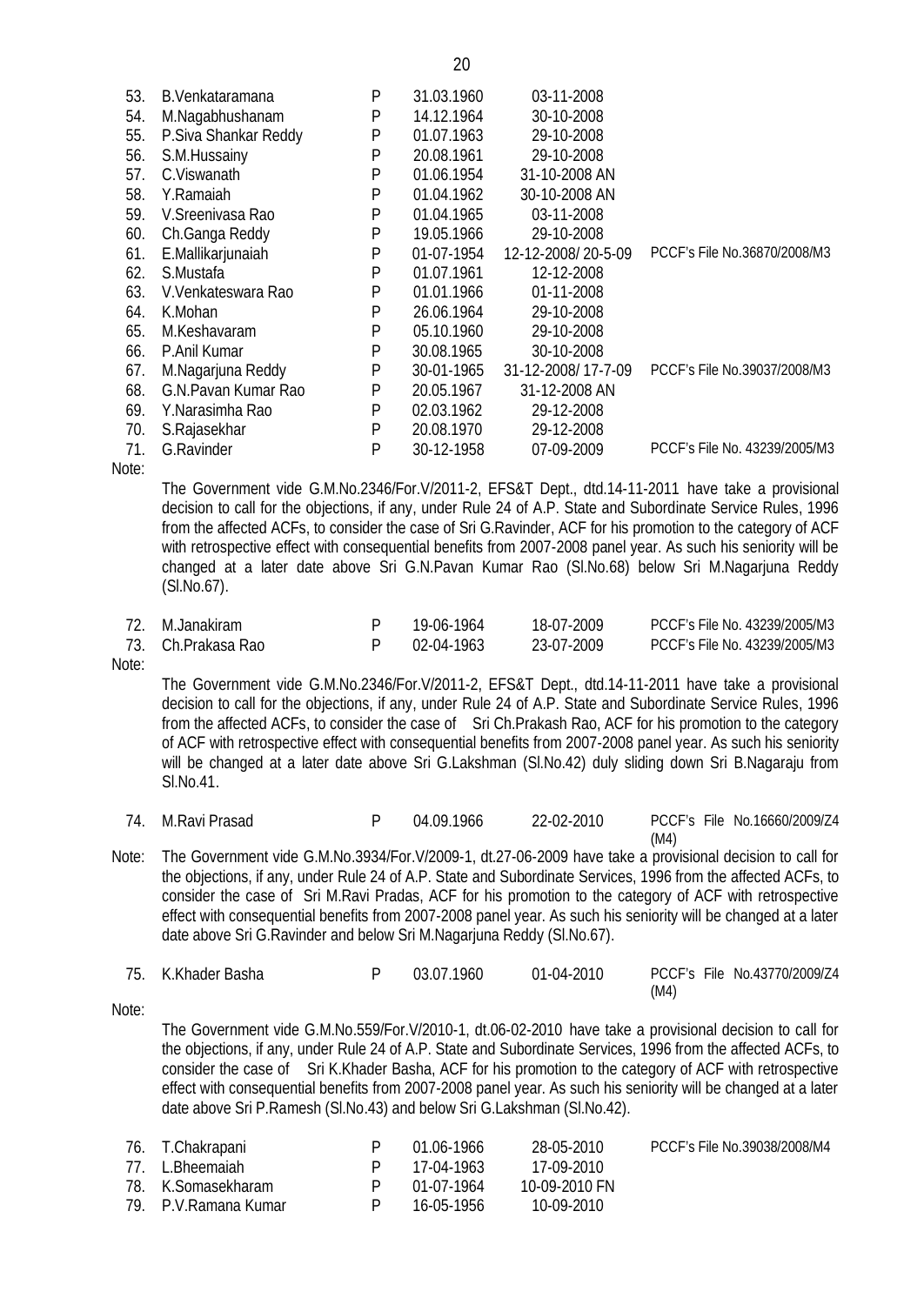| 53. | B.Venkataramana      | P | 31.03.1960 | 03-11-2008         |                               |
|-----|----------------------|---|------------|--------------------|-------------------------------|
| 54. | M.Nagabhushanam      | P | 14.12.1964 | 30-10-2008         |                               |
| 55. | P.Siva Shankar Reddy | P | 01.07.1963 | 29-10-2008         |                               |
| 56. | S.M.Hussainy         | P | 20.08.1961 | 29-10-2008         |                               |
| 57. | C.Viswanath          | P | 01.06.1954 | 31-10-2008 AN      |                               |
| 58. | Y.Ramaiah            | P | 01.04.1962 | 30-10-2008 AN      |                               |
| 59. | V. Sreenivasa Rao    | P | 01.04.1965 | 03-11-2008         |                               |
| 60. | Ch.Ganga Reddy       | Ρ | 19.05.1966 | 29-10-2008         |                               |
| 61. | E.Mallikarjunaiah    | P | 01-07-1954 | 12-12-2008/20-5-09 | PCCF's File No.36870/2008/M3  |
| 62. | S.Mustafa            | P | 01.07.1961 | 12-12-2008         |                               |
| 63. | V.Venkateswara Rao   | P | 01.01.1966 | 01-11-2008         |                               |
| 64. | K.Mohan              | P | 26.06.1964 | 29-10-2008         |                               |
| 65. | M.Keshavaram         | P | 05.10.1960 | 29-10-2008         |                               |
| 66. | P.Anil Kumar         | P | 30.08.1965 | 30-10-2008         |                               |
| 67. | M.Nagarjuna Reddy    | P | 30-01-1965 | 31-12-2008/17-7-09 | PCCF's File No.39037/2008/M3  |
| 68. | G.N.Pavan Kumar Rao  | P | 20.05.1967 | 31-12-2008 AN      |                               |
| 69. | Y.Narasimha Rao      | P | 02.03.1962 | 29-12-2008         |                               |
| 70. | S.Rajasekhar         | P | 20.08.1970 | 29-12-2008         |                               |
| 71. | G.Ravinder           | P | 30-12-1958 | 07-09-2009         | PCCF's File No. 43239/2005/M3 |
|     |                      |   |            |                    |                               |

Note:

The Government vide G.M.No.2346/For.V/2011-2, EFS&T Dept., dtd.14-11-2011 have take a provisional decision to call for the objections, if any, under Rule 24 of A.P. State and Subordinate Service Rules, 1996 from the affected ACFs, to consider the case of Sri G.Ravinder, ACF for his promotion to the category of ACF with retrospective effect with consequential benefits from 2007-2008 panel year. As such his seniority will be changed at a later date above Sri G.N.Pavan Kumar Rao (Sl.No.68) below Sri M.Nagarjuna Reddy (Sl.No.67).

| 72. M.Janakiram          | 19-06-1964 | 18-07-2009 | PCCF's File No. 43239/2005/M3 |
|--------------------------|------------|------------|-------------------------------|
| - 73. - Ch.Prakasa Rao - | 02-04-1963 | 23-07-2009 | PCCF's File No. 43239/2005/M3 |

Note:

The Government vide G.M.No.2346/For.V/2011-2, EFS&T Dept., dtd.14-11-2011 have take a provisional decision to call for the objections, if any, under Rule 24 of A.P. State and Subordinate Service Rules, 1996 from the affected ACFs, to consider the case of Sri Ch.Prakash Rao, ACF for his promotion to the category of ACF with retrospective effect with consequential benefits from 2007-2008 panel year. As such his seniority will be changed at a later date above Sri G.Lakshman (SI.No.42) duly sliding down Sri B.Nagaraju from Sl.No.41.

- 74. M.Ravi Prasad P 04.09.1966 22-02-2010 PCCF's File No.16660/2009/Z4 (M4)
- Note: The Government vide G.M.No.3934/For.V/2009-1, dt.27-06-2009 have take a provisional decision to call for the objections, if any, under Rule 24 of A.P. State and Subordinate Services, 1996 from the affected ACFs, to consider the case of Sri M.Ravi Pradas, ACF for his promotion to the category of ACF with retrospective effect with consequential benefits from 2007-2008 panel year. As such his seniority will be changed at a later date above Sri G.Ravinder and below Sri M.Nagarjuna Reddy (Sl.No.67).

| 75. K.Khader Basha | 03.07.1960 | $01-04-2010$ | PCCF's File No.43770/2009/Z4 |
|--------------------|------------|--------------|------------------------------|
|                    |            |              | (M4)                         |

Note:

The Government vide G.M.No.559/For.V/2010-1, dt.06-02-2010 have take a provisional decision to call for the objections, if any, under Rule 24 of A.P. State and Subordinate Services, 1996 from the affected ACFs, to consider the case of Sri K.Khader Basha, ACF for his promotion to the category of ACF with retrospective effect with consequential benefits from 2007-2008 panel year. As such his seniority will be changed at a later date above Sri P.Ramesh (Sl.No.43) and below Sri G.Lakshman (Sl.No.42).

| 76. T.Chakrapani      |   | 01.06-1966 | 28-05-2010    | PCCF's File No.39038/2008/M4 |
|-----------------------|---|------------|---------------|------------------------------|
| 77. L.Bheemaiah       |   | 17-04-1963 | 17-09-2010    |                              |
| 78. K.Somasekharam    |   | 01-07-1964 | 10-09-2010 FN |                              |
| 79. P.V. Ramana Kumar | P | 16-05-1956 | 10-09-2010    |                              |

20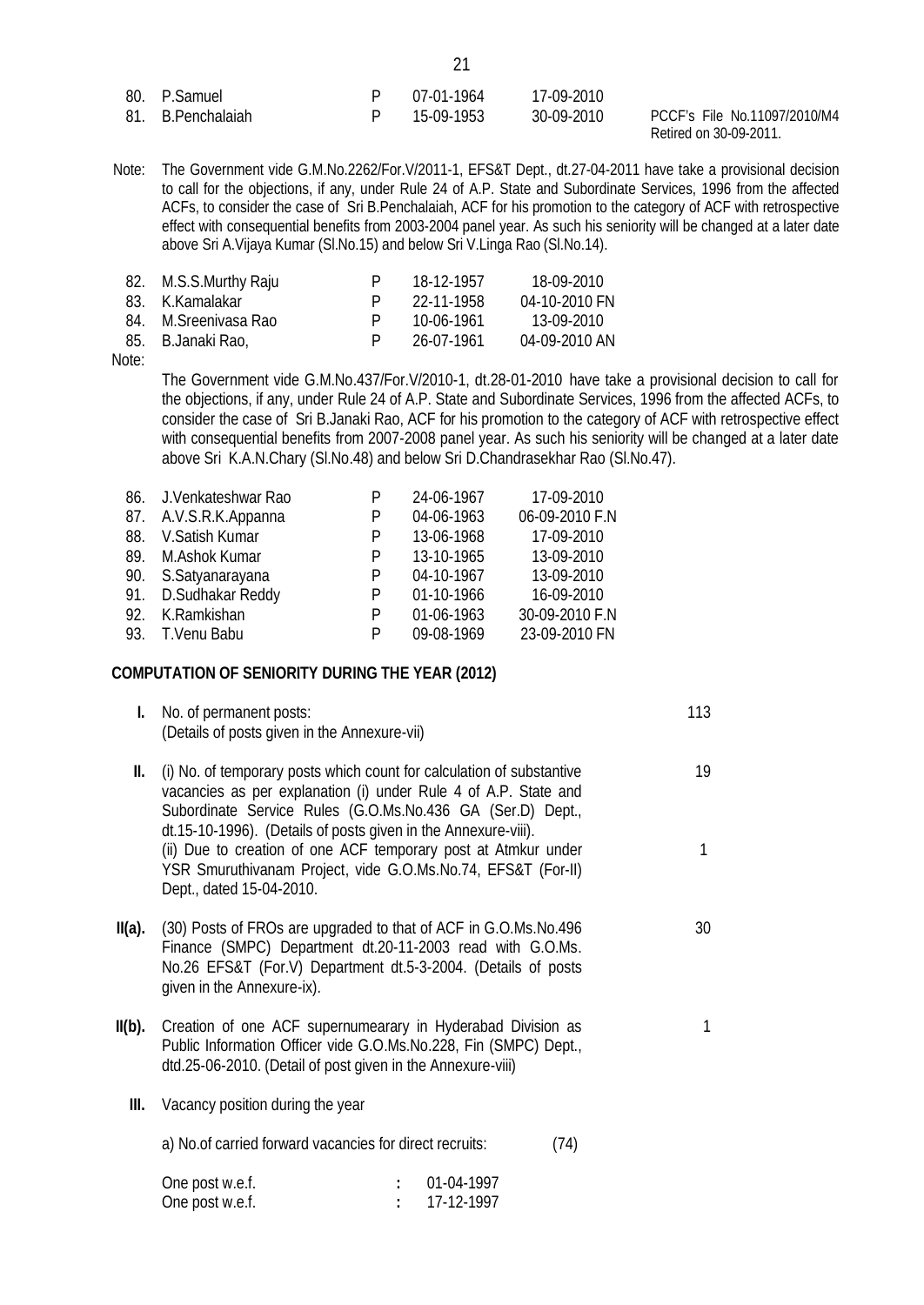| 80. P.Samuel      | P 07-01-1964 | 17-09-2010 |
|-------------------|--------------|------------|
| 81. B.Penchalaiah | P 15-09-1953 | 30-09-2010 |

PCCF's File No.11097/2010/M4 Retired on 30-09-2011.

Note: The Government vide G.M.No.2262/For.V/2011-1, EFS&T Dept., dt.27-04-2011 have take a provisional decision to call for the objections, if any, under Rule 24 of A.P. State and Subordinate Services, 1996 from the affected ACFs, to consider the case of Sri B.Penchalaiah, ACF for his promotion to the category of ACF with retrospective effect with consequential benefits from 2003-2004 panel year. As such his seniority will be changed at a later date above Sri A.Vijaya Kumar (Sl.No.15) and below Sri V.Linga Rao (Sl.No.14).

| 82. M.S.S.Murthy Raju | P | 18-12-1957 | 18-09-2010    |
|-----------------------|---|------------|---------------|
| 83. K.Kamalakar       |   | 22-11-1958 | 04-10-2010 FN |
| 84. M. Sreeniyasa Rao | P | 10-06-1961 | 13-09-2010    |
| 85. B.Janaki Rao,     |   | 26-07-1961 | 04-09-2010 AN |

Note:

The Government vide G.M.No.437/For.V/2010-1, dt.28-01-2010 have take a provisional decision to call for the objections, if any, under Rule 24 of A.P. State and Subordinate Services, 1996 from the affected ACFs, to consider the case of Sri B.Janaki Rao, ACF for his promotion to the category of ACF with retrospective effect with consequential benefits from 2007-2008 panel year. As such his seniority will be changed at a later date above Sri K.A.N.Chary (Sl.No.48) and below Sri D.Chandrasekhar Rao (Sl.No.47).

|     | 86. J.Venkateshwar Rao | P | 24-06-1967 | 17-09-2010     |
|-----|------------------------|---|------------|----------------|
|     | 87. A.V.S.R.K.Appanna  | P | 04-06-1963 | 06-09-2010 F.N |
| 88. | V.Satish Kumar         | P | 13-06-1968 | 17-09-2010     |
|     | 89. M.Ashok Kumar      | P | 13-10-1965 | 13-09-2010     |
|     | 90. S.Satyanarayana    | P | 04-10-1967 | 13-09-2010     |
|     | 91. D.Sudhakar Reddy   | P | 01-10-1966 | 16-09-2010     |
| 92. | K.Ramkishan            | P | 01-06-1963 | 30-09-2010 F.N |
|     | 93. T.Venu Babu        | P | 09-08-1969 | 23-09-2010 FN  |

#### **COMPUTATION OF SENIORITY DURING THE YEAR (2012)**

| I.     | No. of permanent posts:<br>(Details of posts given in the Annexure-vii)                                                                                                                                                                                                                                                                                                                                                                | 113     |
|--------|----------------------------------------------------------------------------------------------------------------------------------------------------------------------------------------------------------------------------------------------------------------------------------------------------------------------------------------------------------------------------------------------------------------------------------------|---------|
| II.    | (i) No. of temporary posts which count for calculation of substantive<br>vacancies as per explanation (i) under Rule 4 of A.P. State and<br>Subordinate Service Rules (G.O.Ms.No.436 GA (Ser.D) Dept.,<br>dt.15-10-1996). (Details of posts given in the Annexure-viii).<br>(ii) Due to creation of one ACF temporary post at Atmkur under<br>YSR Smuruthivanam Project, vide G.O.Ms.No.74, EFS&T (For-II)<br>Dept., dated 15-04-2010. | 19<br>1 |
| II(a). | (30) Posts of FROs are upgraded to that of ACF in G.O.Ms.No.496<br>Finance (SMPC) Department dt.20-11-2003 read with G.O.Ms.<br>No.26 EFS&T (For.V) Department dt.5-3-2004. (Details of posts<br>given in the Annexure-ix).                                                                                                                                                                                                            | 30      |
| II(b). | Creation of one ACF supernumearary in Hyderabad Division as<br>Public Information Officer vide G.O.Ms.No.228, Fin (SMPC) Dept.,<br>dtd.25-06-2010. (Detail of post given in the Annexure-viii)                                                                                                                                                                                                                                         | 1       |
| Ш.     | Vacancy position during the year                                                                                                                                                                                                                                                                                                                                                                                                       |         |
|        | a) No. of carried forward vacancies for direct recruits:<br>(74)                                                                                                                                                                                                                                                                                                                                                                       |         |
|        | 01-04-1997<br>$\Omega$ ne nost w e f                                                                                                                                                                                                                                                                                                                                                                                                   |         |

| One post w.e.f. | 01-04-1997 |
|-----------------|------------|
| One post w.e.f. | 17-12-1997 |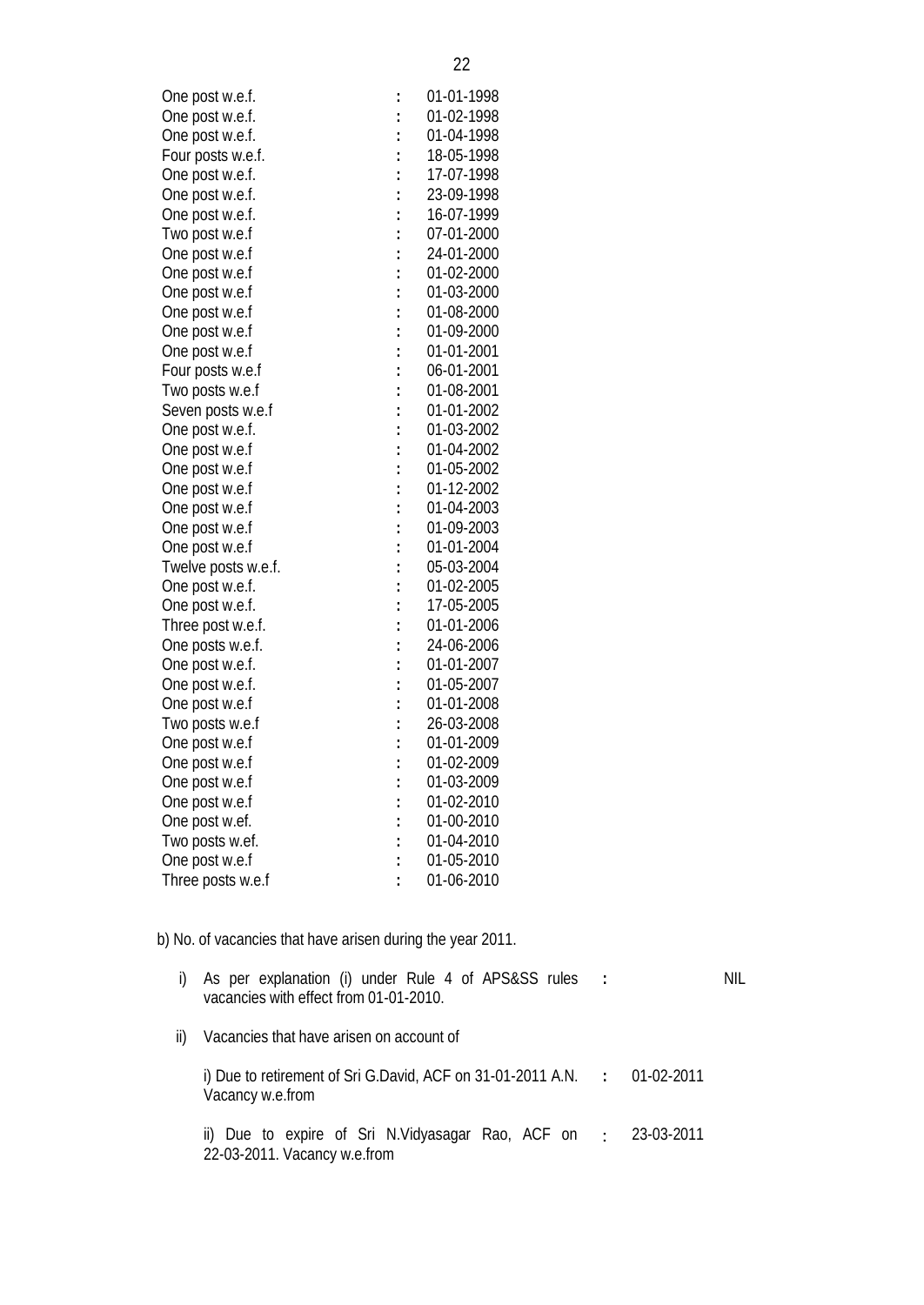| One post w.e.f.     | $\ddot{\cdot}$ | 01-01-1998 |
|---------------------|----------------|------------|
| One post w.e.f.     | $\ddot{\cdot}$ | 01-02-1998 |
| One post w.e.f.     | $\ddot{\cdot}$ | 01-04-1998 |
| Four posts w.e.f.   |                | 18-05-1998 |
| One post w.e.f.     | $\ddot{\cdot}$ | 17-07-1998 |
| One post w.e.f.     | $\ddot{\cdot}$ | 23-09-1998 |
| One post w.e.f.     | $\ddot{\cdot}$ | 16-07-1999 |
| Two post w.e.f      | $\ddot{\cdot}$ | 07-01-2000 |
| One post w.e.f      | $\ddot{\cdot}$ | 24-01-2000 |
| One post w.e.f      | $\ddot{\cdot}$ | 01-02-2000 |
| One post w.e.f      | $\ddot{\cdot}$ | 01-03-2000 |
| One post w.e.f      |                | 01-08-2000 |
| One post w.e.f      | $\ddot{\cdot}$ | 01-09-2000 |
| One post w.e.f      | $\ddot{\cdot}$ | 01-01-2001 |
| Four posts w.e.f    | $\ddot{\cdot}$ | 06-01-2001 |
| Two posts w.e.f     | $\ddot{\cdot}$ | 01-08-2001 |
| Seven posts w.e.f   | $\vdots$       | 01-01-2002 |
| One post w.e.f.     | $\vdots$       | 01-03-2002 |
| One post w.e.f      | $\ddot{\cdot}$ | 01-04-2002 |
| One post w.e.f      | $\ddot{\cdot}$ | 01-05-2002 |
| One post w.e.f      | $\ddot{\cdot}$ | 01-12-2002 |
| One post w.e.f      |                | 01-04-2003 |
| One post w.e.f      | $\ddot{\cdot}$ | 01-09-2003 |
| One post w.e.f      | $\ddot{\cdot}$ | 01-01-2004 |
| Twelve posts w.e.f. |                | 05-03-2004 |
| One post w.e.f.     | $\ddot{\cdot}$ | 01-02-2005 |
| One post w.e.f.     | $\ddot{\cdot}$ | 17-05-2005 |
| Three post w.e.f.   | $\ddot{\cdot}$ | 01-01-2006 |
| One posts w.e.f.    | $\vdots$       | 24-06-2006 |
| One post w.e.f.     | $\ddot{\cdot}$ | 01-01-2007 |
| One post w.e.f.     | $\ddot{\cdot}$ | 01-05-2007 |
| One post w.e.f      | $\vdots$       | 01-01-2008 |
| Two posts w.e.f     | $\ddot{\cdot}$ | 26-03-2008 |
| One post w.e.f      | $\ddot{\cdot}$ | 01-01-2009 |
| One post w.e.f      | $\ddot{\cdot}$ | 01-02-2009 |
| One post w.e.f      | $\ddot{\cdot}$ | 01-03-2009 |
| One post w.e.f      | $\vdots$       | 01-02-2010 |
| One post w.ef.      | $\vdots$       | 01-00-2010 |
| Two posts w.ef.     | $\ddot{\cdot}$ | 01-04-2010 |
|                     |                |            |

b) No. of vacancies that have arisen during the year 2011.

One post w.e.f **:** 01-05-2010 Three posts w.e.f **:** 01-06-2010

|  | i) As per explanation (i) under Rule 4 of APS&SS rules |  |  |  |  | NIL. |
|--|--------------------------------------------------------|--|--|--|--|------|
|  | vacancies with effect from 01-01-2010.                 |  |  |  |  |      |

ii) Vacancies that have arisen on account of

i) Due to retirement of Sri G.David, ACF on 31-01-2011 A.N. **:** 01-02-2011 Vacancy w.e.from

ii) Due to expire of Sri N.Vidyasagar Rao, ACF on 22-03-2011. Vacancy w.e.from : 23-03-2011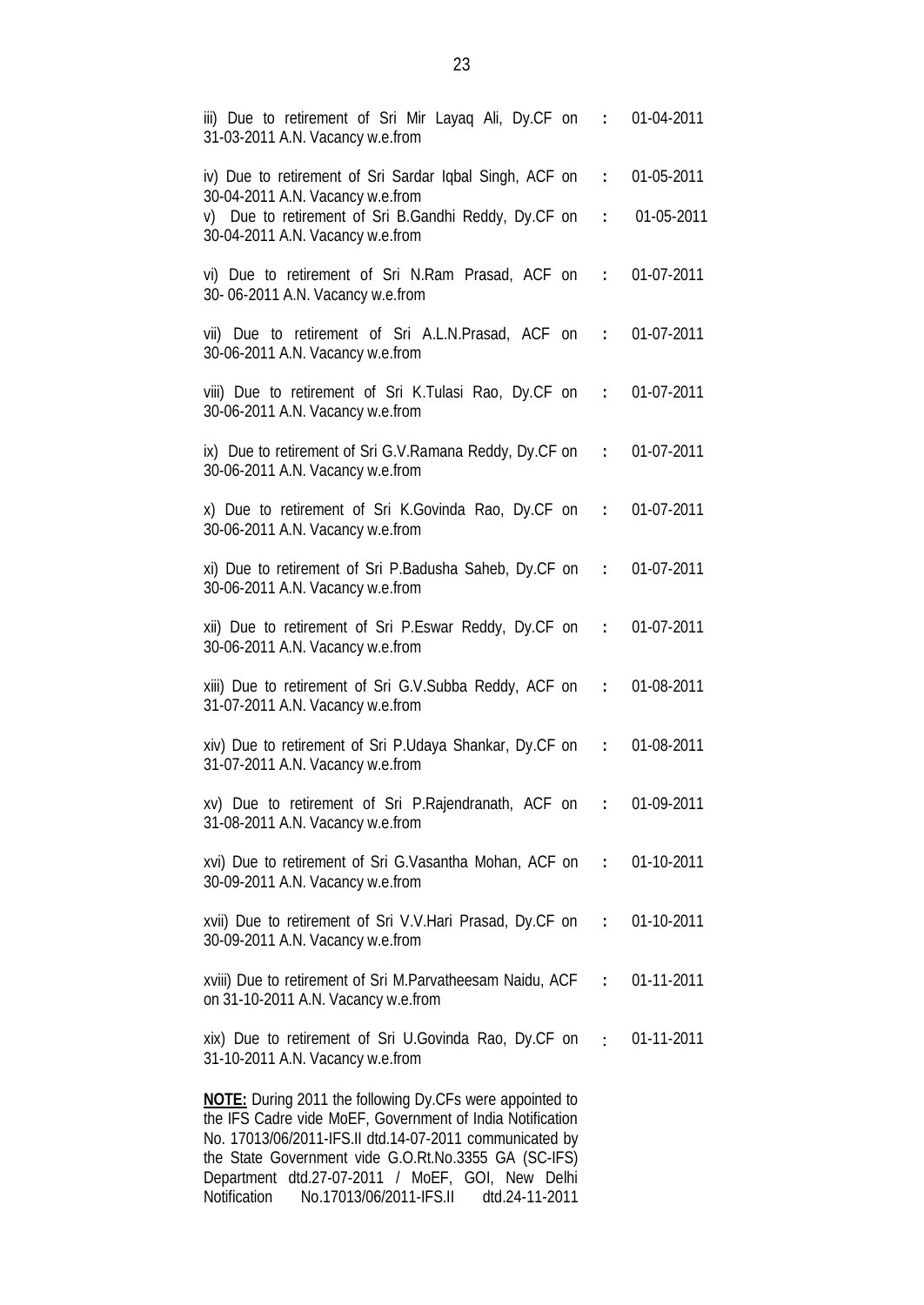| iii) Due to retirement of Sri Mir Layaq Ali, Dy.CF on : 01-04-2011<br>31-03-2011 A.N. Vacancy w.e.from                                                                                  |            |
|-----------------------------------------------------------------------------------------------------------------------------------------------------------------------------------------|------------|
| iv) Due to retirement of Sri Sardar Iqbal Singh, ACF on : 01-05-2011                                                                                                                    |            |
| 30-04-2011 A.N. Vacancy w.e.from<br>v) Due to retirement of Sri B.Gandhi Reddy, Dy.CF on :<br>30-04-2011 A.N. Vacancy w.e.from                                                          | 01-05-2011 |
| vi) Due to retirement of Sri N.Ram Prasad, ACF on : 01-07-2011<br>30-06-2011 A.N. Vacancy w.e.from                                                                                      |            |
| vii) Due to retirement of Sri A.L.N.Prasad, ACF on : 01-07-2011<br>30-06-2011 A.N. Vacancy w.e.from                                                                                     |            |
| viii) Due to retirement of Sri K.Tulasi Rao, Dy.CF on : 01-07-2011<br>30-06-2011 A.N. Vacancy w.e.from                                                                                  |            |
| ix) Due to retirement of Sri G.V.Ramana Reddy, Dy.CF on : 01-07-2011<br>30-06-2011 A.N. Vacancy w.e.from                                                                                |            |
| x) Due to retirement of Sri K.Govinda Rao, Dy.CF on : 01-07-2011<br>30-06-2011 A.N. Vacancy w.e.from                                                                                    |            |
| xi) Due to retirement of Sri P.Badusha Saheb, Dy.CF on : 01-07-2011<br>30-06-2011 A.N. Vacancy w.e.from                                                                                 |            |
| xii) Due to retirement of Sri P.Eswar Reddy, Dy.CF on : 01-07-2011<br>30-06-2011 A.N. Vacancy w.e.from                                                                                  |            |
| xiii) Due to retirement of Sri G.V.Subba Reddy, ACF on : 01-08-2011<br>31-07-2011 A.N. Vacancy w.e.from                                                                                 |            |
| xiv) Due to retirement of Sri P.Udaya Shankar, Dy.CF on :<br>31-07-2011 A.N. Vacancy w.e.from                                                                                           | 01-08-2011 |
| xv) Due to retirement of Sri P.Rajendranath, ACF on : 01-09-2011<br>31-08-2011 A.N. Vacancy w.e.from                                                                                    |            |
| xvi) Due to retirement of Sri G.Vasantha Mohan, ACF on : 01-10-2011<br>30-09-2011 A.N. Vacancy w.e.from                                                                                 |            |
| xvii) Due to retirement of Sri V.V. Hari Prasad, Dy.CF on : 01-10-2011<br>30-09-2011 A.N. Vacancy w.e.from                                                                              |            |
| xviii) Due to retirement of Sri M.Parvatheesam Naidu, ACF : 01-11-2011<br>on 31-10-2011 A.N. Vacancy w.e.from                                                                           |            |
| xix) Due to retirement of Sri U.Govinda Rao, Dy.CF on : 01-11-2011<br>31-10-2011 A.N. Vacancy w.e.from                                                                                  |            |
| <b>NOTE:</b> During 2011 the following Dy.CFs were appointed to<br>the IFS Cadre vide MoEF, Government of India Notification<br>No. 17013/06/2011-IFS.II dtd.14-07-2011 communicated by |            |

the State Government vide G.O.Rt.No.3355 GA (SC-IFS) Department dtd.27-07-2011 / MoEF, GOI, New Delhi Notification No.17013/06/2011-IFS.II dtd.24-11-2011

23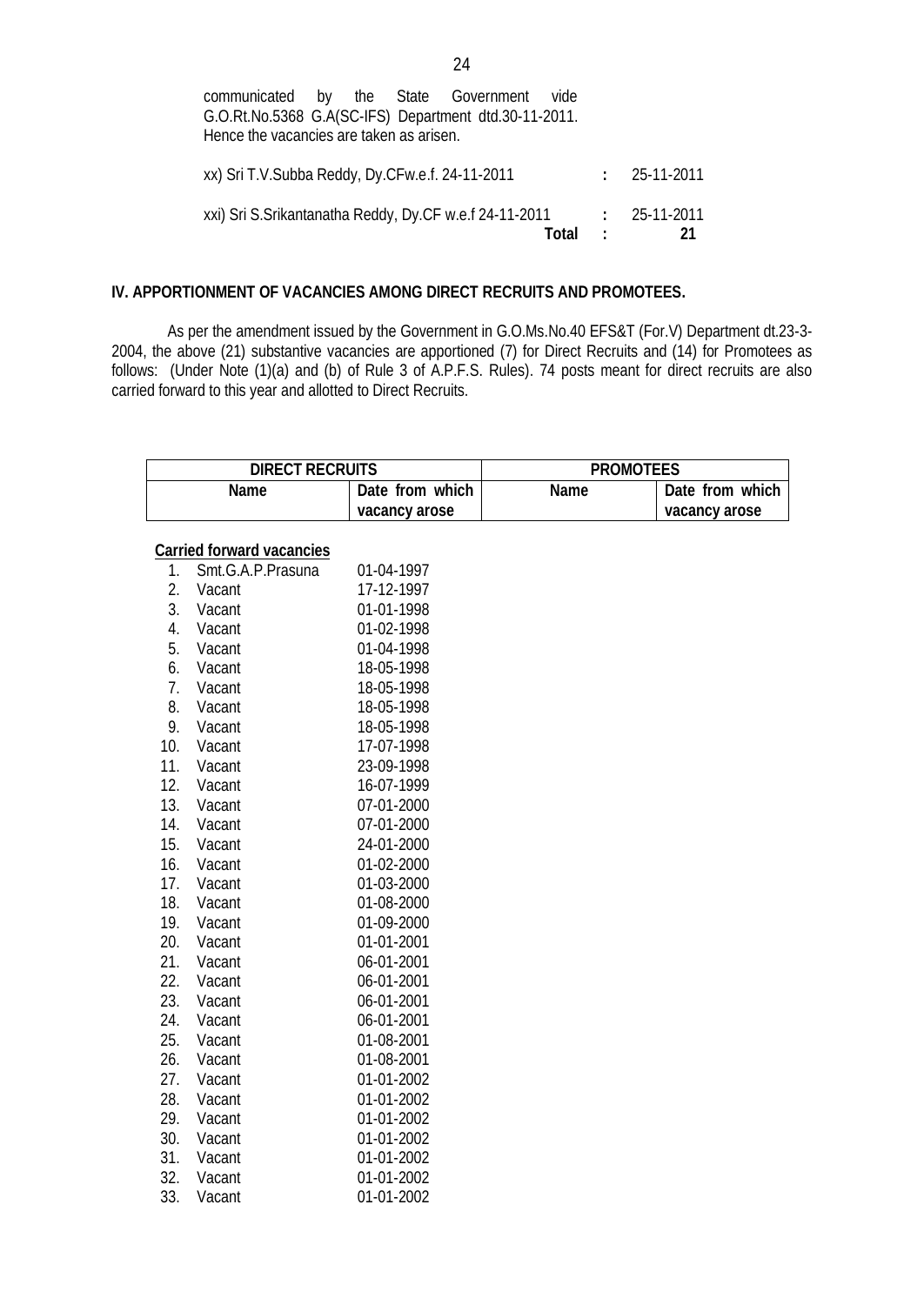| communicated by the State Government vide                |  |       |            |                |
|----------------------------------------------------------|--|-------|------------|----------------|
| G.O.Rt.No.5368 G.A(SC-IFS) Department dtd.30-11-2011.    |  |       |            |                |
| Hence the vacancies are taken as arisen.                 |  |       |            |                |
|                                                          |  |       |            |                |
| xx) Sri T.V.Subba Reddy, Dy.CFw.e.f. 24-11-2011          |  |       |            | $: 25-11-2011$ |
|                                                          |  |       |            |                |
| xxi) Sri S. Srikantanatha Reddy, Dy. CF w.e.f 24-11-2011 |  |       |            | $: 25-11-2011$ |
|                                                          |  | Total | $\sim 100$ | 21             |

### **IV. APPORTIONMENT OF VACANCIES AMONG DIRECT RECRUITS AND PROMOTEES.**

As per the amendment issued by the Government in G.O.Ms.No.40 EFS&T (For.V) Department dt.23-3- 2004, the above (21) substantive vacancies are apportioned (7) for Direct Recruits and (14) for Promotees as follows: (Under Note (1)(a) and (b) of Rule 3 of A.P.F.S. Rules). 74 posts meant for direct recruits are also carried forward to this year and allotted to Direct Recruits.

|     | <b>DIRECT RECRUITS</b>           |                 | <b>PROMOTEES</b> |                 |  |
|-----|----------------------------------|-----------------|------------------|-----------------|--|
|     | <b>Name</b>                      | Date from which | <b>Name</b>      | Date from which |  |
|     |                                  | vacancy arose   |                  | vacancy arose   |  |
|     |                                  |                 |                  |                 |  |
|     | <b>Carried forward vacancies</b> |                 |                  |                 |  |
| 1.  | Smt.G.A.P.Prasuna                | 01-04-1997      |                  |                 |  |
| 2.  | Vacant                           | 17-12-1997      |                  |                 |  |
| 3.  | Vacant                           | 01-01-1998      |                  |                 |  |
| 4.  | Vacant                           | 01-02-1998      |                  |                 |  |
| 5.  | Vacant                           | 01-04-1998      |                  |                 |  |
| 6.  | Vacant                           | 18-05-1998      |                  |                 |  |
| 7.  | Vacant                           | 18-05-1998      |                  |                 |  |
| 8.  | Vacant                           | 18-05-1998      |                  |                 |  |
| 9.  | Vacant                           | 18-05-1998      |                  |                 |  |
| 10. | Vacant                           | 17-07-1998      |                  |                 |  |
| 11. | Vacant                           | 23-09-1998      |                  |                 |  |
| 12. | Vacant                           | 16-07-1999      |                  |                 |  |
| 13. | Vacant                           | 07-01-2000      |                  |                 |  |
| 14. | Vacant                           | 07-01-2000      |                  |                 |  |
| 15. | Vacant                           | 24-01-2000      |                  |                 |  |
| 16. | Vacant                           | 01-02-2000      |                  |                 |  |
| 17. | Vacant                           | 01-03-2000      |                  |                 |  |
| 18. | Vacant                           | 01-08-2000      |                  |                 |  |
| 19. | Vacant                           | 01-09-2000      |                  |                 |  |
| 20. | Vacant                           | 01-01-2001      |                  |                 |  |
| 21. | Vacant                           | 06-01-2001      |                  |                 |  |
| 22. | Vacant                           | 06-01-2001      |                  |                 |  |
| 23. | Vacant                           | 06-01-2001      |                  |                 |  |
| 24. | Vacant                           | 06-01-2001      |                  |                 |  |
| 25. | Vacant                           | 01-08-2001      |                  |                 |  |
| 26. | Vacant                           | 01-08-2001      |                  |                 |  |
| 27. | Vacant                           | 01-01-2002      |                  |                 |  |
| 28. | Vacant                           | 01-01-2002      |                  |                 |  |
| 29. | Vacant                           | 01-01-2002      |                  |                 |  |
| 30. | Vacant                           | 01-01-2002      |                  |                 |  |
| 31. | Vacant                           | 01-01-2002      |                  |                 |  |
| 32. | Vacant                           | 01-01-2002      |                  |                 |  |
| 33. | Vacant                           | 01-01-2002      |                  |                 |  |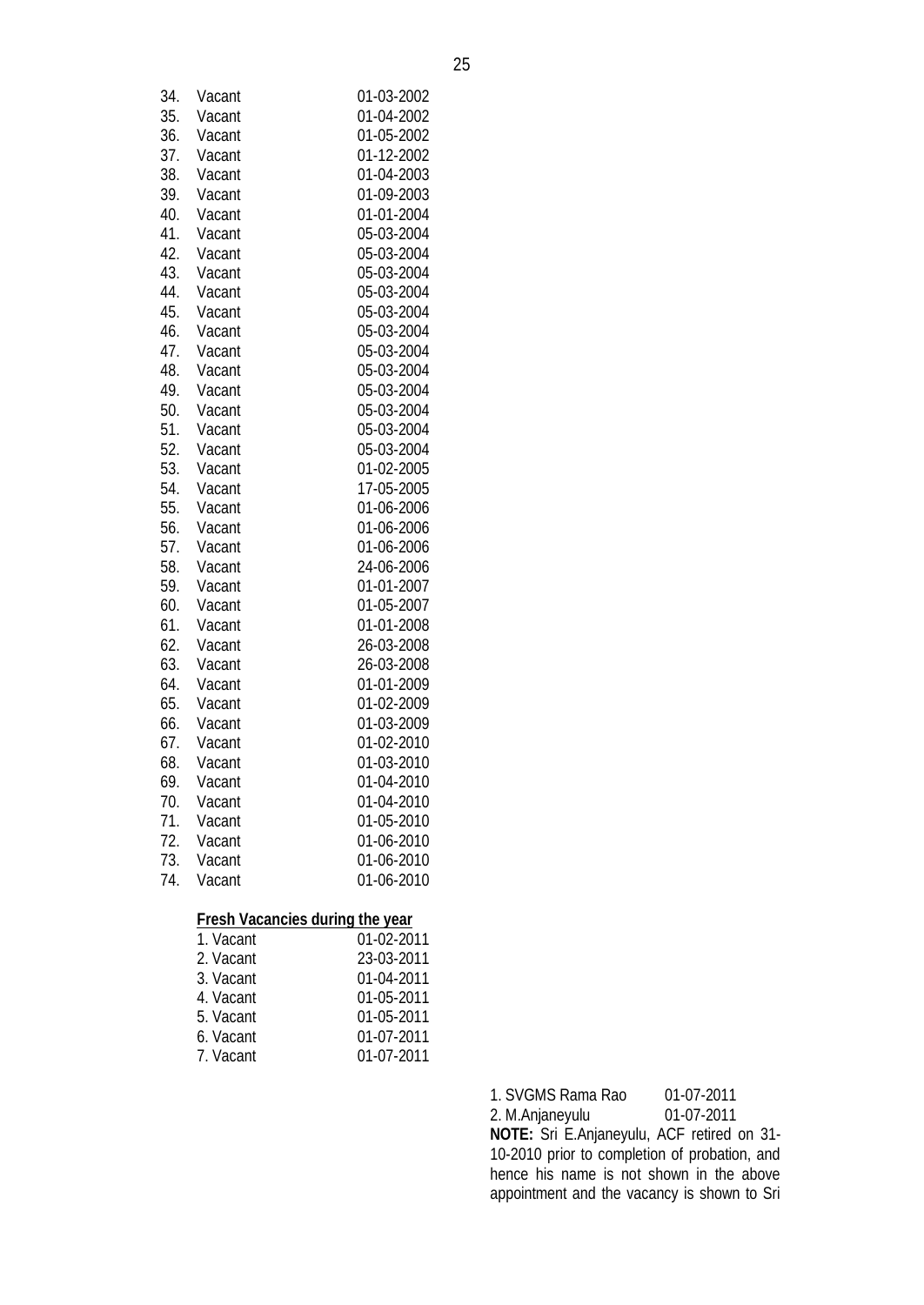| 34. | Vacant                                 | 01-03-2002 |
|-----|----------------------------------------|------------|
| 35. | Vacant                                 | 01-04-2002 |
| 36. | Vacant                                 | 01-05-2002 |
| 37. | Vacant                                 | 01-12-2002 |
| 38. | Vacant                                 | 01-04-2003 |
| 39. | Vacant                                 | 01-09-2003 |
| 40. |                                        |            |
|     | Vacant                                 | 01-01-2004 |
| 41. | Vacant                                 | 05-03-2004 |
| 42. | Vacant                                 | 05-03-2004 |
| 43. | Vacant                                 | 05-03-2004 |
| 44. | Vacant                                 | 05-03-2004 |
| 45. | Vacant                                 | 05-03-2004 |
| 46. | Vacant                                 | 05-03-2004 |
| 47. | Vacant                                 | 05-03-2004 |
| 48. | Vacant                                 | 05-03-2004 |
| 49. | Vacant                                 | 05-03-2004 |
| 50. | Vacant                                 | 05-03-2004 |
| 51. | Vacant                                 | 05-03-2004 |
| 52. | Vacant                                 | 05-03-2004 |
| 53. | Vacant                                 | 01-02-2005 |
| 54. | Vacant                                 | 17-05-2005 |
| 55. | Vacant                                 | 01-06-2006 |
| 56. | Vacant                                 | 01-06-2006 |
| 57. | Vacant                                 | 01-06-2006 |
| 58. | Vacant                                 | 24-06-2006 |
| 59. | Vacant                                 | 01-01-2007 |
| 60. | Vacant                                 | 01-05-2007 |
| 61. | Vacant                                 | 01-01-2008 |
| 62. | Vacant                                 | 26-03-2008 |
| 63. | Vacant                                 | 26-03-2008 |
| 64. | Vacant                                 | 01-01-2009 |
| 65. | Vacant                                 | 01-02-2009 |
| 66. | Vacant                                 | 01-03-2009 |
| 67. | Vacant                                 | 01-02-2010 |
| 68. | Vacant                                 | 01-03-2010 |
| 69. | Vacant                                 | 01-04-2010 |
| 70. | Vacant                                 | 01-04-2010 |
| 71. | Vacant                                 | 01-05-2010 |
| 72. | Vacant                                 | 01-06-2010 |
| 73. | Vacant                                 | 01-06-2010 |
| 74. | Vacant                                 | 01-06-2010 |
|     |                                        |            |
|     | <b>Fresh Vacancies during the year</b> |            |
|     | 1. Vacant                              | 01-02-2011 |
|     | $2$ $\sqrt{2}$                         | 11 ממ כמ   |

| ı. vacant | 01-02-2011 |
|-----------|------------|
| 2. Vacant | 23-03-2011 |
| 3. Vacant | 01-04-2011 |
| 4. Vacant | 01-05-2011 |
| 5. Vacant | 01-05-2011 |
| 6. Vacant | 01-07-2011 |
| 7. Vacant | 01-07-2011 |
|           |            |

1. SVGMS Rama Rao 01-07-2011 2. M.Anjaneyulu 01-07-2011 **NOTE:** Sri E.Anjaneyulu, ACF retired on 31- 10-2010 prior to completion of probation, and hence his name is not shown in the above appointment and the vacancy is shown to Sri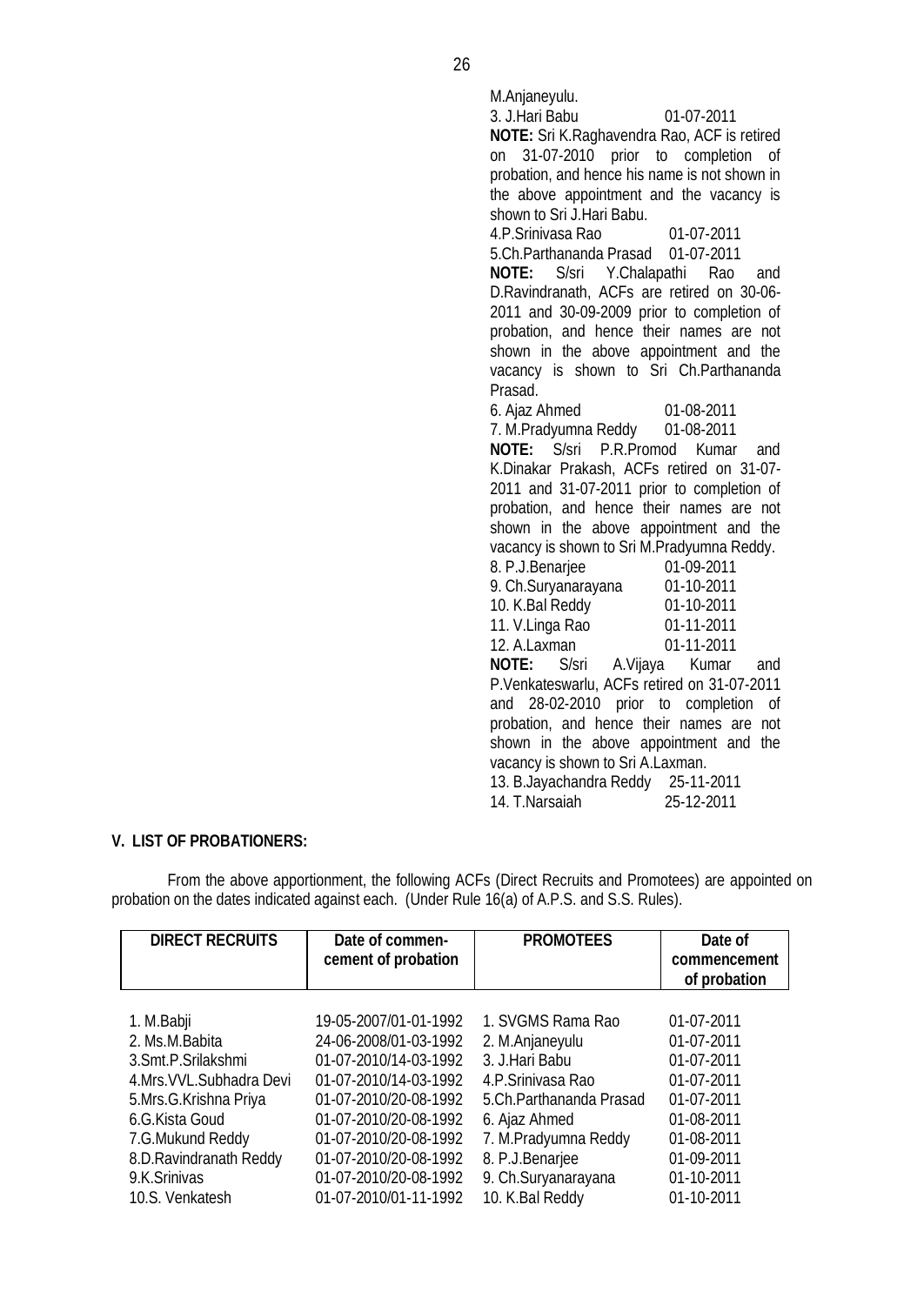M.Anjaneyulu. 3. J.Hari Babu 01-07-2011 **NOTE:** Sri K.Raghavendra Rao, ACF is retired on 31-07-2010 prior to completion of probation, and hence his name is not shown in the above appointment and the vacancy is shown to Sri J.Hari Babu. 4.P.Srinivasa Rao 01-07-2011 5.Ch.Parthananda Prasad 01-07-2011 **NOTE:** S/sri Y.Chalapathi Rao and D.Ravindranath, ACFs are retired on 30-06- 2011 and 30-09-2009 prior to completion of probation, and hence their names are not shown in the above appointment and the vacancy is shown to Sri Ch.Parthananda Prasad. 6. Ajaz Ahmed 01-08-2011 7. M.Pradyumna Reddy **NOTE:** S/sri P.R.Promod Kumar and K.Dinakar Prakash, ACFs retired on 31-07- 2011 and 31-07-2011 prior to completion of probation, and hence their names are not shown in the above appointment and the vacancy is shown to Sri M.Pradyumna Reddy. 8. P.J.Benarjee 01-09-2011 9. Ch.Suryanarayana 01-10-2011 10. K.Bal Reddy 01-10-2011 11. V.Linga Rao 01-11-2011 12. A.Laxman 01-11-2011 A.Vijaya Kumar and P.Venkateswarlu, ACFs retired on 31-07-2011 and 28-02-2010 prior to completion of probation, and hence their names are not shown in the above appointment and the vacancy is shown to Sri A.Laxman. 13. B.Jayachandra Reddy 25-11-2011 14. T.Narsaiah 25-12-2011

#### **V. LIST OF PROBATIONERS:**

From the above apportionment, the following ACFs (Direct Recruits and Promotees) are appointed on probation on the dates indicated against each. (Under Rule 16(a) of A.P.S. and S.S. Rules).

| <b>DIRECT RECRUITS</b>    | Date of commen-<br>cement of probation | <b>PROMOTEES</b>        | Date of<br>commencement<br>of probation |
|---------------------------|----------------------------------------|-------------------------|-----------------------------------------|
| 1. M.Babji                | 19-05-2007/01-01-1992                  | 1. SVGMS Rama Rao       | 01-07-2011                              |
| 2. Ms.M.Babita            | 24-06-2008/01-03-1992                  | 2. M.Anjaneyulu         | 01-07-2011                              |
| 3. Smt. P. Srilakshmi     | 01-07-2010/14-03-1992                  | 3. J.Hari Babu          | 01-07-2011                              |
| 4.Mrs. VVL. Subhadra Devi | 01-07-2010/14-03-1992                  | 4.P.Srinivasa Rao       | 01-07-2011                              |
| 5.Mrs.G.Krishna Priya     | 01-07-2010/20-08-1992                  | 5.Ch.Parthananda Prasad | 01-07-2011                              |
| 6.G.Kista Goud            | 01-07-2010/20-08-1992                  | 6. Ajaz Ahmed           | 01-08-2011                              |
| 7.G.Mukund Reddy          | 01-07-2010/20-08-1992                  | 7. M.Pradyumna Reddy    | 01-08-2011                              |
| 8.D. Ravindranath Reddy   | 01-07-2010/20-08-1992                  | 8. P.J.Benarjee         | 01-09-2011                              |
| 9.K.Srinivas              | 01-07-2010/20-08-1992                  | 9. Ch.Suryanarayana     | 01-10-2011                              |
| 10.S. Venkatesh           | 01-07-2010/01-11-1992                  | 10. K.Bal Reddy         | 01-10-2011                              |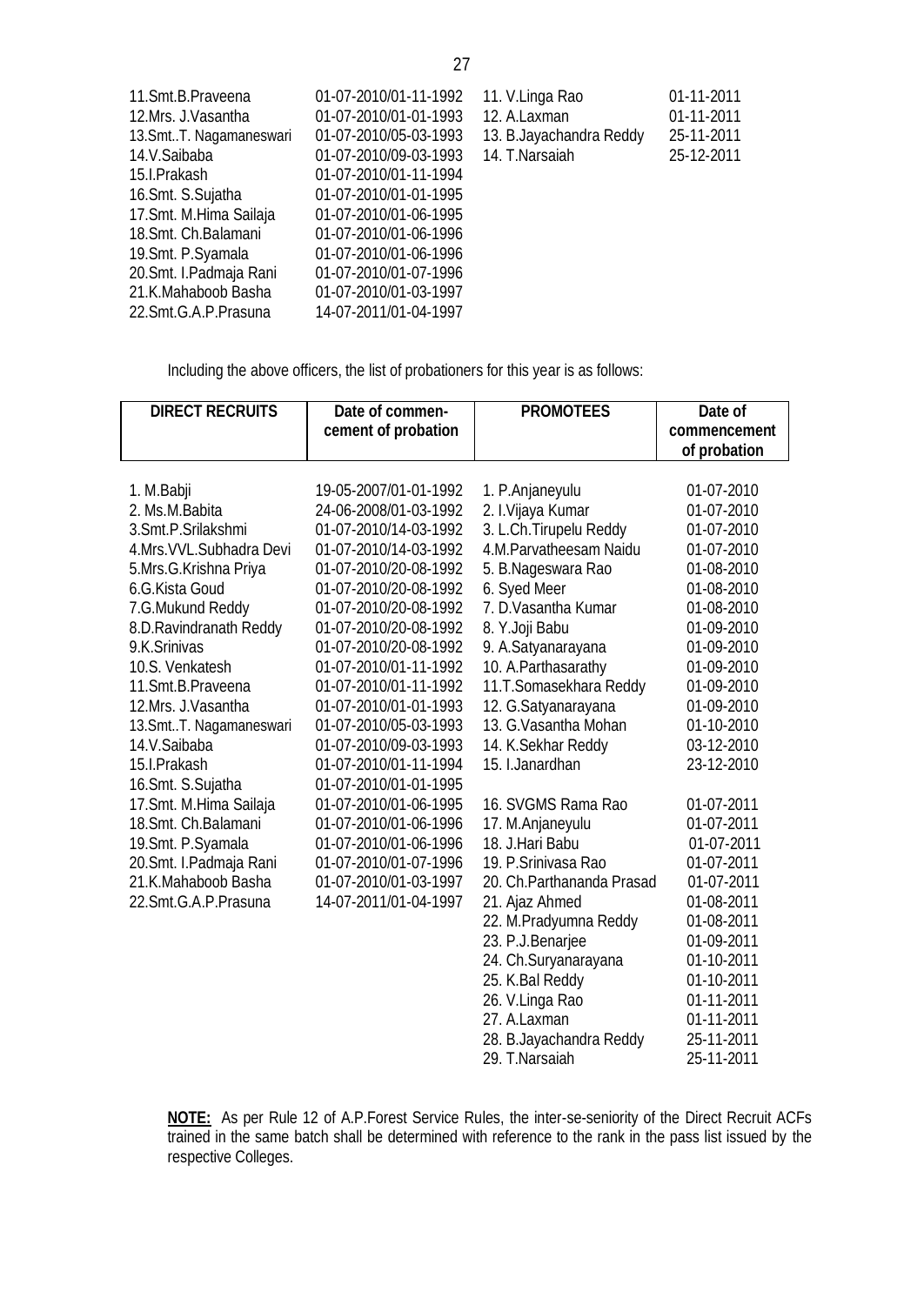| 11. Smt. B. Praveena     | 01-07-2010/01-11-1992 | 11. V.Linga Rao          | 01-11-2011 |
|--------------------------|-----------------------|--------------------------|------------|
| 12.Mrs. J.Vasantha       | 01-07-2010/01-01-1993 | 12. A.Laxman             | 01-11-2011 |
| 13. Smt T. Nagamaneswari | 01-07-2010/05-03-1993 | 13. B. Jayachandra Reddy | 25-11-2011 |
| 14.V.Saibaba             | 01-07-2010/09-03-1993 | 14. T.Narsaiah           | 25-12-2011 |
| 15.I.Prakash             | 01-07-2010/01-11-1994 |                          |            |
| 16. Smt. S. Sujatha      | 01-07-2010/01-01-1995 |                          |            |
| 17. Smt. M. Hima Sailaja | 01-07-2010/01-06-1995 |                          |            |
| 18. Smt. Ch. Balamani    | 01-07-2010/01-06-1996 |                          |            |
| 19. Smt. P. Syamala      | 01-07-2010/01-06-1996 |                          |            |
| 20. Smt. I. Padmaja Rani | 01-07-2010/01-07-1996 |                          |            |
| 21.K.Mahaboob Basha      | 01-07-2010/01-03-1997 |                          |            |
| 22.Smt.G.A.P.Prasuna     | 14-07-2011/01-04-1997 |                          |            |

Including the above officers, the list of probationers for this year is as follows:

| <b>DIRECT RECRUITS</b>    | Date of commen-       | <b>PROMOTEES</b>          | Date of      |
|---------------------------|-----------------------|---------------------------|--------------|
|                           | cement of probation   |                           | commencement |
|                           |                       |                           | of probation |
|                           |                       |                           |              |
| 1. M.Babji                | 19-05-2007/01-01-1992 | 1. P.Anjaneyulu           | 01-07-2010   |
| 2. Ms.M.Babita            | 24-06-2008/01-03-1992 | 2. I.Vijaya Kumar         | 01-07-2010   |
| 3.Smt.P.Srilakshmi        | 01-07-2010/14-03-1992 | 3. L.Ch. Tirupelu Reddy   | 01-07-2010   |
| 4.Mrs. VVL. Subhadra Devi | 01-07-2010/14-03-1992 | 4.M.Parvatheesam Naidu    | 01-07-2010   |
| 5.Mrs.G.Krishna Priya     | 01-07-2010/20-08-1992 | 5. B.Nageswara Rao        | 01-08-2010   |
| 6.G.Kista Goud            | 01-07-2010/20-08-1992 | 6. Syed Meer              | 01-08-2010   |
| 7.G.Mukund Reddy          | 01-07-2010/20-08-1992 | 7. D. Vasantha Kumar      | 01-08-2010   |
| 8.D. Ravindranath Reddy   | 01-07-2010/20-08-1992 | 8. Y.Joji Babu            | 01-09-2010   |
| 9.K.Srinivas              | 01-07-2010/20-08-1992 | 9. A.Satyanarayana        | 01-09-2010   |
| 10.S. Venkatesh           | 01-07-2010/01-11-1992 | 10. A.Parthasarathy       | 01-09-2010   |
| 11.Smt.B.Praveena         | 01-07-2010/01-11-1992 | 11.T.Somasekhara Reddy    | 01-09-2010   |
| 12.Mrs. J. Vasantha       | 01-07-2010/01-01-1993 | 12. G.Satyanarayana       | 01-09-2010   |
| 13.SmtT. Nagamaneswari    | 01-07-2010/05-03-1993 | 13. G. Vasantha Mohan     | 01-10-2010   |
| 14.V.Saibaba              | 01-07-2010/09-03-1993 | 14. K.Sekhar Reddy        | 03-12-2010   |
| 15.I.Prakash              | 01-07-2010/01-11-1994 | 15. I.Janardhan           | 23-12-2010   |
| 16.Smt. S.Sujatha         | 01-07-2010/01-01-1995 |                           |              |
| 17. Smt. M. Hima Sailaja  | 01-07-2010/01-06-1995 | 16. SVGMS Rama Rao        | 01-07-2011   |
| 18.Smt. Ch.Balamani       | 01-07-2010/01-06-1996 | 17. M.Anjaneyulu          | 01-07-2011   |
| 19. Smt. P. Syamala       | 01-07-2010/01-06-1996 | 18. J.Hari Babu           | 01-07-2011   |
| 20. Smt. I. Padmaja Rani  | 01-07-2010/01-07-1996 | 19. P. Srinivasa Rao      | 01-07-2011   |
| 21.K.Mahaboob Basha       | 01-07-2010/01-03-1997 | 20. Ch.Parthananda Prasad | 01-07-2011   |
| 22.Smt.G.A.P.Prasuna      | 14-07-2011/01-04-1997 | 21. Ajaz Ahmed            | 01-08-2011   |
|                           |                       | 22. M.Pradyumna Reddy     | 01-08-2011   |
|                           |                       | 23. P.J.Benarjee          | 01-09-2011   |
|                           |                       | 24. Ch.Suryanarayana      | 01-10-2011   |
|                           |                       | 25. K.Bal Reddy           | 01-10-2011   |
|                           |                       | 26. V.Linga Rao           | 01-11-2011   |
|                           |                       | 27. A.Laxman              | 01-11-2011   |
|                           |                       | 28. B. Jayachandra Reddy  | 25-11-2011   |
|                           |                       | 29. T.Narsaiah            | 25-11-2011   |

**NOTE:** As per Rule 12 of A.P.Forest Service Rules, the inter-se-seniority of the Direct Recruit ACFs trained in the same batch shall be determined with reference to the rank in the pass list issued by the respective Colleges.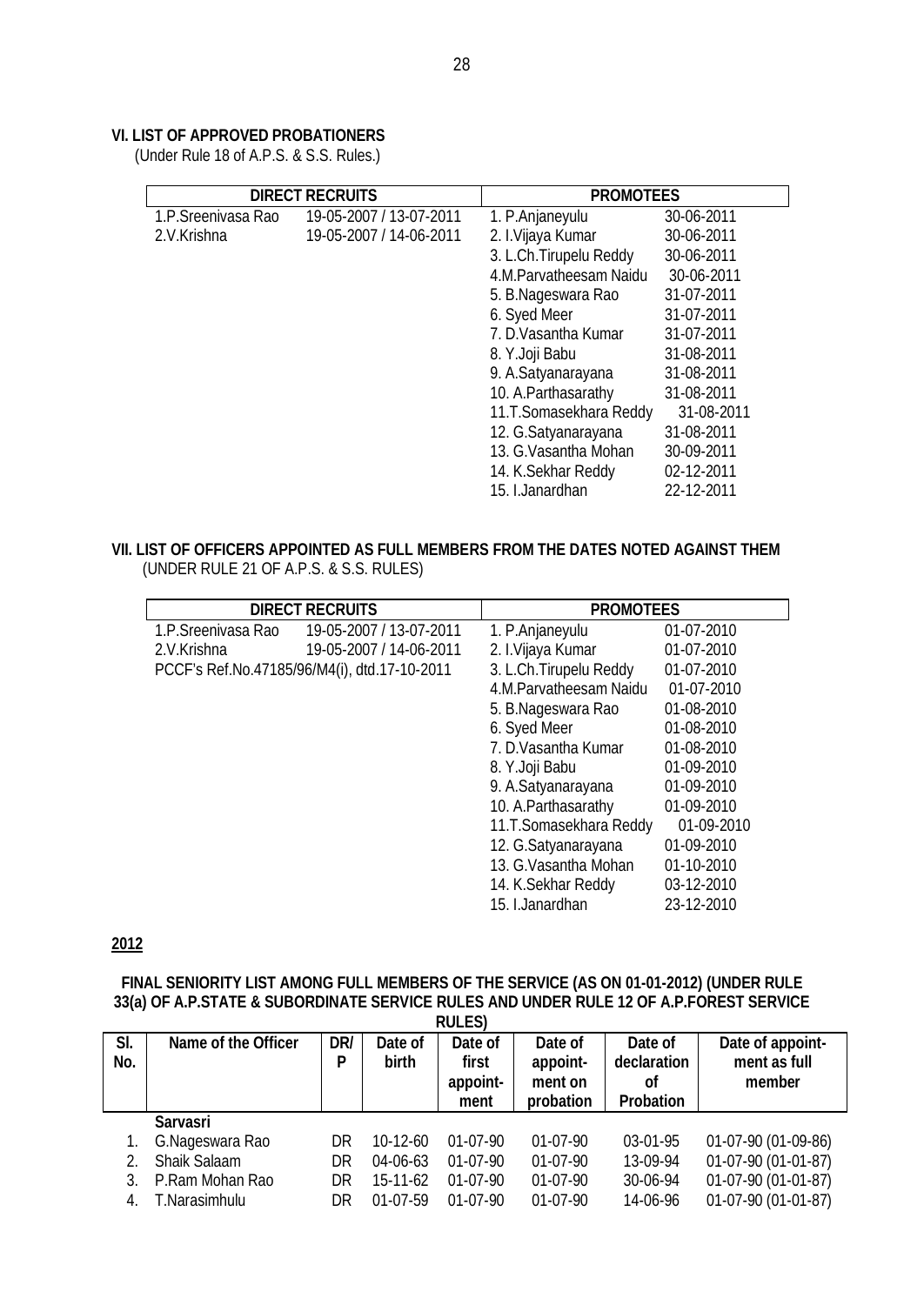## **VI. LIST OF APPROVED PROBATIONERS**

(Under Rule 18 of A.P.S. & S.S. Rules.)

|                    | <b>DIRECT RECRUITS</b>  | <b>PROMOTEES</b>        |            |  |
|--------------------|-------------------------|-------------------------|------------|--|
| 1.P.Sreenivasa Rao | 19-05-2007 / 13-07-2011 | 1. P.Anjaneyulu         | 30-06-2011 |  |
| 2.V.Krishna        | 19-05-2007 / 14-06-2011 | 2. I.Vijaya Kumar       | 30-06-2011 |  |
|                    |                         | 3. L.Ch. Tirupelu Reddy | 30-06-2011 |  |
|                    |                         | 4.M.Parvatheesam Naidu  | 30-06-2011 |  |
|                    |                         | 5. B.Nageswara Rao      | 31-07-2011 |  |
|                    |                         | 6. Syed Meer            | 31-07-2011 |  |
|                    |                         | 7. D. Vasantha Kumar    | 31-07-2011 |  |
|                    |                         | 8. Y.Joji Babu          | 31-08-2011 |  |
|                    |                         | 9. A.Satyanarayana      | 31-08-2011 |  |
|                    |                         | 10. A. Parthasarathy    | 31-08-2011 |  |
|                    |                         | 11.T.Somasekhara Reddy  | 31-08-2011 |  |
|                    |                         | 12. G.Satyanarayana     | 31-08-2011 |  |
|                    |                         | 13. G. Vasantha Mohan   | 30-09-2011 |  |
|                    |                         | 14. K.Sekhar Reddy      | 02-12-2011 |  |
|                    |                         | 15. I.Janardhan         | 22-12-2011 |  |

# **VII. LIST OF OFFICERS APPOINTED AS FULL MEMBERS FROM THE DATES NOTED AGAINST THEM**

| (UNDER RULE 21 OF A.P.S. & S.S. RULES) |  |
|----------------------------------------|--|
|----------------------------------------|--|

|                    | <b>DIRECT RECRUITS</b>                       | <b>PROMOTEES</b>        |            |  |  |
|--------------------|----------------------------------------------|-------------------------|------------|--|--|
| 1.P.Sreenivasa Rao | 19-05-2007 / 13-07-2011                      | 1. P.Anjaneyulu         | 01-07-2010 |  |  |
| 2.V.Krishna        | 19-05-2007 / 14-06-2011                      | 2. I.Vijaya Kumar       | 01-07-2010 |  |  |
|                    | PCCF's Ref.No.47185/96/M4(i), dtd.17-10-2011 | 3. L.Ch. Tirupelu Reddy | 01-07-2010 |  |  |
|                    |                                              | 4.M.Parvatheesam Naidu  | 01-07-2010 |  |  |
|                    |                                              | 5. B.Nageswara Rao      | 01-08-2010 |  |  |
|                    |                                              | 6. Syed Meer            | 01-08-2010 |  |  |
|                    |                                              | 7. D. Vasantha Kumar    | 01-08-2010 |  |  |
|                    |                                              | 8. Y.Joji Babu          | 01-09-2010 |  |  |
|                    |                                              | 9. A.Satyanarayana      | 01-09-2010 |  |  |
|                    |                                              | 10. A. Parthasarathy    | 01-09-2010 |  |  |
|                    |                                              | 11.T.Somasekhara Reddy  | 01-09-2010 |  |  |
|                    |                                              | 12. G.Satyanarayana     | 01-09-2010 |  |  |
|                    |                                              | 13. G. Vasantha Mohan   | 01-10-2010 |  |  |
|                    |                                              | 14. K.Sekhar Reddy      | 03-12-2010 |  |  |
|                    |                                              | 15. I.Janardhan         | 23-12-2010 |  |  |

## **2012**

#### **FINAL SENIORITY LIST AMONG FULL MEMBERS OF THE SERVICE (AS ON 01-01-2012) (UNDER RULE 33(a) OF A.P.STATE & SUBORDINATE SERVICE RULES AND UNDER RULE 12 OF A.P.FOREST SERVICE RULES)**

|     | 110LLJ/             |     |                |            |            |                  |                     |
|-----|---------------------|-----|----------------|------------|------------|------------------|---------------------|
| SI. | Name of the Officer | DR/ | Date of        | Date of    | Date of    | Date of          | Date of appoint-    |
| No. |                     | P   | <b>birth</b>   | first      | appoint-   | declaration      | ment as full        |
|     |                     |     |                | appoint-   | ment on    | Οf               | member              |
|     |                     |     |                | ment       | probation  | <b>Probation</b> |                     |
|     | <b>Sarvasri</b>     |     |                |            |            |                  |                     |
|     | G.Nageswara Rao     | DR. | $10-12-60$     | $01-07-90$ | $01-07-90$ | 03-01-95         | 01-07-90 (01-09-86) |
|     | Shaik Salaam        | DR  | 04-06-63       | $01-07-90$ | $01-07-90$ | 13-09-94         | 01-07-90 (01-01-87) |
|     | P.Ram Mohan Rao     | DR  | $15 - 11 - 62$ | $01-07-90$ | $01-07-90$ | 30-06-94         | 01-07-90 (01-01-87) |
| 4.  | T.Narasimhulu       | DR  | $01-07-59$     | $01-07-90$ | $01-07-90$ | 14-06-96         | 01-07-90 (01-01-87) |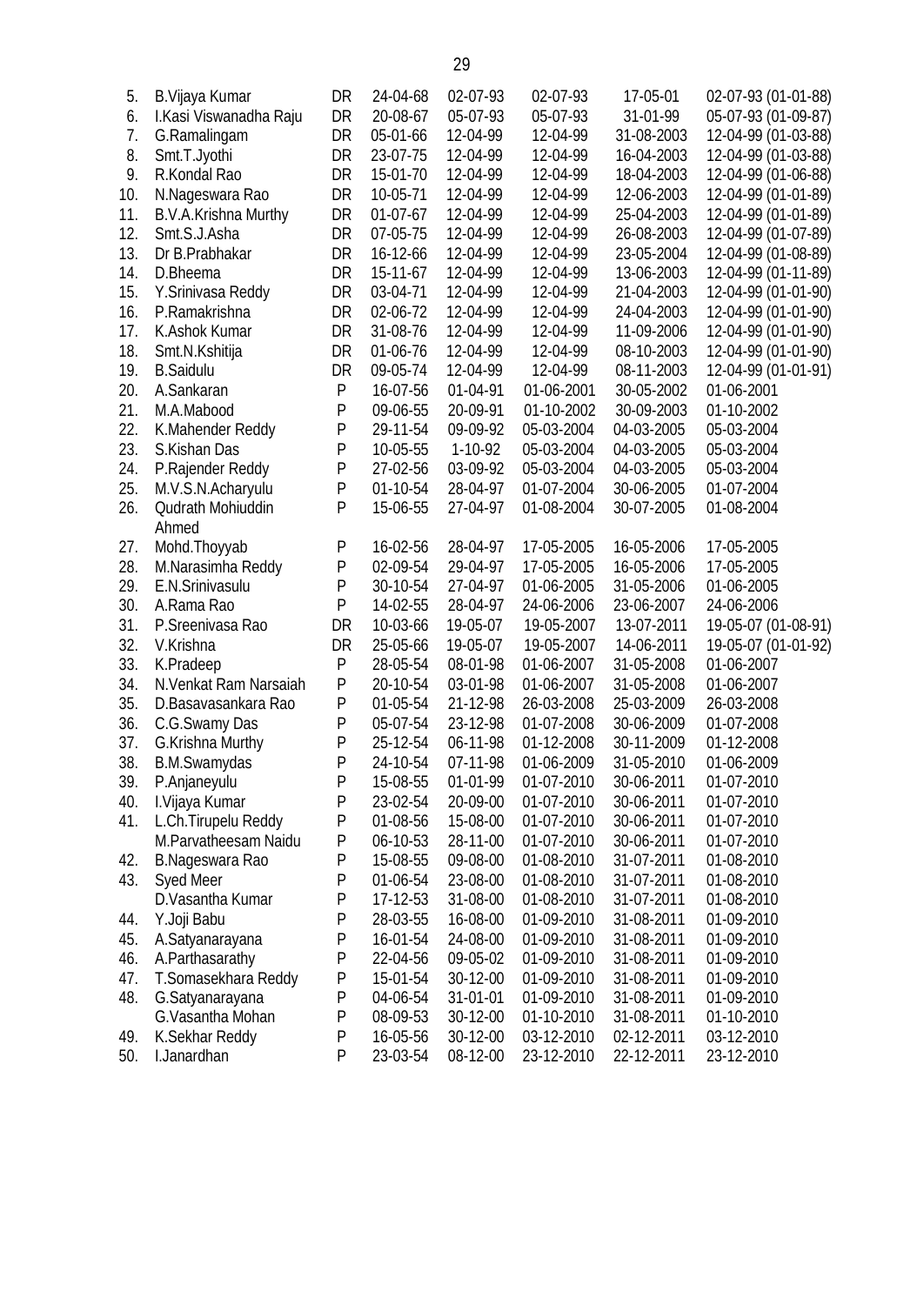| 5.  | B. Vijaya Kumar        | DR           | 24-04-68   | 02-07-93  | 02-07-93   | 17-05-01   | 02-07-93 (01-01-88) |
|-----|------------------------|--------------|------------|-----------|------------|------------|---------------------|
| 6.  | I.Kasi Viswanadha Raju | DR           | 20-08-67   | 05-07-93  | 05-07-93   | 31-01-99   | 05-07-93 (01-09-87) |
| 7.  | G.Ramalingam           | DR           | 05-01-66   | 12-04-99  | 12-04-99   | 31-08-2003 | 12-04-99 (01-03-88) |
| 8.  | Smt.T.Jyothi           | DR           | 23-07-75   | 12-04-99  | 12-04-99   | 16-04-2003 | 12-04-99 (01-03-88) |
| 9.  | R.Kondal Rao           | DR           | 15-01-70   | 12-04-99  | 12-04-99   | 18-04-2003 | 12-04-99 (01-06-88) |
| 10. | N.Nageswara Rao        | DR           | 10-05-71   | 12-04-99  | 12-04-99   | 12-06-2003 | 12-04-99 (01-01-89) |
| 11. | B.V.A.Krishna Murthy   | DR           | $01-07-67$ | 12-04-99  | 12-04-99   | 25-04-2003 | 12-04-99 (01-01-89) |
| 12. | Smt.S.J.Asha           | DR           | 07-05-75   | 12-04-99  | 12-04-99   | 26-08-2003 | 12-04-99 (01-07-89) |
| 13. | Dr B.Prabhakar         | DR           | 16-12-66   | 12-04-99  | 12-04-99   | 23-05-2004 | 12-04-99 (01-08-89) |
| 14. | D.Bheema               | DR           | 15-11-67   | 12-04-99  | 12-04-99   | 13-06-2003 | 12-04-99 (01-11-89) |
| 15. | Y.Srinivasa Reddy      | DR           | 03-04-71   | 12-04-99  | 12-04-99   | 21-04-2003 | 12-04-99 (01-01-90) |
| 16. | P.Ramakrishna          | DR           | 02-06-72   | 12-04-99  | 12-04-99   | 24-04-2003 | 12-04-99 (01-01-90) |
| 17. | K.Ashok Kumar          | DR           | 31-08-76   | 12-04-99  | 12-04-99   | 11-09-2006 | 12-04-99 (01-01-90) |
| 18. | Smt.N.Kshitija         | DR           | 01-06-76   | 12-04-99  | 12-04-99   | 08-10-2003 | 12-04-99 (01-01-90) |
| 19. | <b>B.Saidulu</b>       | DR           | 09-05-74   | 12-04-99  | 12-04-99   | 08-11-2003 | 12-04-99 (01-01-91) |
| 20. | A.Sankaran             | ${\sf P}$    | 16-07-56   | 01-04-91  | 01-06-2001 | 30-05-2002 | 01-06-2001          |
| 21. | M.A.Mabood             | ${\sf P}$    | 09-06-55   | 20-09-91  | 01-10-2002 | 30-09-2003 | 01-10-2002          |
| 22. | K.Mahender Reddy       | ${\sf P}$    | 29-11-54   | 09-09-92  | 05-03-2004 | 04-03-2005 | 05-03-2004          |
| 23. | S.Kishan Das           | $\mathsf{P}$ | 10-05-55   | $1-10-92$ | 05-03-2004 | 04-03-2005 | 05-03-2004          |
| 24. | P.Rajender Reddy       | ${\sf P}$    | 27-02-56   | 03-09-92  | 05-03-2004 | 04-03-2005 | 05-03-2004          |
| 25. | M.V.S.N.Acharyulu      | $\mathsf{P}$ | 01-10-54   | 28-04-97  | 01-07-2004 | 30-06-2005 | 01-07-2004          |
| 26. | Qudrath Mohiuddin      | P            | 15-06-55   | 27-04-97  | 01-08-2004 | 30-07-2005 | 01-08-2004          |
|     | Ahmed                  |              |            |           |            |            |                     |
| 27. | Mohd. Thoyyab          | P            | 16-02-56   | 28-04-97  | 17-05-2005 | 16-05-2006 | 17-05-2005          |
| 28. | M.Narasimha Reddy      | ${\sf P}$    | 02-09-54   | 29-04-97  | 17-05-2005 | 16-05-2006 | 17-05-2005          |
| 29. | E.N.Srinivasulu        | P            | 30-10-54   | 27-04-97  | 01-06-2005 | 31-05-2006 | 01-06-2005          |
| 30. | A.Rama Rao             | $\mathsf{P}$ | 14-02-55   | 28-04-97  | 24-06-2006 | 23-06-2007 | 24-06-2006          |
| 31. | P.Sreenivasa Rao       | DR           | 10-03-66   | 19-05-07  | 19-05-2007 | 13-07-2011 | 19-05-07 (01-08-91) |
| 32. | V.Krishna              | DR           | 25-05-66   | 19-05-07  | 19-05-2007 | 14-06-2011 | 19-05-07 (01-01-92) |
| 33. | K.Pradeep              | P            | 28-05-54   | 08-01-98  | 01-06-2007 | 31-05-2008 | 01-06-2007          |
| 34. | N.Venkat Ram Narsaiah  | P            | 20-10-54   | 03-01-98  | 01-06-2007 | 31-05-2008 | 01-06-2007          |
| 35. | D.Basavasankara Rao    | P            | 01-05-54   | 21-12-98  | 26-03-2008 | 25-03-2009 | 26-03-2008          |
| 36. | C.G.Swamy Das          | ${\sf P}$    | 05-07-54   | 23-12-98  | 01-07-2008 | 30-06-2009 | 01-07-2008          |
| 37. | G.Krishna Murthy       | P            | 25-12-54   | 06-11-98  | 01-12-2008 | 30-11-2009 | 01-12-2008          |
| 38. | <b>B.M.Swamydas</b>    | $\mathsf{P}$ | 24-10-54   | 07-11-98  | 01-06-2009 | 31-05-2010 | 01-06-2009          |
| 39. | P.Anjaneyulu           | $\mathsf{P}$ | 15-08-55   | 01-01-99  | 01-07-2010 | 30-06-2011 | 01-07-2010          |
| 40. | I. Vijaya Kumar        | P            | 23-02-54   | 20-09-00  | 01-07-2010 | 30-06-2011 | 01-07-2010          |
| 41. | L.Ch.Tirupelu Reddy    | P            | 01-08-56   | 15-08-00  | 01-07-2010 | 30-06-2011 | 01-07-2010          |
|     | M.Parvatheesam Naidu   | P            | 06-10-53   | 28-11-00  | 01-07-2010 | 30-06-2011 | 01-07-2010          |
| 42. | B.Nageswara Rao        | P            | 15-08-55   | 09-08-00  | 01-08-2010 | 31-07-2011 | 01-08-2010          |
| 43. | <b>Syed Meer</b>       | P            | 01-06-54   | 23-08-00  | 01-08-2010 | 31-07-2011 | 01-08-2010          |
|     | D.Vasantha Kumar       | P            | 17-12-53   | 31-08-00  | 01-08-2010 | 31-07-2011 | 01-08-2010          |
| 44. | Y.Joji Babu            | P            | 28-03-55   | 16-08-00  | 01-09-2010 | 31-08-2011 | 01-09-2010          |
| 45. | A.Satyanarayana        | P            | 16-01-54   | 24-08-00  | 01-09-2010 | 31-08-2011 | 01-09-2010          |
| 46. | A.Parthasarathy        | P            | 22-04-56   | 09-05-02  | 01-09-2010 | 31-08-2011 | 01-09-2010          |
| 47. | T.Somasekhara Reddy    | P            | 15-01-54   | 30-12-00  | 01-09-2010 | 31-08-2011 | 01-09-2010          |
| 48. | G.Satyanarayana        | P            | 04-06-54   | 31-01-01  | 01-09-2010 | 31-08-2011 | 01-09-2010          |
|     | G.Vasantha Mohan       | P            | 08-09-53   | 30-12-00  | 01-10-2010 | 31-08-2011 | 01-10-2010          |
| 49. | K.Sekhar Reddy         | P            | 16-05-56   | 30-12-00  | 03-12-2010 | 02-12-2011 | 03-12-2010          |
| 50. | I.Janardhan            | P            | 23-03-54   | 08-12-00  | 23-12-2010 | 22-12-2011 | 23-12-2010          |
|     |                        |              |            |           |            |            |                     |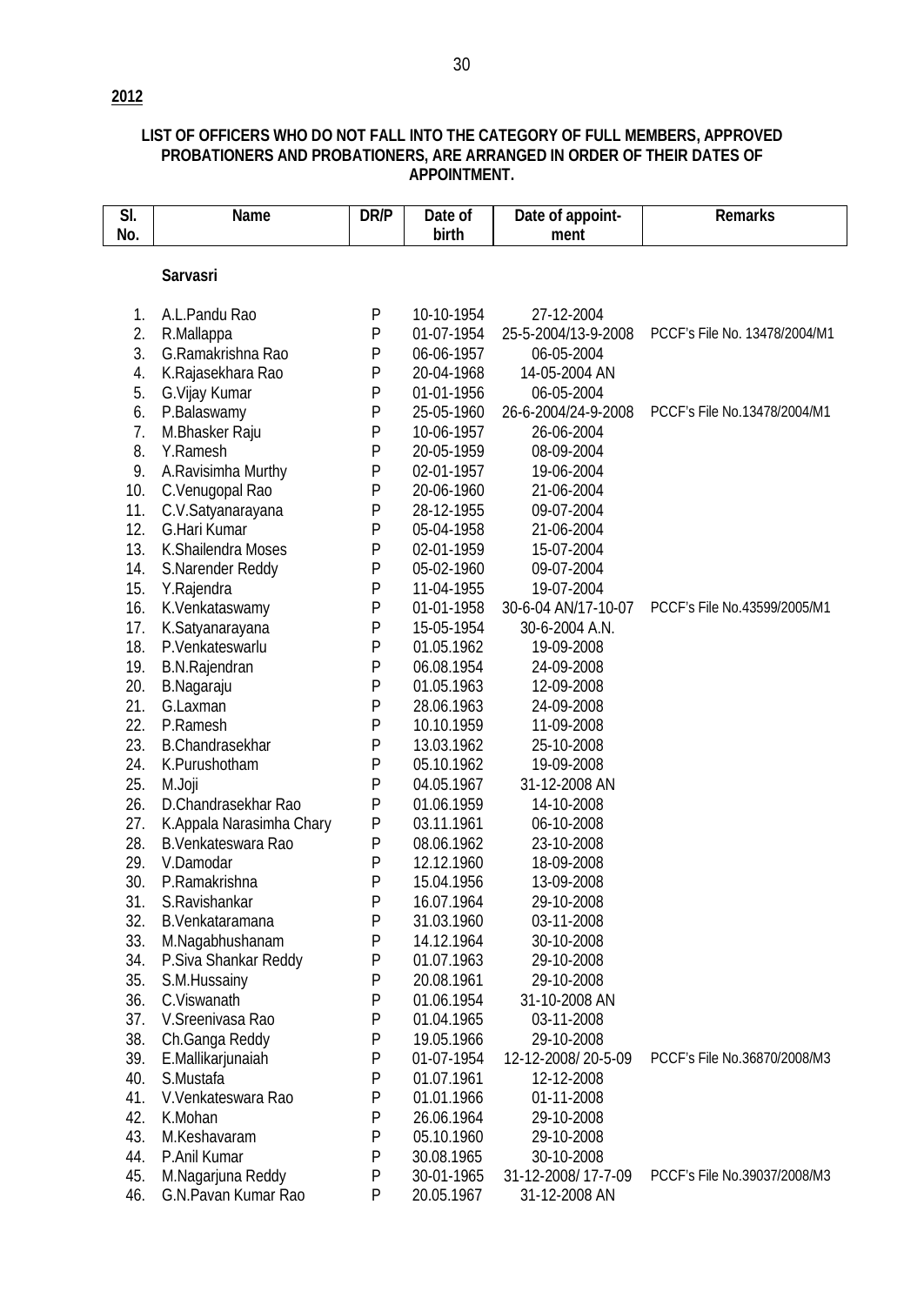## **LIST OF OFFICERS WHO DO NOT FALL INTO THE CATEGORY OF FULL MEMBERS, APPROVED PROBATIONERS AND PROBATIONERS, ARE ARRANGED IN ORDER OF THEIR DATES OF APPOINTMENT.**

| SI. | <b>Name</b>              | DR/P      | Date of    | Date of appoint-    | <b>Remarks</b>                |
|-----|--------------------------|-----------|------------|---------------------|-------------------------------|
| No. |                          |           | birth      | ment                |                               |
|     |                          |           |            |                     |                               |
|     | <b>Sarvasri</b>          |           |            |                     |                               |
| 1.  | A.L.Pandu Rao            | P         | 10-10-1954 | 27-12-2004          |                               |
| 2.  | R.Mallappa               | P         | 01-07-1954 | 25-5-2004/13-9-2008 | PCCF's File No. 13478/2004/M1 |
| 3.  | G.Ramakrishna Rao        | P         | 06-06-1957 | 06-05-2004          |                               |
| 4.  | K.Rajasekhara Rao        | P         | 20-04-1968 | 14-05-2004 AN       |                               |
| 5.  | G. Vijay Kumar           | P         | 01-01-1956 | 06-05-2004          |                               |
| 6.  | P.Balaswamy              | P         | 25-05-1960 | 26-6-2004/24-9-2008 | PCCF's File No.13478/2004/M1  |
| 7.  | M.Bhasker Raju           | P         | 10-06-1957 | 26-06-2004          |                               |
| 8.  | Y.Ramesh                 | P         | 20-05-1959 | 08-09-2004          |                               |
| 9.  | A.Ravisimha Murthy       | P         | 02-01-1957 | 19-06-2004          |                               |
| 10. | C.Venugopal Rao          | P         | 20-06-1960 | 21-06-2004          |                               |
| 11. | C.V.Satyanarayana        | P         | 28-12-1955 | 09-07-2004          |                               |
| 12. | G.Hari Kumar             | P         | 05-04-1958 | 21-06-2004          |                               |
| 13. | K.Shailendra Moses       | P         | 02-01-1959 | 15-07-2004          |                               |
| 14. | S.Narender Reddy         | P         | 05-02-1960 | 09-07-2004          |                               |
| 15. | Y.Rajendra               | P         | 11-04-1955 | 19-07-2004          |                               |
| 16. | K.Venkataswamy           | P         | 01-01-1958 | 30-6-04 AN/17-10-07 | PCCF's File No.43599/2005/M1  |
| 17. | K.Satyanarayana          | P         | 15-05-1954 | 30-6-2004 A.N.      |                               |
| 18. | P.Venkateswarlu          | P         | 01.05.1962 | 19-09-2008          |                               |
| 19. | <b>B.N.Rajendran</b>     | P         | 06.08.1954 | 24-09-2008          |                               |
| 20. | B.Nagaraju               | ${\sf P}$ | 01.05.1963 | 12-09-2008          |                               |
| 21. | G.Laxman                 | ${\sf P}$ | 28.06.1963 | 24-09-2008          |                               |
| 22. | P.Ramesh                 | ${\sf P}$ | 10.10.1959 | 11-09-2008          |                               |
| 23. | <b>B.Chandrasekhar</b>   | P         | 13.03.1962 | 25-10-2008          |                               |
| 24. | K.Purushotham            | P         | 05.10.1962 | 19-09-2008          |                               |
| 25. | M.Joji                   | P         | 04.05.1967 | 31-12-2008 AN       |                               |
| 26. | D.Chandrasekhar Rao      | P         | 01.06.1959 | 14-10-2008          |                               |
| 27. | K.Appala Narasimha Chary | P         | 03.11.1961 | 06-10-2008          |                               |
| 28. | B.Venkateswara Rao       | P         | 08.06.1962 | 23-10-2008          |                               |
| 29. | V.Damodar                | P         | 12.12.1960 | 18-09-2008          |                               |
| 30. | P.Ramakrishna            | P         | 15.04.1956 | 13-09-2008          |                               |
| 31. | S.Ravishankar            | ${\sf P}$ | 16.07.1964 | 29-10-2008          |                               |
| 32. | B.Venkataramana          | P         | 31.03.1960 | 03-11-2008          |                               |
| 33. | M.Nagabhushanam          | P         | 14.12.1964 | 30-10-2008          |                               |
| 34. | P.Siva Shankar Reddy     | P         | 01.07.1963 | 29-10-2008          |                               |
| 35. | S.M.Hussainy             | P         | 20.08.1961 | 29-10-2008          |                               |
| 36. | C.Viswanath              | P         | 01.06.1954 | 31-10-2008 AN       |                               |
| 37. | V.Sreenivasa Rao         | P         | 01.04.1965 | 03-11-2008          |                               |
| 38. | Ch.Ganga Reddy           | P         | 19.05.1966 | 29-10-2008          |                               |
| 39. | E.Mallikarjunaiah        | P         | 01-07-1954 | 12-12-2008/20-5-09  | PCCF's File No.36870/2008/M3  |
| 40. | S.Mustafa                | P         | 01.07.1961 | 12-12-2008          |                               |
| 41. | V.Venkateswara Rao       | P         | 01.01.1966 | 01-11-2008          |                               |
| 42. | K.Mohan                  | P         | 26.06.1964 | 29-10-2008          |                               |
| 43. | M.Keshavaram             | P         | 05.10.1960 | 29-10-2008          |                               |
| 44. | P.Anil Kumar             | P         | 30.08.1965 | 30-10-2008          |                               |
| 45. | M.Nagarjuna Reddy        | P         | 30-01-1965 | 31-12-2008/17-7-09  | PCCF's File No.39037/2008/M3  |
| 46. | G.N.Pavan Kumar Rao      | P         | 20.05.1967 | 31-12-2008 AN       |                               |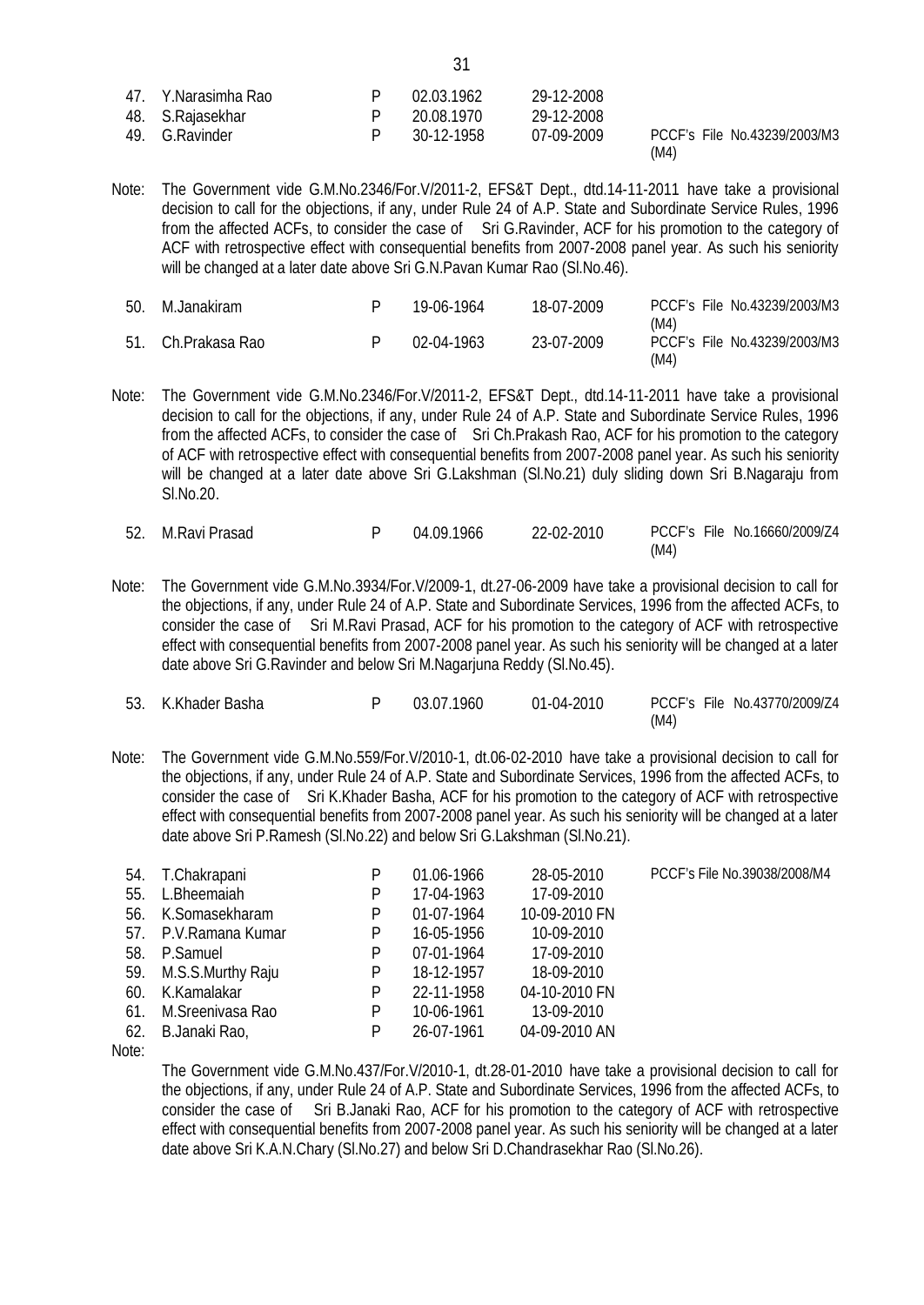| 47. Y Narasimha Rao | 02.03.1962 | 29-12-2008 |      |                              |
|---------------------|------------|------------|------|------------------------------|
| 48. S.Rajasekhar    | 20.08.1970 | 29-12-2008 |      |                              |
| 49. G.Ravinder      | 30-12-1958 | 07-09-2009 |      | PCCF's File No.43239/2003/M3 |
|                     |            |            | (M4) |                              |

Note: The Government vide G.M.No.2346/For.V/2011-2, EFS&T Dept., dtd.14-11-2011 have take a provisional decision to call for the objections, if any, under Rule 24 of A.P. State and Subordinate Service Rules, 1996 from the affected ACFs, to consider the case of Sri G.Ravinder, ACF for his promotion to the category of ACF with retrospective effect with consequential benefits from 2007-2008 panel year. As such his seniority will be changed at a later date above Sri G.N.Pavan Kumar Rao (Sl.No.46).

| -50. | M.Janakiram        | 19-06-1964 | 18-07-2009 |              | PCCF's File No.43239/2003/M3 |
|------|--------------------|------------|------------|--------------|------------------------------|
|      | 51. Ch.Prakasa Rao | 02-04-1963 | 23-07-2009 | (M4)<br>(M4) | PCCF's File No.43239/2003/M3 |

Note: The Government vide G.M.No.2346/For.V/2011-2, EFS&T Dept., dtd.14-11-2011 have take a provisional decision to call for the objections, if any, under Rule 24 of A.P. State and Subordinate Service Rules, 1996 from the affected ACFs, to consider the case of Sri Ch.Prakash Rao, ACF for his promotion to the category of ACF with retrospective effect with consequential benefits from 2007-2008 panel year. As such his seniority will be changed at a later date above Sri G.Lakshman (Sl.No.21) duly sliding down Sri B.Nagaraju from Sl.No.20.

| 52. M.Ravi Prasad | 04.09.1966 | 22-02-2010 |      | PCCF's File No.16660/2009/Z4 |
|-------------------|------------|------------|------|------------------------------|
|                   |            |            | (M4) |                              |

Note: The Government vide G.M.No.3934/For.V/2009-1, dt.27-06-2009 have take a provisional decision to call for the objections, if any, under Rule 24 of A.P. State and Subordinate Services, 1996 from the affected ACFs, to consider the case of Sri M.Ravi Prasad, ACF for his promotion to the category of ACF with retrospective effect with consequential benefits from 2007-2008 panel year. As such his seniority will be changed at a later date above Sri G.Ravinder and below Sri M.Nagarjuna Reddy (Sl.No.45).

| 53. K.Khader Basha | 03.07.1960 | $01-04-2010$ |      | PCCF's File No.43770/2009/Z4 |
|--------------------|------------|--------------|------|------------------------------|
|                    |            |              | (M4) |                              |

Note: The Government vide G.M.No.559/For.V/2010-1, dt.06-02-2010 have take a provisional decision to call for the objections, if any, under Rule 24 of A.P. State and Subordinate Services, 1996 from the affected ACFs, to consider the case of Sri K.Khader Basha, ACF for his promotion to the category of ACF with retrospective effect with consequential benefits from 2007-2008 panel year. As such his seniority will be changed at a later date above Sri P.Ramesh (Sl.No.22) and below Sri G.Lakshman (Sl.No.21).

| 54. | T.Chakrapani      | P | 01.06-1966 | 28-05-2010    | PCCF's File No.39038/2008/M4 |
|-----|-------------------|---|------------|---------------|------------------------------|
| 55. | L.Bheemaiah       | P | 17-04-1963 | 17-09-2010    |                              |
| 56. | K.Somasekharam    | P | 01-07-1964 | 10-09-2010 FN |                              |
| 57. | P.V.Ramana Kumar  | P | 16-05-1956 | 10-09-2010    |                              |
| 58. | P.Samuel          | P | 07-01-1964 | 17-09-2010    |                              |
| 59. | M.S.S.Murthy Raju | P | 18-12-1957 | 18-09-2010    |                              |
| 60. | K.Kamalakar       | P | 22-11-1958 | 04-10-2010 FN |                              |
| 61. | M.Sreenivasa Rao  | P | 10-06-1961 | 13-09-2010    |                              |
| 62. | B.Janaki Rao,     | P | 26-07-1961 | 04-09-2010 AN |                              |

Note:

The Government vide G.M.No.437/For.V/2010-1, dt.28-01-2010 have take a provisional decision to call for the objections, if any, under Rule 24 of A.P. State and Subordinate Services, 1996 from the affected ACFs, to consider the case of Sri B.Janaki Rao, ACF for his promotion to the category of ACF with retrospective effect with consequential benefits from 2007-2008 panel year. As such his seniority will be changed at a later date above Sri K.A.N.Chary (Sl.No.27) and below Sri D.Chandrasekhar Rao (Sl.No.26).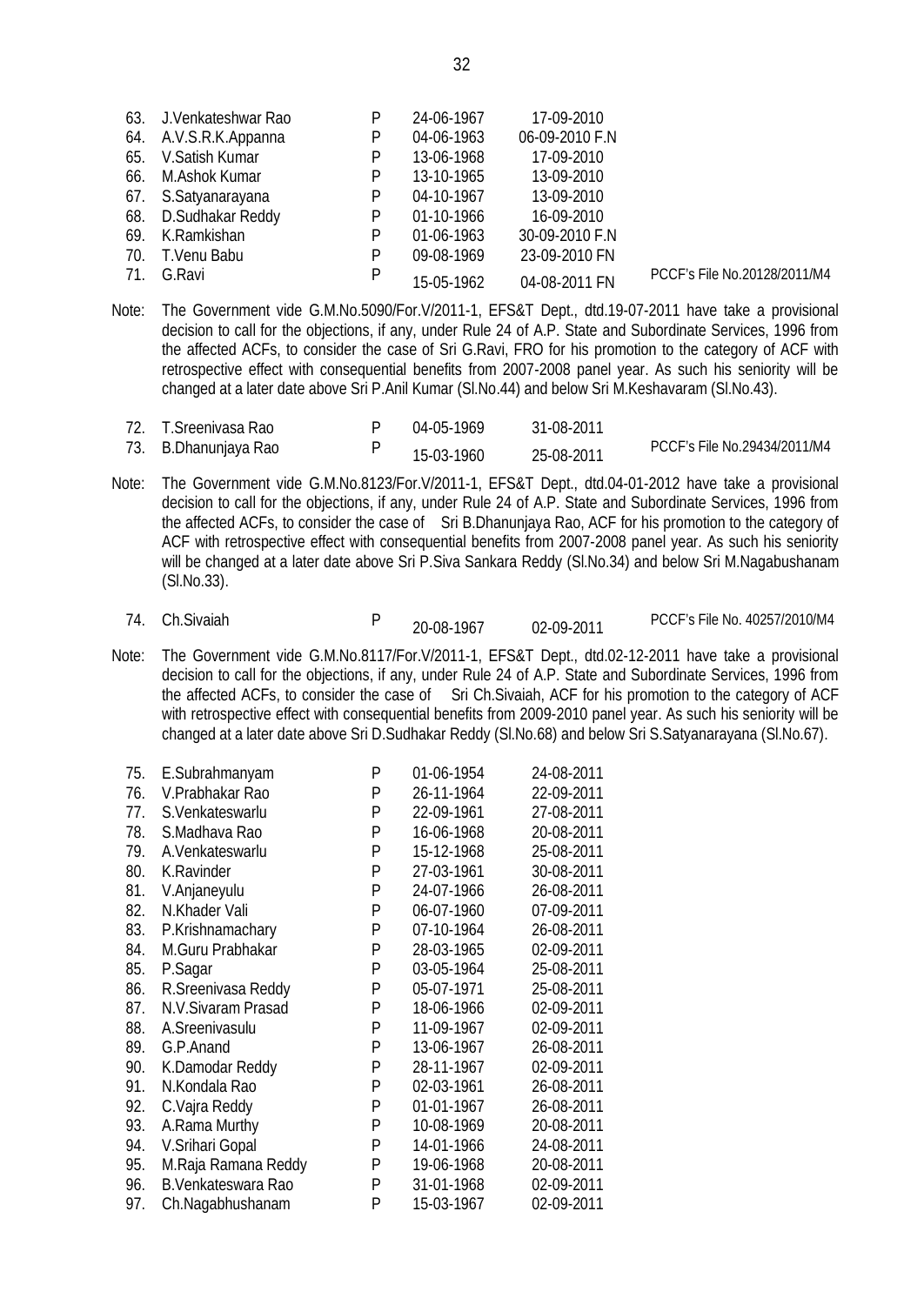| 64. A.V.S.R.K.Appanna | P                                             | 04-06-1963 | 06-09-2010 F.N |                              |
|-----------------------|-----------------------------------------------|------------|----------------|------------------------------|
| 65. V.Satish Kumar    | P                                             | 13-06-1968 | 17-09-2010     |                              |
| 66. M.Ashok Kumar     | P                                             | 13-10-1965 | 13-09-2010     |                              |
|                       | P                                             | 04-10-1967 | 13-09-2010     |                              |
| 68. D.Sudhakar Reddy  | P                                             | 01-10-1966 | 16-09-2010     |                              |
| 69. K.Ramkishan       | P                                             | 01-06-1963 | 30-09-2010 F.N |                              |
| 70. T.Venu Babu       | P                                             | 09-08-1969 | 23-09-2010 FN  |                              |
| 71. G.Ravi            | P                                             | 15-05-1962 | 04-08-2011 FN  | PCCF's File No.20128/2011/M4 |
|                       | 63. J.Venkateshwar Rao<br>67. S.Satyanarayana | P          | 24-06-1967     | 17-09-2010                   |

- Note: The Government vide G.M.No.5090/For.V/2011-1, EFS&T Dept., dtd.19-07-2011 have take a provisional decision to call for the objections, if any, under Rule 24 of A.P. State and Subordinate Services, 1996 from the affected ACFs, to consider the case of Sri G.Ravi, FRO for his promotion to the category of ACF with retrospective effect with consequential benefits from 2007-2008 panel year. As such his seniority will be changed at a later date above Sri P.Anil Kumar (Sl.No.44) and below Sri M.Keshavaram (Sl.No.43).
- 72. T.Sreenivasa Rao P 04-05-1969 31-08-2011 73. B.Dhanunjaya Rao 15-03-1960 25-08-2011 PCCF's File No.29434/2011/M4
- Note: The Government vide G.M.No.8123/For.V/2011-1, EFS&T Dept., dtd.04-01-2012 have take a provisional decision to call for the objections, if any, under Rule 24 of A.P. State and Subordinate Services, 1996 from the affected ACFs, to consider the case of Sri B.Dhanunjaya Rao, ACF for his promotion to the category of ACF with retrospective effect with consequential benefits from 2007-2008 panel year. As such his seniority will be changed at a later date above Sri P.Siva Sankara Reddy (Sl.No.34) and below Sri M.Nagabushanam (Sl.No.33).
	- 74. Ch.Sivaiah P

20-08-1967 02-09-2011 PCCF's File No. 40257/2010/M4

Note: The Government vide G.M.No.8117/For.V/2011-1, EFS&T Dept., dtd.02-12-2011 have take a provisional decision to call for the objections, if any, under Rule 24 of A.P. State and Subordinate Services, 1996 from the affected ACFs, to consider the case of Sri Ch.Sivaiah, ACF for his promotion to the category of ACF with retrospective effect with consequential benefits from 2009-2010 panel year. As such his seniority will be changed at a later date above Sri D.Sudhakar Reddy (Sl.No.68) and below Sri S.Satyanarayana (Sl.No.67).

| 75. | E.Subrahmanyam            | P | 01-06-1954 | 24-08-2011 |
|-----|---------------------------|---|------------|------------|
| 76. | V.Prabhakar Rao           | P | 26-11-1964 | 22-09-2011 |
| 77. | S.Venkateswarlu           | P | 22-09-1961 | 27-08-2011 |
| 78. | S.Madhava Rao             | P | 16-06-1968 | 20-08-2011 |
| 79. | A.Venkateswarlu           | P | 15-12-1968 | 25-08-2011 |
| 80. | K.Ravinder                | P | 27-03-1961 | 30-08-2011 |
| 81. | V.Anjaneyulu              | P | 24-07-1966 | 26-08-2011 |
| 82. | N.Khader Vali             | P | 06-07-1960 | 07-09-2011 |
| 83. | P.Krishnamachary          | P | 07-10-1964 | 26-08-2011 |
| 84. | M.Guru Prabhakar          | P | 28-03-1965 | 02-09-2011 |
| 85. | P.Sagar                   | P | 03-05-1964 | 25-08-2011 |
| 86. | R.Sreenivasa Reddy        | P | 05-07-1971 | 25-08-2011 |
| 87. | N.V.Sivaram Prasad        | P | 18-06-1966 | 02-09-2011 |
| 88. | A.Sreenivasulu            | P | 11-09-1967 | 02-09-2011 |
| 89. | G.P.Anand                 | P | 13-06-1967 | 26-08-2011 |
| 90. | K.Damodar Reddy           | P | 28-11-1967 | 02-09-2011 |
| 91. | N.Kondala Rao             | P | 02-03-1961 | 26-08-2011 |
| 92. | C.Vajra Reddy             | P | 01-01-1967 | 26-08-2011 |
| 93. | A.Rama Murthy             | P | 10-08-1969 | 20-08-2011 |
| 94. | V.Srihari Gopal           | P | 14-01-1966 | 24-08-2011 |
| 95. | M.Raja Ramana Reddy       | P | 19-06-1968 | 20-08-2011 |
| 96. | <b>B.Venkateswara Rao</b> | P | 31-01-1968 | 02-09-2011 |
| 97. | Ch.Nagabhushanam          | P | 15-03-1967 | 02-09-2011 |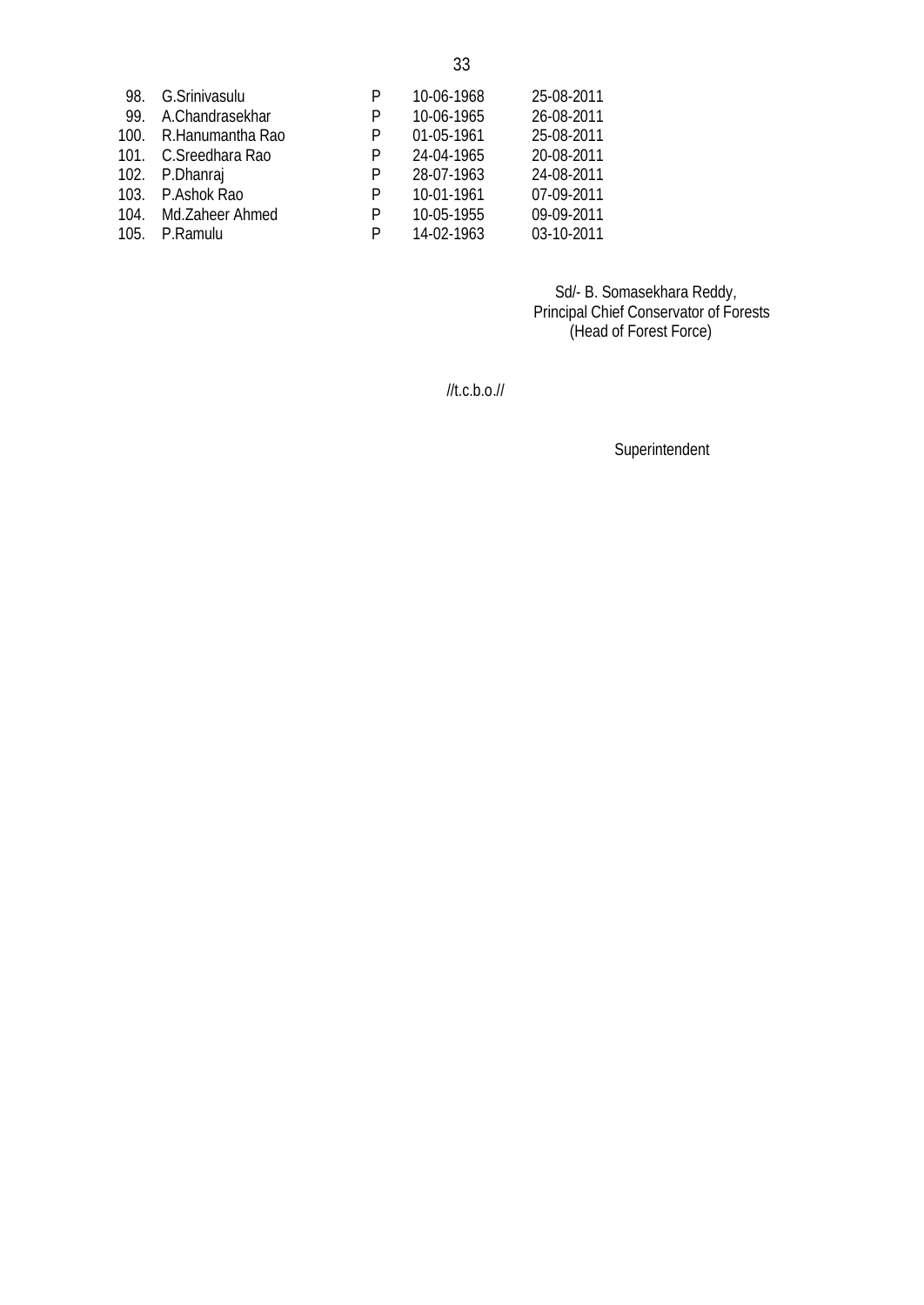| 98.  | G.Srinivasulu    | P | 10-06-1968 | 25-08-2011 |
|------|------------------|---|------------|------------|
| 99.  | A.Chandrasekhar  | P | 10-06-1965 | 26-08-2011 |
| 100. | R.Hanumantha Rao | P | 01-05-1961 | 25-08-2011 |
| 101. | C.Sreedhara Rao  | P | 24-04-1965 | 20-08-2011 |
|      | 102. P.Dhanraj   | P | 28-07-1963 | 24-08-2011 |
| 103. | P.Ashok Rao      | P | 10-01-1961 | 07-09-2011 |
| 104. | Md.Zaheer Ahmed  | P | 10-05-1955 | 09-09-2011 |
| 105. | P.Ramulu         | P | 14-02-1963 | 03-10-2011 |

 Sd/- B. Somasekhara Reddy, Principal Chief Conservator of Forests (Head of Forest Force)

 $/$ /t.c.b.o. $/$ /

Superintendent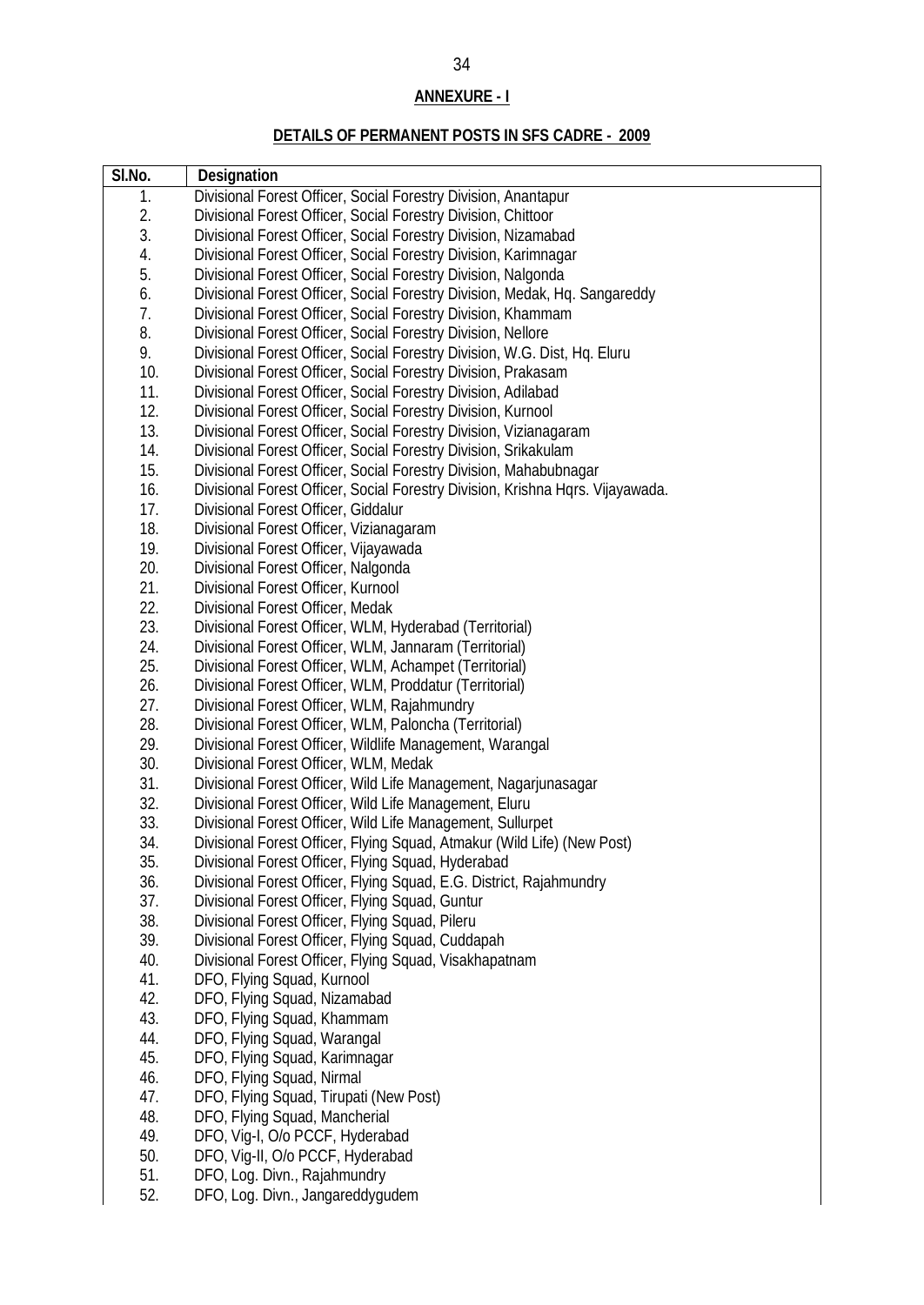# **ANNEXURE - I**

# **DETAILS OF PERMANENT POSTS IN SFS CADRE - 2009**

| SI.No. | <b>Designation</b>                                                             |
|--------|--------------------------------------------------------------------------------|
| 1.     | Divisional Forest Officer, Social Forestry Division, Anantapur                 |
| 2.     | Divisional Forest Officer, Social Forestry Division, Chittoor                  |
| 3.     | Divisional Forest Officer, Social Forestry Division, Nizamabad                 |
| 4.     | Divisional Forest Officer, Social Forestry Division, Karimnagar                |
| 5.     | Divisional Forest Officer, Social Forestry Division, Nalgonda                  |
| 6.     | Divisional Forest Officer, Social Forestry Division, Medak, Hq. Sangareddy     |
| 7.     | Divisional Forest Officer, Social Forestry Division, Khammam                   |
| 8.     | Divisional Forest Officer, Social Forestry Division, Nellore                   |
| 9.     | Divisional Forest Officer, Social Forestry Division, W.G. Dist, Hq. Eluru      |
| 10.    | Divisional Forest Officer, Social Forestry Division, Prakasam                  |
| 11.    | Divisional Forest Officer, Social Forestry Division, Adilabad                  |
| 12.    | Divisional Forest Officer, Social Forestry Division, Kurnool                   |
| 13.    | Divisional Forest Officer, Social Forestry Division, Vizianagaram              |
| 14.    | Divisional Forest Officer, Social Forestry Division, Srikakulam                |
| 15.    | Divisional Forest Officer, Social Forestry Division, Mahabubnagar              |
| 16.    | Divisional Forest Officer, Social Forestry Division, Krishna Hqrs. Vijayawada. |
| 17.    | Divisional Forest Officer, Giddalur                                            |
| 18.    | Divisional Forest Officer, Vizianagaram                                        |
| 19.    | Divisional Forest Officer, Vijayawada                                          |
| 20.    | Divisional Forest Officer, Nalgonda                                            |
| 21.    | Divisional Forest Officer, Kurnool                                             |
| 22.    | Divisional Forest Officer, Medak                                               |
| 23.    | Divisional Forest Officer, WLM, Hyderabad (Territorial)                        |
| 24.    | Divisional Forest Officer, WLM, Jannaram (Territorial)                         |
| 25.    | Divisional Forest Officer, WLM, Achampet (Territorial)                         |
| 26.    | Divisional Forest Officer, WLM, Proddatur (Territorial)                        |
| 27.    | Divisional Forest Officer, WLM, Rajahmundry                                    |
| 28.    | Divisional Forest Officer, WLM, Paloncha (Territorial)                         |
| 29.    | Divisional Forest Officer, Wildlife Management, Warangal                       |
| 30.    | Divisional Forest Officer, WLM, Medak                                          |
| 31.    | Divisional Forest Officer, Wild Life Management, Nagarjunasagar                |
| 32.    | Divisional Forest Officer, Wild Life Management, Eluru                         |
| 33.    | Divisional Forest Officer, Wild Life Management, Sullurpet                     |
| 34.    | Divisional Forest Officer, Flying Squad, Atmakur (Wild Life) (New Post)        |
| 35.    | Divisional Forest Officer, Flying Squad, Hyderabad                             |
| 36.    | Divisional Forest Officer, Flying Squad, E.G. District, Rajahmundry            |
| 37.    | Divisional Forest Officer, Flying Squad, Guntur                                |
| 38.    | Divisional Forest Officer, Flying Squad, Pileru                                |
| 39.    | Divisional Forest Officer, Flying Squad, Cuddapah                              |
| 40.    | Divisional Forest Officer, Flying Squad, Visakhapatnam                         |
| 41.    | DFO, Flying Squad, Kurnool                                                     |
| 42.    | DFO, Flying Squad, Nizamabad                                                   |
| 43.    | DFO, Flying Squad, Khammam                                                     |
| 44.    | DFO, Flying Squad, Warangal                                                    |
| 45.    | DFO, Flying Squad, Karimnagar                                                  |
| 46.    | DFO, Flying Squad, Nirmal                                                      |
| 47.    | DFO, Flying Squad, Tirupati (New Post)                                         |
| 48.    | DFO, Flying Squad, Mancherial                                                  |
| 49.    | DFO, Vig-I, O/o PCCF, Hyderabad                                                |
| 50.    | DFO, Vig-II, O/o PCCF, Hyderabad                                               |
| 51.    | DFO, Log. Divn., Rajahmundry                                                   |
| 52.    | DFO, Log. Divn., Jangareddygudem                                               |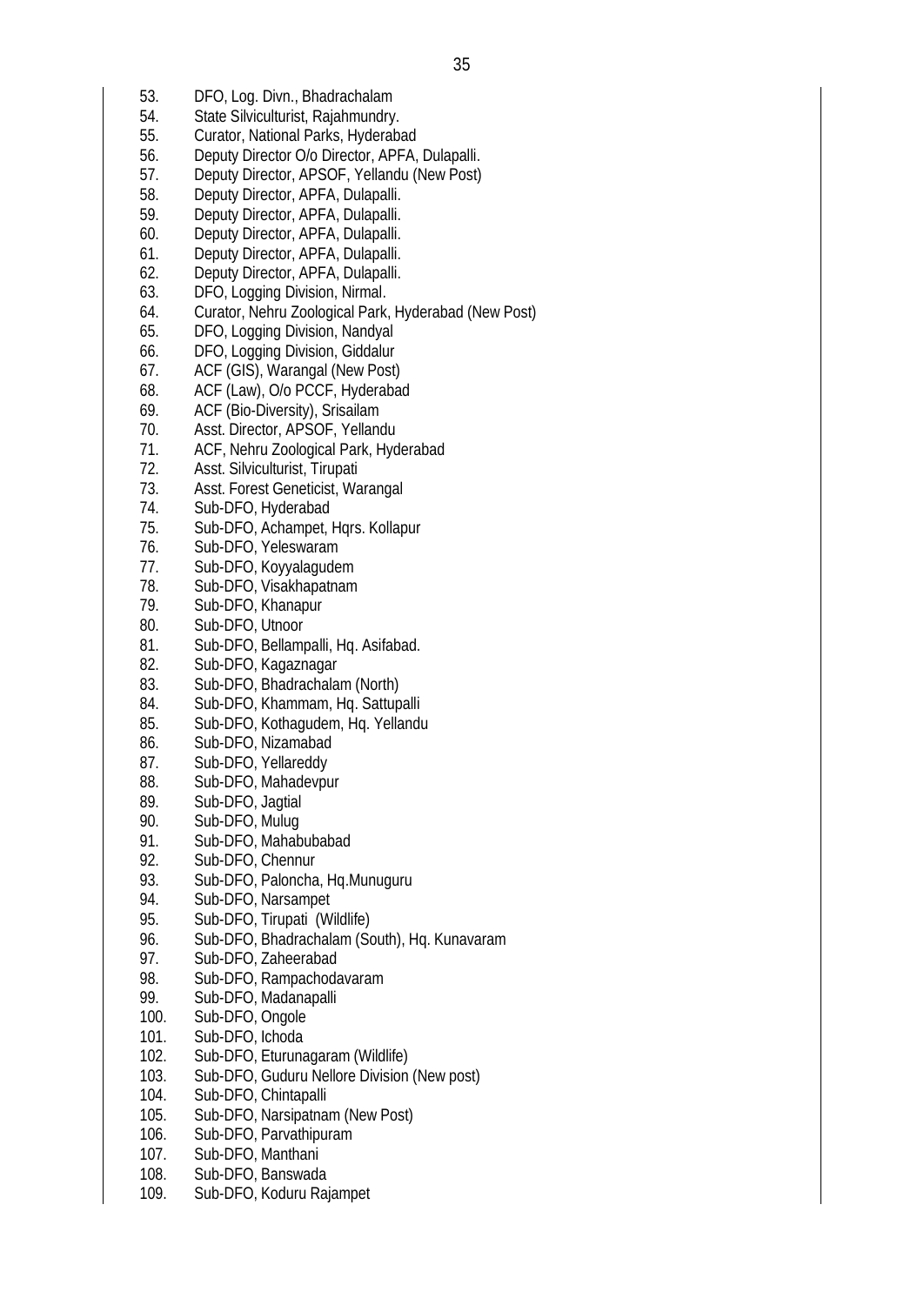- 53. DFO, Log. Divn., Bhadrachalam
- 54. State Silviculturist, Rajahmundry.
- 55. Curator, National Parks, Hyderabad
- 56. Deputy Director O/o Director, APFA, Dulapalli.
- 57. Deputy Director, APSOF, Yellandu (New Post)
- 58. Deputy Director, APFA, Dulapalli.
- 59. Deputy Director, APFA, Dulapalli.
- 60. Deputy Director, APFA, Dulapalli.
- 61. Deputy Director, APFA, Dulapalli.
- 62. Deputy Director, APFA, Dulapalli.
- 63. DFO, Logging Division, Nirmal.
- 64. Curator, Nehru Zoological Park, Hyderabad (New Post)
- 65. DFO, Logging Division, Nandyal
- 66. DFO, Logging Division, Giddalur
- 67. ACF (GIS), Warangal (New Post)
- 68. ACF (Law), O/o PCCF, Hyderabad
- 69. ACF (Bio-Diversity), Srisailam<br>70. Asst. Director. APSOF. Yellan
- Asst. Director, APSOF, Yellandu
- 71. ACF, Nehru Zoological Park, Hyderabad
- 72. Asst. Silviculturist, Tirupati
- 73. Asst. Forest Geneticist, Warangal
- 74. Sub-DFO, Hyderabad
- 75. Sub-DFO, Achampet, Hqrs. Kollapur
- 76. Sub-DFO, Yeleswaram
- 77. Sub-DFO, Koyyalagudem
- 78. Sub-DFO, Visakhapatnam
- 79. Sub-DFO, Khanapur
- 80. Sub-DFO, Utnoor
- 81. Sub-DFO, Bellampalli, Hq. Asifabad.<br>82. Sub-DFO. Kagaznagar
- Sub-DFO, Kagaznagar
- 83. Sub-DFO, Bhadrachalam (North)
- 84. Sub-DFO, Khammam, Hq. Sattupalli
- 85. Sub-DFO, Kothagudem, Hq. Yellandu
- 86. Sub-DFO, Nizamabad
- 87. Sub-DFO, Yellareddy
- 88. Sub-DFO, Mahadevpur
- 89. Sub-DFO, Jagtial
- 90. Sub-DFO, Mulug
- 91. Sub-DFO, Mahabubabad<br>92. Sub-DFO, Chennur
- Sub-DFO, Chennur
- 93. Sub-DFO, Paloncha, Hq.Munuguru<br>94. Sub-DFO, Narsampet
- Sub-DFO, Narsampet
- 95. Sub-DFO, Tirupati (Wildlife)
- 96. Sub-DFO, Bhadrachalam (South), Hq. Kunavaram
- 97. Sub-DFO, Zaheerabad
- 98. Sub-DFO, Rampachodavaram<br>99. Sub-DFO, Madanapalli
- Sub-DFO, Madanapalli
- 100. Sub-DFO, Ongole
- 101. Sub-DFO, Ichoda
- 102. Sub-DFO, Eturunagaram (Wildlife)
- 103. Sub-DFO, Guduru Nellore Division (New post)
- 104. Sub-DFO, Chintapalli
- 105. Sub-DFO, Narsipatnam (New Post)
- 106. Sub-DFO, Parvathipuram
- 107. Sub-DFO, Manthani
- 108. Sub-DFO, Banswada
- 109. Sub-DFO, Koduru Rajampet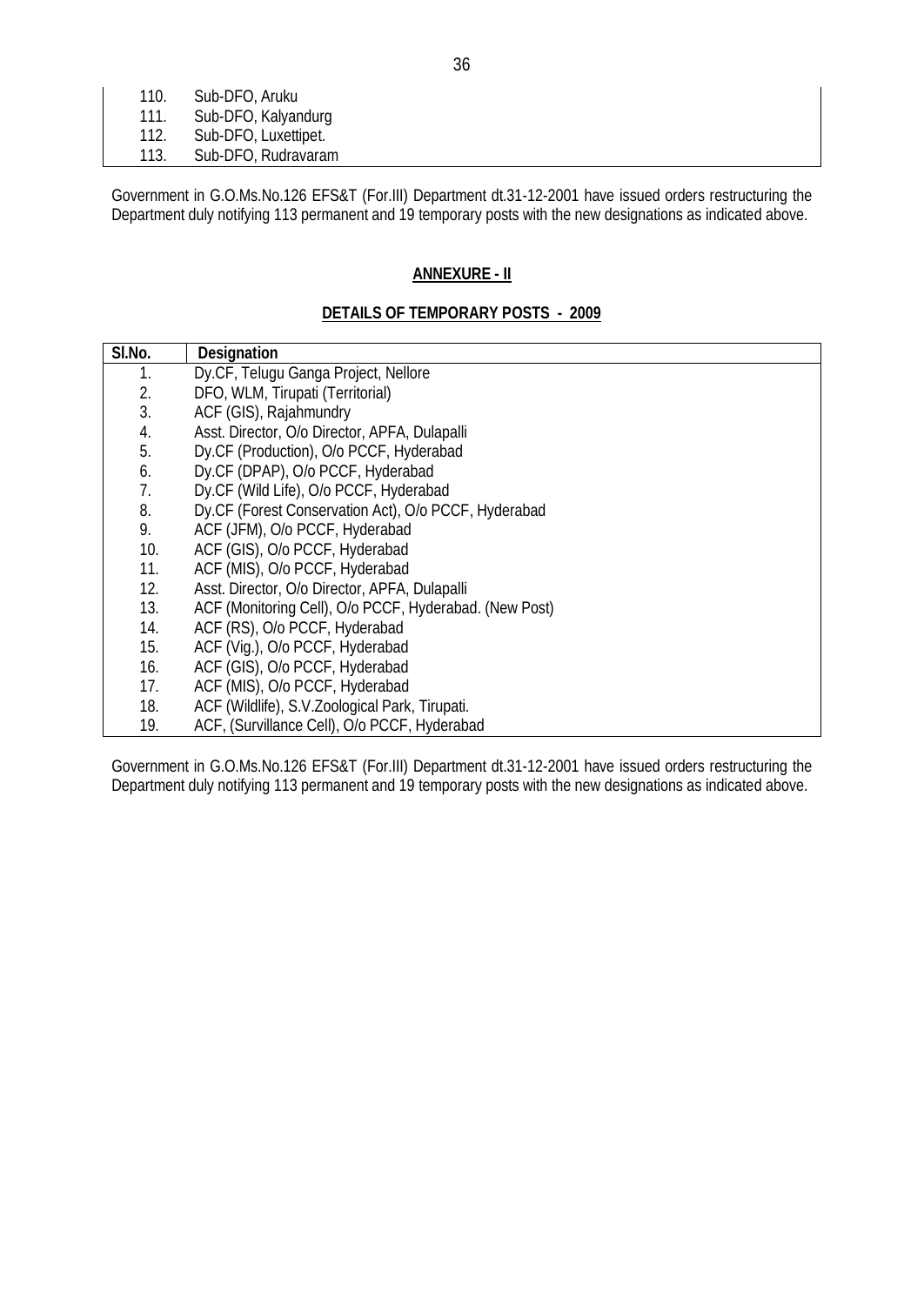| 110. | Sub-DFO, Aruku       |
|------|----------------------|
| 111. | Sub-DFO, Kalyandurg  |
| 112. | Sub-DFO, Luxettipet. |
| 113. | Sub-DFO, Rudravaram  |

Government in G.O.Ms.No.126 EFS&T (For.III) Department dt.31-12-2001 have issued orders restructuring the Department duly notifying 113 permanent and 19 temporary posts with the new designations as indicated above.

# **ANNEXURE - II**

## **DETAILS OF TEMPORARY POSTS - 2009**

| SI.No. | <b>Designation</b>                                     |
|--------|--------------------------------------------------------|
| 1.     | Dy.CF, Telugu Ganga Project, Nellore                   |
| 2.     | DFO, WLM, Tirupati (Territorial)                       |
| 3.     | ACF (GIS), Rajahmundry                                 |
| 4.     | Asst. Director, O/o Director, APFA, Dulapalli          |
| 5.     | Dy.CF (Production), O/o PCCF, Hyderabad                |
| 6.     | Dy.CF (DPAP), O/o PCCF, Hyderabad                      |
| 7.     | Dy.CF (Wild Life), O/o PCCF, Hyderabad                 |
| 8.     | Dy.CF (Forest Conservation Act), O/o PCCF, Hyderabad   |
| 9.     | ACF (JFM), O/o PCCF, Hyderabad                         |
| 10.    | ACF (GIS), O/o PCCF, Hyderabad                         |
| 11.    | ACF (MIS), O/o PCCF, Hyderabad                         |
| 12.    | Asst. Director, O/o Director, APFA, Dulapalli          |
| 13.    | ACF (Monitoring Cell), O/o PCCF, Hyderabad. (New Post) |
| 14.    | ACF (RS), O/o PCCF, Hyderabad                          |
| 15.    | ACF (Vig.), O/o PCCF, Hyderabad                        |
| 16.    | ACF (GIS), O/o PCCF, Hyderabad                         |
| 17.    | ACF (MIS), O/o PCCF, Hyderabad                         |
| 18.    | ACF (Wildlife), S.V. Zoological Park, Tirupati.        |
| 19.    | ACF, (Survillance Cell), O/o PCCF, Hyderabad           |

Government in G.O.Ms.No.126 EFS&T (For.III) Department dt.31-12-2001 have issued orders restructuring the Department duly notifying 113 permanent and 19 temporary posts with the new designations as indicated above.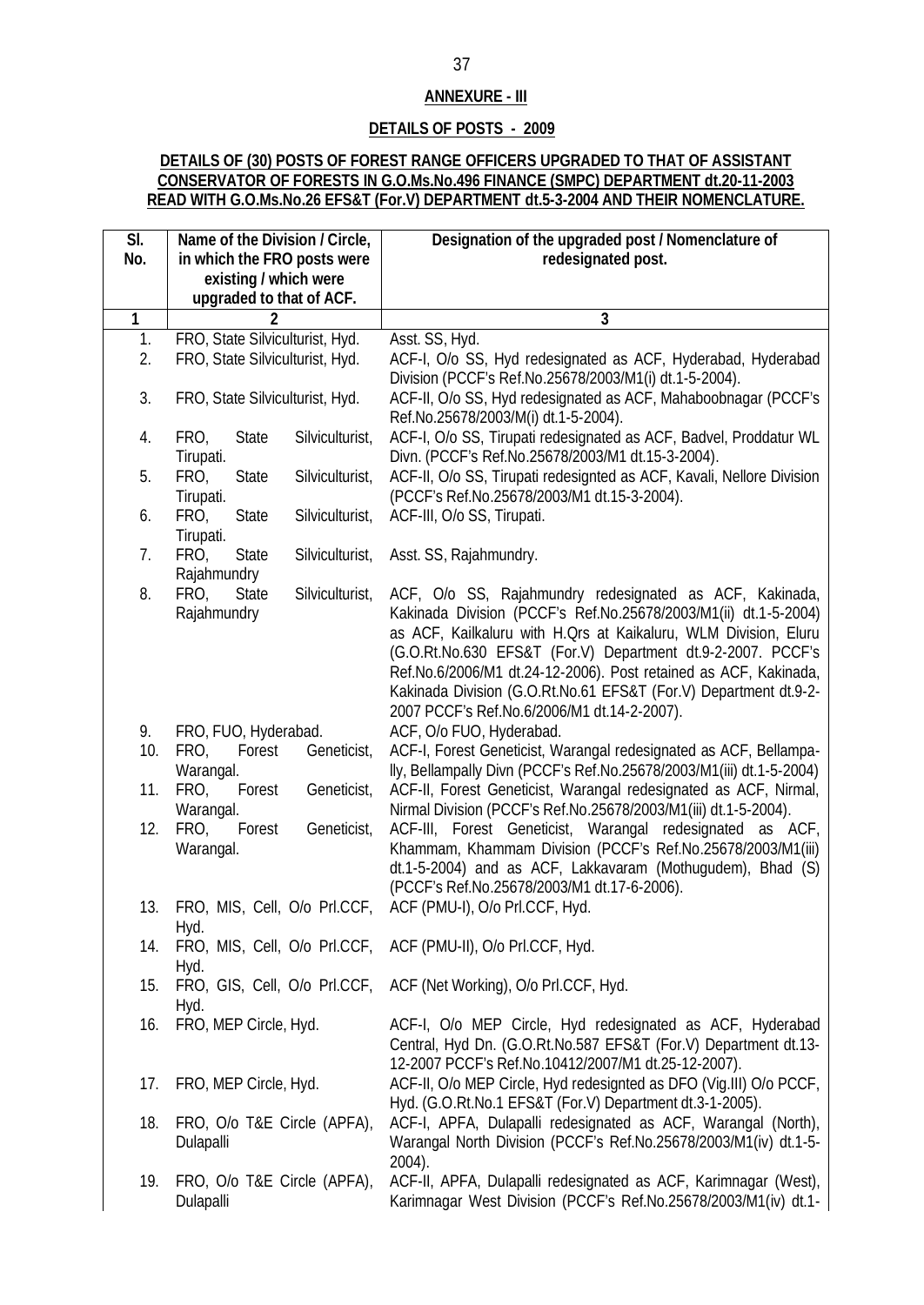## **ANNEXURE - III**

## **DETAILS OF POSTS - 2009**

## **DETAILS OF (30) POSTS OF FOREST RANGE OFFICERS UPGRADED TO THAT OF ASSISTANT CONSERVATOR OF FORESTS IN G.O.Ms.No.496 FINANCE (SMPC) DEPARTMENT dt.20-11-2003 READ WITH G.O.Ms.No.26 EFS&T (For.V) DEPARTMENT dt.5-3-2004 AND THEIR NOMENCLATURE.**

| SI.                     | Name of the Division / Circle,                        | Designation of the upgraded post / Nomenclature of                                            |
|-------------------------|-------------------------------------------------------|-----------------------------------------------------------------------------------------------|
| No.                     | in which the FRO posts were                           | redesignated post.                                                                            |
|                         | existing / which were                                 |                                                                                               |
|                         | upgraded to that of ACF.                              |                                                                                               |
| $\overline{\mathbf{1}}$ | 2                                                     | 3                                                                                             |
| 1.                      | FRO, State Silviculturist, Hyd.                       | Asst. SS, Hyd.                                                                                |
| 2.                      | FRO, State Silviculturist, Hyd.                       | ACF-I, O/o SS, Hyd redesignated as ACF, Hyderabad, Hyderabad                                  |
|                         |                                                       | Division (PCCF's Ref.No.25678/2003/M1(i) dt.1-5-2004).                                        |
| 3.                      | FRO, State Silviculturist, Hyd.                       | ACF-II, O/o SS, Hyd redesignated as ACF, Mahaboobnagar (PCCF's                                |
|                         |                                                       | Ref.No.25678/2003/M(i) dt.1-5-2004).                                                          |
| 4.                      | Silviculturist,<br>FRO,<br><b>State</b>               | ACF-I, O/o SS, Tirupati redesignated as ACF, Badvel, Proddatur WL                             |
|                         | Tirupati.                                             | Divn. (PCCF's Ref.No.25678/2003/M1 dt.15-3-2004).                                             |
| 5.                      | FRO,<br><b>State</b><br>Silviculturist,               | ACF-II, O/o SS, Tirupati redesignted as ACF, Kavali, Nellore Division                         |
|                         | Tirupati.                                             | (PCCF's Ref.No.25678/2003/M1 dt.15-3-2004).                                                   |
| 6.                      | FRO,<br>Silviculturist,<br><b>State</b>               | ACF-III, O/o SS, Tirupati.                                                                    |
|                         | Tirupati.                                             |                                                                                               |
| 7.                      | FRO,<br><b>State</b><br>Silviculturist,               | Asst. SS, Rajahmundry.                                                                        |
|                         | Rajahmundry                                           |                                                                                               |
| 8.                      | Silviculturist,<br>FRO,<br><b>State</b>               | ACF, O/o SS, Rajahmundry redesignated as ACF, Kakinada,                                       |
|                         | Rajahmundry                                           | Kakinada Division (PCCF's Ref.No.25678/2003/M1(ii) dt.1-5-2004)                               |
|                         |                                                       | as ACF, Kailkaluru with H.Qrs at Kaikaluru, WLM Division, Eluru                               |
|                         |                                                       | (G.O.Rt.No.630 EFS&T (For.V) Department dt.9-2-2007. PCCF's                                   |
|                         |                                                       | Ref.No.6/2006/M1 dt.24-12-2006). Post retained as ACF, Kakinada,                              |
|                         |                                                       | Kakinada Division (G.O.Rt.No.61 EFS&T (For.V) Department dt.9-2-                              |
| 9.                      |                                                       | 2007 PCCF's Ref.No.6/2006/M1 dt.14-2-2007).                                                   |
| 10.                     | FRO, FUO, Hyderabad.<br>FRO,<br>Forest<br>Geneticist, | ACF, O/o FUO, Hyderabad.<br>ACF-I, Forest Geneticist, Warangal redesignated as ACF, Bellampa- |
|                         | Warangal.                                             | lly, Bellampally Divn (PCCF's Ref.No.25678/2003/M1(iii) dt.1-5-2004)                          |
| 11.                     | Geneticist,<br>Forest<br>FRO,                         | ACF-II, Forest Geneticist, Warangal redesignated as ACF, Nirmal,                              |
|                         | Warangal.                                             | Nirmal Division (PCCF's Ref.No.25678/2003/M1(iii) dt.1-5-2004).                               |
| 12.                     | FRO,<br>Geneticist,<br>Forest                         | ACF-III, Forest Geneticist, Warangal redesignated as ACF,                                     |
|                         | Warangal.                                             | Khammam, Khammam Division (PCCF's Ref.No.25678/2003/M1(iii)                                   |
|                         |                                                       | dt.1-5-2004) and as ACF, Lakkavaram (Mothugudem), Bhad (S)                                    |
|                         |                                                       | (PCCF's Ref.No.25678/2003/M1 dt.17-6-2006).                                                   |
| 13.                     | FRO, MIS, Cell, O/o PrI.CCF,                          | ACF (PMU-I), O/o PrI.CCF, Hyd.                                                                |
|                         | Hyd.                                                  |                                                                                               |
| 14.                     |                                                       | FRO, MIS, Cell, O/o PrI.CCF, ACF (PMU-II), O/o PrI.CCF, Hyd.                                  |
|                         | Hyd.                                                  |                                                                                               |
| 15.                     |                                                       | FRO, GIS, Cell, O/o PrI.CCF, ACF (Net Working), O/o PrI.CCF, Hyd.                             |
|                         | Hyd.                                                  |                                                                                               |
| 16.                     | FRO, MEP Circle, Hyd.                                 | ACF-I, O/o MEP Circle, Hyd redesignated as ACF, Hyderabad                                     |
|                         |                                                       | Central, Hyd Dn. (G.O.Rt.No.587 EFS&T (For.V) Department dt.13-                               |
|                         |                                                       | 12-2007 PCCF's Ref.No.10412/2007/M1 dt.25-12-2007).                                           |
| 17.                     | FRO, MEP Circle, Hyd.                                 | ACF-II, O/o MEP Circle, Hyd redesignted as DFO (Vig.III) O/o PCCF,                            |
|                         |                                                       | Hyd. (G.O.Rt.No.1 EFS&T (For.V) Department dt.3-1-2005).                                      |
| 18.                     | FRO, O/o T&E Circle (APFA),                           | ACF-I, APFA, Dulapalli redesignated as ACF, Warangal (North),                                 |
|                         | Dulapalli                                             | Warangal North Division (PCCF's Ref.No.25678/2003/M1(iv) dt.1-5-                              |
|                         |                                                       | 2004).                                                                                        |
| 19.                     | FRO, O/o T&E Circle (APFA),                           | ACF-II, APFA, Dulapalli redesignated as ACF, Karimnagar (West),                               |
|                         | Dulapalli                                             | Karimnagar West Division (PCCF's Ref.No.25678/2003/M1(iv) dt.1-                               |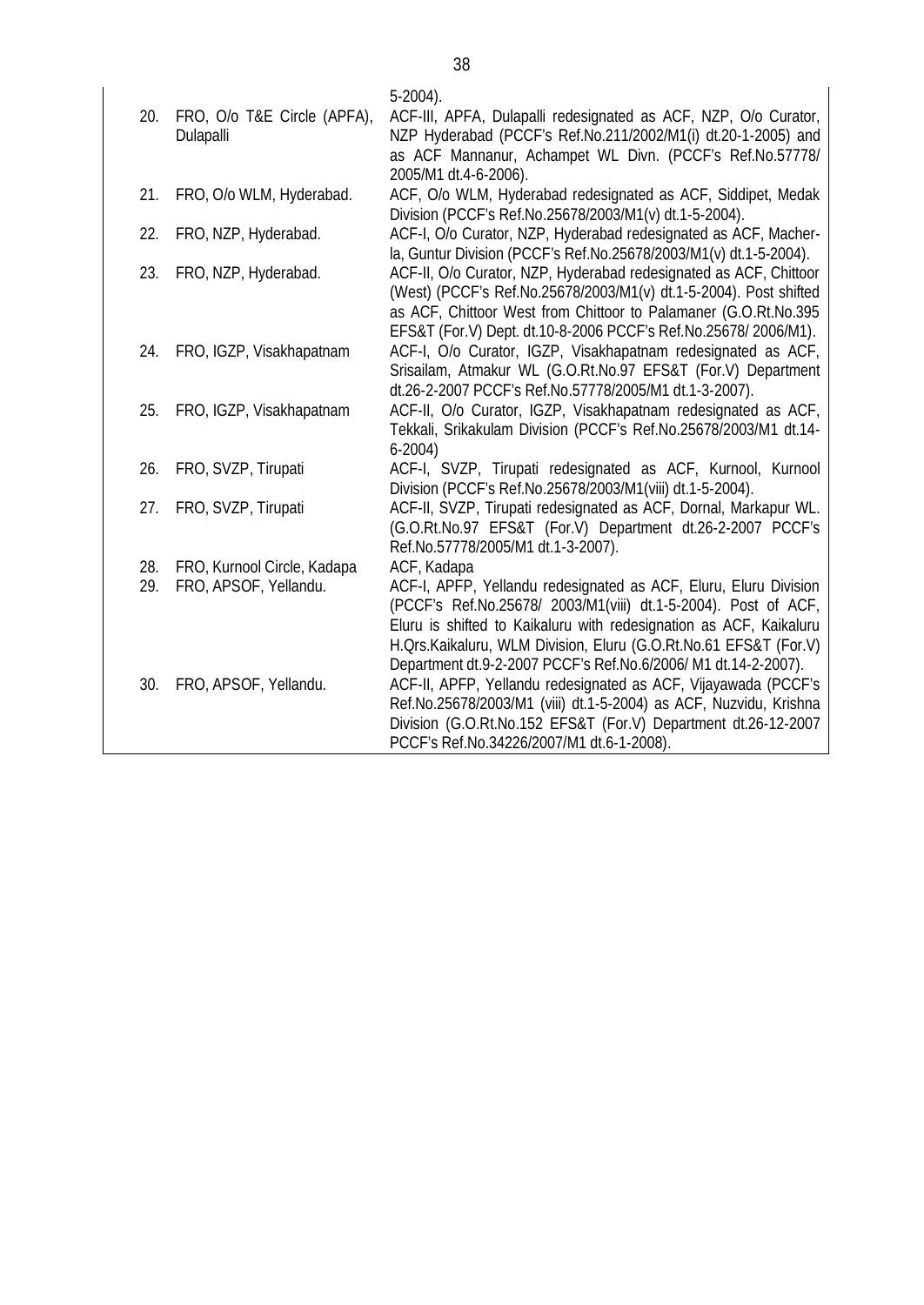| 20. | FRO, O/o T&E Circle (APFA),<br>Dulapalli | $5-2004$ ).<br>ACF-III, APFA, Dulapalli redesignated as ACF, NZP, O/o Curator,<br>NZP Hyderabad (PCCF's Ref.No.211/2002/M1(i) dt.20-1-2005) and<br>as ACF Mannanur, Achampet WL Divn. (PCCF's Ref.No.57778/<br>2005/M1 dt.4-6-2006).                                                                                 |
|-----|------------------------------------------|----------------------------------------------------------------------------------------------------------------------------------------------------------------------------------------------------------------------------------------------------------------------------------------------------------------------|
| 21. | FRO, O/o WLM, Hyderabad.                 | ACF, O/o WLM, Hyderabad redesignated as ACF, Siddipet, Medak<br>Division (PCCF's Ref.No.25678/2003/M1(v) dt.1-5-2004).                                                                                                                                                                                               |
| 22. | FRO, NZP, Hyderabad.                     | ACF-I, O/o Curator, NZP, Hyderabad redesignated as ACF, Macher-                                                                                                                                                                                                                                                      |
| 23. | FRO, NZP, Hyderabad.                     | la, Guntur Division (PCCF's Ref.No.25678/2003/M1(v) dt.1-5-2004).<br>ACF-II, O/o Curator, NZP, Hyderabad redesignated as ACF, Chittoor<br>(West) (PCCF's Ref.No.25678/2003/M1(v) dt.1-5-2004). Post shifted<br>as ACF, Chittoor West from Chittoor to Palamaner (G.O.Rt.No.395                                       |
| 24. | FRO, IGZP, Visakhapatnam                 | EFS&T (For.V) Dept. dt.10-8-2006 PCCF's Ref.No.25678/2006/M1).<br>ACF-I, O/o Curator, IGZP, Visakhapatnam redesignated as ACF,<br>Srisailam, Atmakur WL (G.O.Rt.No.97 EFS&T (For.V) Department<br>dt.26-2-2007 PCCF's Ref.No.57778/2005/M1 dt.1-3-2007).                                                             |
| 25. | FRO, IGZP, Visakhapatnam                 | ACF-II, O/o Curator, IGZP, Visakhapatnam redesignated as ACF,<br>Tekkali, Srikakulam Division (PCCF's Ref.No.25678/2003/M1 dt.14-<br>$6-2004)$                                                                                                                                                                       |
| 26. | FRO, SVZP, Tirupati                      | ACF-I, SVZP, Tirupati redesignated as ACF, Kurnool, Kurnool<br>Division (PCCF's Ref.No.25678/2003/M1(viii) dt.1-5-2004).                                                                                                                                                                                             |
| 27. | FRO, SVZP, Tirupati                      | ACF-II, SVZP, Tirupati redesignated as ACF, Dornal, Markapur WL.<br>(G.O.Rt.No.97 EFS&T (For.V) Department dt.26-2-2007 PCCF's<br>Ref.No.57778/2005/M1 dt.1-3-2007).                                                                                                                                                 |
| 28. | FRO, Kurnool Circle, Kadapa              | ACF, Kadapa                                                                                                                                                                                                                                                                                                          |
| 29. | FRO, APSOF, Yellandu.                    | ACF-I, APFP, Yellandu redesignated as ACF, Eluru, Eluru Division<br>(PCCF's Ref.No.25678/ 2003/M1(viii) dt.1-5-2004). Post of ACF,<br>Eluru is shifted to Kaikaluru with redesignation as ACF, Kaikaluru<br>H. Ors. Kaikaluru, WLM Division, Eluru (G.O.Rt. No.61 EFS&T (For.V)                                      |
| 30. | FRO, APSOF, Yellandu.                    | Department dt.9-2-2007 PCCF's Ref.No.6/2006/ M1 dt.14-2-2007).<br>ACF-II, APFP, Yellandu redesignated as ACF, Vijayawada (PCCF's<br>Ref.No.25678/2003/M1 (viii) dt.1-5-2004) as ACF, Nuzvidu, Krishna<br>Division (G.O.Rt.No.152 EFS&T (For.V) Department dt.26-12-2007<br>PCCF's Ref.No.34226/2007/M1 dt.6-1-2008). |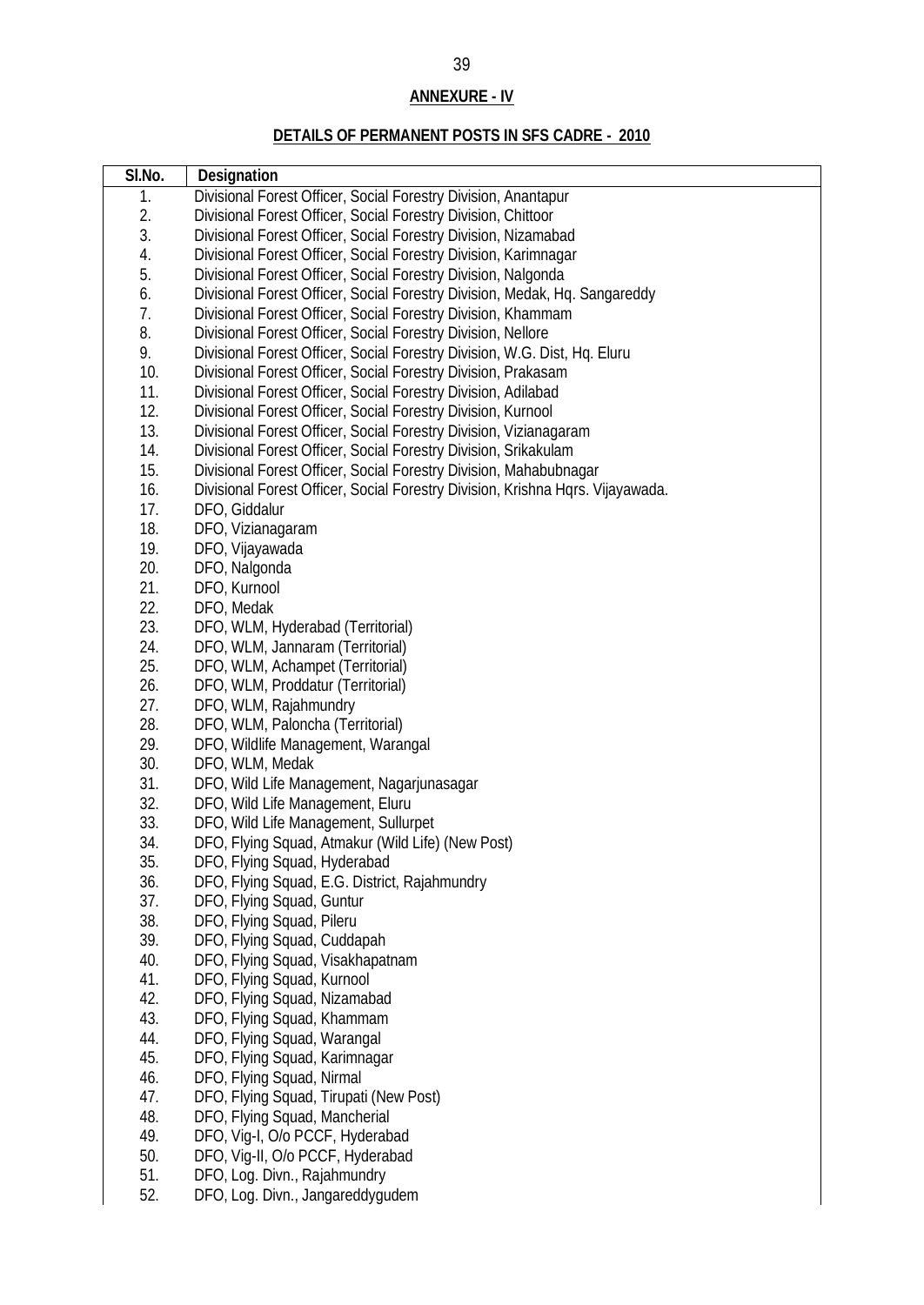# **ANNEXURE - IV**

# **DETAILS OF PERMANENT POSTS IN SFS CADRE - 2010**

| SI.No.     | <b>Designation</b>                                                             |
|------------|--------------------------------------------------------------------------------|
| 1.         | Divisional Forest Officer, Social Forestry Division, Anantapur                 |
| 2.         | Divisional Forest Officer, Social Forestry Division, Chittoor                  |
| 3.         | Divisional Forest Officer, Social Forestry Division, Nizamabad                 |
| 4.         | Divisional Forest Officer, Social Forestry Division, Karimnagar                |
| 5.         | Divisional Forest Officer, Social Forestry Division, Nalgonda                  |
| 6.         | Divisional Forest Officer, Social Forestry Division, Medak, Hq. Sangareddy     |
| 7.         | Divisional Forest Officer, Social Forestry Division, Khammam                   |
| 8.         | Divisional Forest Officer, Social Forestry Division, Nellore                   |
| 9.         | Divisional Forest Officer, Social Forestry Division, W.G. Dist, Hq. Eluru      |
| 10.        | Divisional Forest Officer, Social Forestry Division, Prakasam                  |
| 11.        | Divisional Forest Officer, Social Forestry Division, Adilabad                  |
| 12.        | Divisional Forest Officer, Social Forestry Division, Kurnool                   |
| 13.        | Divisional Forest Officer, Social Forestry Division, Vizianagaram              |
| 14.        | Divisional Forest Officer, Social Forestry Division, Srikakulam                |
| 15.        | Divisional Forest Officer, Social Forestry Division, Mahabubnagar              |
| 16.        | Divisional Forest Officer, Social Forestry Division, Krishna Hqrs. Vijayawada. |
| 17.        | DFO, Giddalur                                                                  |
| 18.        | DFO, Vizianagaram                                                              |
| 19.        | DFO, Vijayawada                                                                |
| 20.        | DFO, Nalgonda                                                                  |
| 21.        | DFO, Kurnool                                                                   |
| 22.        | DFO, Medak                                                                     |
| 23.        | DFO, WLM, Hyderabad (Territorial)                                              |
| 24.        | DFO, WLM, Jannaram (Territorial)                                               |
| 25.        | DFO, WLM, Achampet (Territorial)                                               |
| 26.        | DFO, WLM, Proddatur (Territorial)                                              |
| 27.        | DFO, WLM, Rajahmundry                                                          |
| 28.        | DFO, WLM, Paloncha (Territorial)                                               |
| 29.        | DFO, Wildlife Management, Warangal                                             |
| 30.        | DFO, WLM, Medak                                                                |
| 31.        | DFO, Wild Life Management, Nagarjunasagar                                      |
| 32.        | DFO, Wild Life Management, Eluru                                               |
| 33.        | DFO, Wild Life Management, Sullurpet                                           |
| 34.        | DFO, Flying Squad, Atmakur (Wild Life) (New Post)                              |
| 35.        | DFO, Flying Squad, Hyderabad                                                   |
| 36.        | DFO, Flying Squad, E.G. District, Rajahmundry                                  |
| 37.        | DFO, Flying Squad, Guntur                                                      |
| 38.<br>39. | DFO, Flying Squad, Pileru                                                      |
| 40.        | DFO, Flying Squad, Cuddapah                                                    |
| 41.        | DFO, Flying Squad, Visakhapatnam<br>DFO, Flying Squad, Kurnool                 |
| 42.        | DFO, Flying Squad, Nizamabad                                                   |
| 43.        | DFO, Flying Squad, Khammam                                                     |
| 44.        | DFO, Flying Squad, Warangal                                                    |
| 45.        | DFO, Flying Squad, Karimnagar                                                  |
| 46.        | DFO, Flying Squad, Nirmal                                                      |
| 47.        | DFO, Flying Squad, Tirupati (New Post)                                         |
| 48.        | DFO, Flying Squad, Mancherial                                                  |
| 49.        | DFO, Vig-I, O/o PCCF, Hyderabad                                                |
| 50.        | DFO, Vig-II, O/o PCCF, Hyderabad                                               |
| 51.        | DFO, Log. Divn., Rajahmundry                                                   |
| 52.        | DFO, Log. Divn., Jangareddygudem                                               |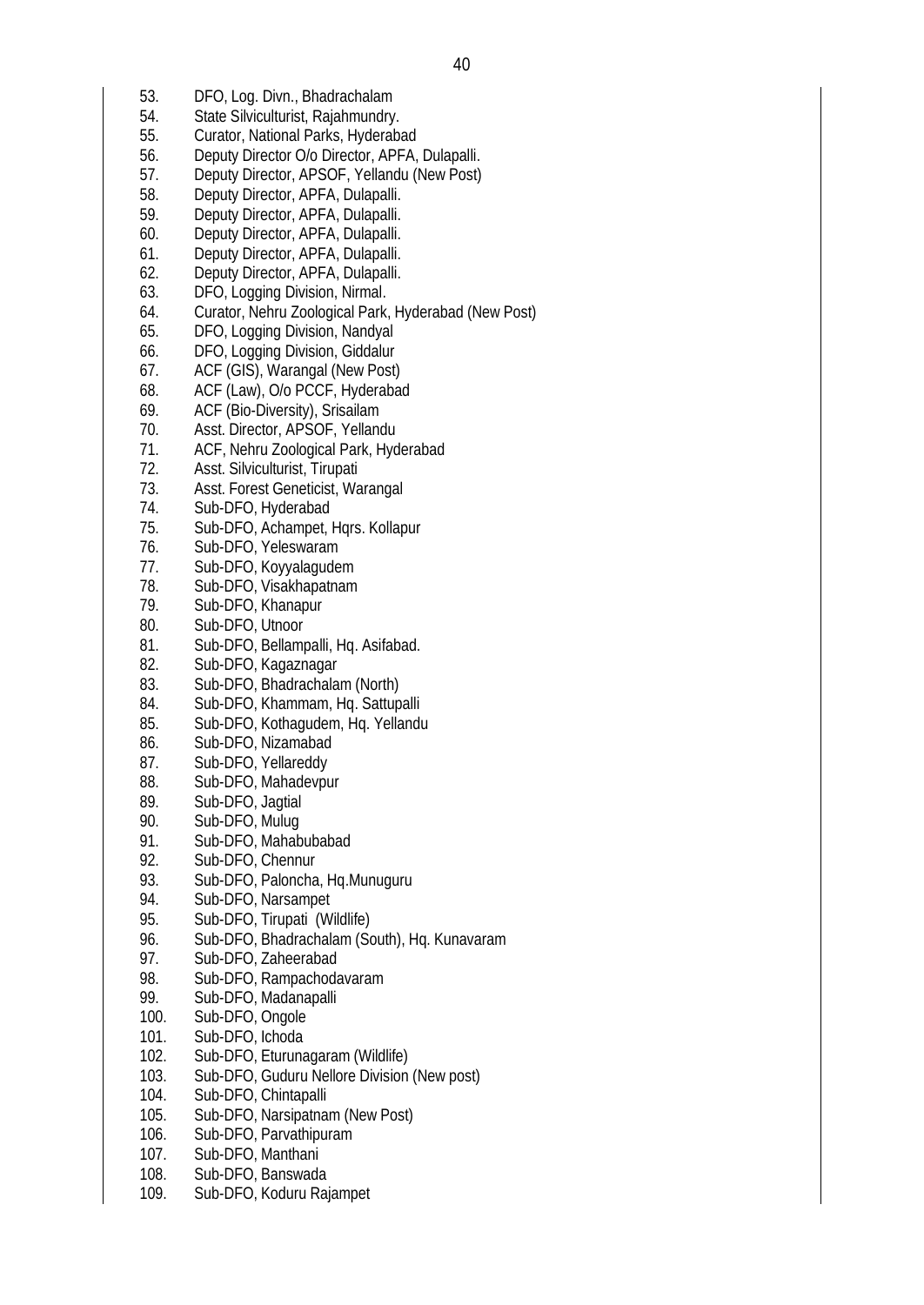- 53. DFO, Log. Divn., Bhadrachalam
- 54. State Silviculturist, Rajahmundry.
- 55. Curator, National Parks, Hyderabad
- 56. Deputy Director O/o Director, APFA, Dulapalli.
- 57. Deputy Director, APSOF, Yellandu (New Post)
- 58. Deputy Director, APFA, Dulapalli.
- 59. Deputy Director, APFA, Dulapalli.
- 60. Deputy Director, APFA, Dulapalli.
- 61. Deputy Director, APFA, Dulapalli.
- 62. Deputy Director, APFA, Dulapalli.
- 63. DFO, Logging Division, Nirmal.
- 64. Curator, Nehru Zoological Park, Hyderabad (New Post)
- 65. DFO, Logging Division, Nandyal
- 66. DFO, Logging Division, Giddalur
- 67. ACF (GIS), Warangal (New Post)
- 68. ACF (Law), O/o PCCF, Hyderabad
- 69. ACF (Bio-Diversity), Srisailam<br>70. Asst. Director. APSOF. Yellan
- Asst. Director, APSOF, Yellandu
- 71. ACF, Nehru Zoological Park, Hyderabad
- 72. Asst. Silviculturist, Tirupati
- 73. Asst. Forest Geneticist, Warangal
- 74. Sub-DFO, Hyderabad
- 75. Sub-DFO, Achampet, Hqrs. Kollapur
- 76. Sub-DFO, Yeleswaram
- 77. Sub-DFO, Koyyalagudem
- 78. Sub-DFO, Visakhapatnam
- 79. Sub-DFO, Khanapur
- 80. Sub-DFO, Utnoor
- 81. Sub-DFO, Bellampalli, Hq. Asifabad.<br>82. Sub-DFO. Kagaznagar
- Sub-DFO, Kagaznagar
- 83. Sub-DFO, Bhadrachalam (North)
- 84. Sub-DFO, Khammam, Hq. Sattupalli
- 85. Sub-DFO, Kothagudem, Hq. Yellandu
- 86. Sub-DFO, Nizamabad
- 87. Sub-DFO, Yellareddy
- 88. Sub-DFO, Mahadevpur
- 89. Sub-DFO, Jagtial
- 90. Sub-DFO, Mulug
- 91. Sub-DFO, Mahabubabad<br>92. Sub-DFO, Chennur
- Sub-DFO, Chennur
- 93. Sub-DFO, Paloncha, Hq.Munuguru<br>94. Sub-DFO, Narsampet
- Sub-DFO, Narsampet
- 95. Sub-DFO, Tirupati (Wildlife)
- 96. Sub-DFO, Bhadrachalam (South), Hq. Kunavaram
- 97. Sub-DFO, Zaheerabad
- 98. Sub-DFO, Rampachodavaram<br>99. Sub-DFO, Madanapalli
- Sub-DFO, Madanapalli
- 100. Sub-DFO, Ongole
- 101. Sub-DFO, Ichoda
- 102. Sub-DFO, Eturunagaram (Wildlife)
- 103. Sub-DFO, Guduru Nellore Division (New post)
- 104. Sub-DFO, Chintapalli
- 105. Sub-DFO, Narsipatnam (New Post)
- 106. Sub-DFO, Parvathipuram
- 107. Sub-DFO, Manthani
- 108. Sub-DFO, Banswada
- 109. Sub-DFO, Koduru Rajampet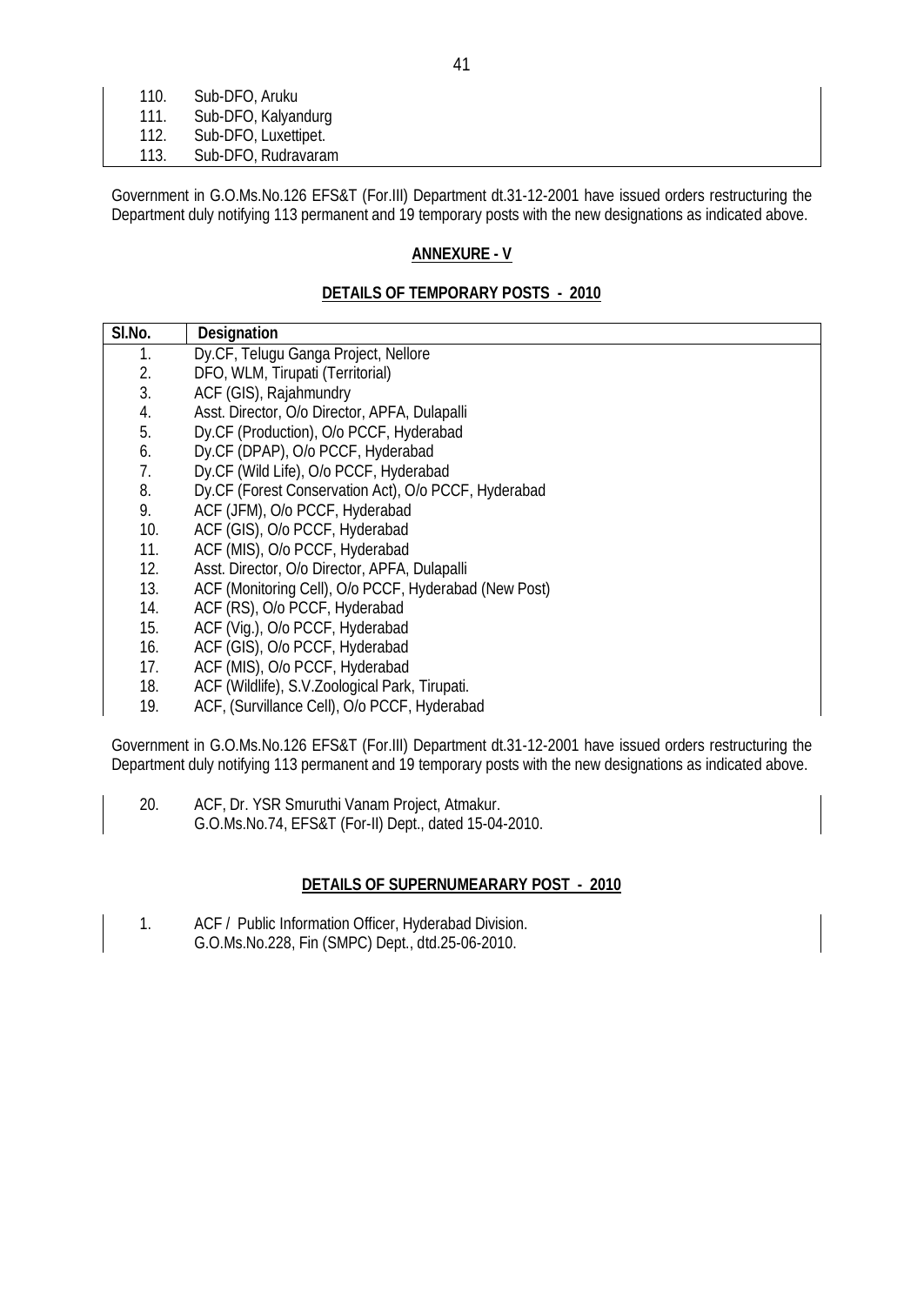| 110. | Sub-DFO, Aruku       |  |  |
|------|----------------------|--|--|
| 111. | Sub-DFO, Kalyandurg  |  |  |
| 112. | Sub-DFO, Luxettipet. |  |  |
|      |                      |  |  |
| 113. | Sub-DFO, Rudravaram  |  |  |

Government in G.O.Ms.No.126 EFS&T (For.III) Department dt.31-12-2001 have issued orders restructuring the Department duly notifying 113 permanent and 19 temporary posts with the new designations as indicated above.

## **ANNEXURE - V**

## **DETAILS OF TEMPORARY POSTS - 2010**

| SI.No. | <b>Designation</b>                                    |
|--------|-------------------------------------------------------|
| 1.     | Dy.CF, Telugu Ganga Project, Nellore                  |
| 2.     | DFO, WLM, Tirupati (Territorial)                      |
| 3.     | ACF (GIS), Rajahmundry                                |
| 4.     | Asst. Director, O/o Director, APFA, Dulapalli         |
| 5.     | Dy.CF (Production), O/o PCCF, Hyderabad               |
| 6.     | Dy.CF (DPAP), O/o PCCF, Hyderabad                     |
| 7.     | Dy.CF (Wild Life), O/o PCCF, Hyderabad                |
| 8.     | Dy.CF (Forest Conservation Act), O/o PCCF, Hyderabad  |
| 9.     | ACF (JFM), O/o PCCF, Hyderabad                        |
| 10.    | ACF (GIS), O/o PCCF, Hyderabad                        |
| 11.    | ACF (MIS), O/o PCCF, Hyderabad                        |
| 12.    | Asst. Director, O/o Director, APFA, Dulapalli         |
| 13.    | ACF (Monitoring Cell), O/o PCCF, Hyderabad (New Post) |
| 14.    | ACF (RS), O/o PCCF, Hyderabad                         |
| 15.    | ACF (Vig.), O/o PCCF, Hyderabad                       |
| 16.    | ACF (GIS), O/o PCCF, Hyderabad                        |
| 17.    | ACF (MIS), O/o PCCF, Hyderabad                        |
| 18.    | ACF (Wildlife), S.V.Zoological Park, Tirupati.        |
| 19.    | ACF, (Survillance Cell), O/o PCCF, Hyderabad          |

Government in G.O.Ms.No.126 EFS&T (For.III) Department dt.31-12-2001 have issued orders restructuring the Department duly notifying 113 permanent and 19 temporary posts with the new designations as indicated above.

20. ACF, Dr. YSR Smuruthi Vanam Project, Atmakur. G.O.Ms.No.74, EFS&T (For-II) Dept., dated 15-04-2010.

## **DETAILS OF SUPERNUMEARARY POST - 2010**

| ACF / Public Information Officer, Hyderabad Division. |
|-------------------------------------------------------|
| G.O.Ms.No.228, Fin (SMPC) Dept., dtd.25-06-2010.      |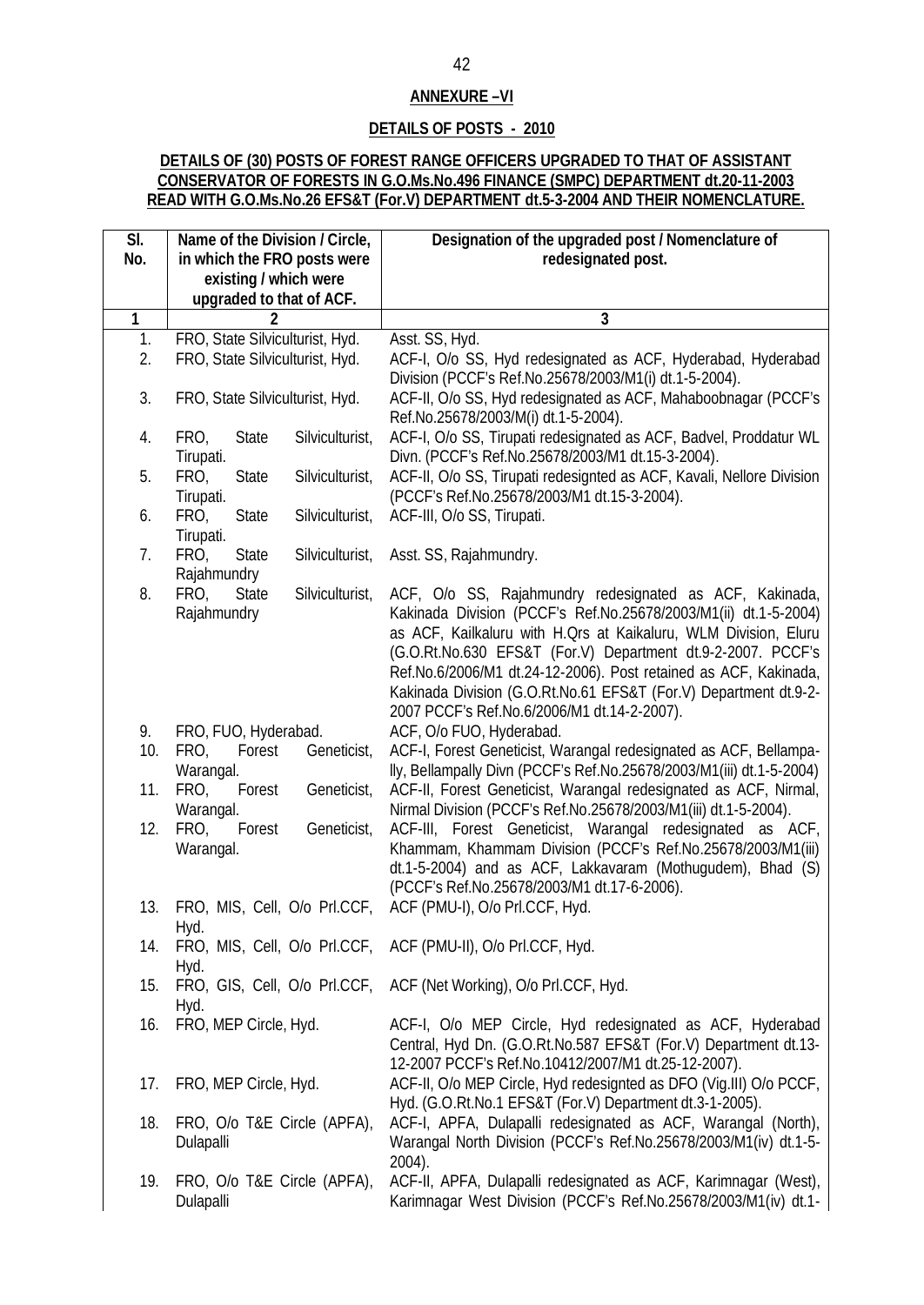## **ANNEXURE –VI**

## **DETAILS OF POSTS - 2010**

## **DETAILS OF (30) POSTS OF FOREST RANGE OFFICERS UPGRADED TO THAT OF ASSISTANT CONSERVATOR OF FORESTS IN G.O.Ms.No.496 FINANCE (SMPC) DEPARTMENT dt.20-11-2003 READ WITH G.O.Ms.No.26 EFS&T (For.V) DEPARTMENT dt.5-3-2004 AND THEIR NOMENCLATURE.**

| SI. | Name of the Division / Circle,                        | Designation of the upgraded post / Nomenclature of                      |
|-----|-------------------------------------------------------|-------------------------------------------------------------------------|
| No. | in which the FRO posts were                           | redesignated post.                                                      |
|     | existing / which were                                 |                                                                         |
|     | upgraded to that of ACF.                              |                                                                         |
| 1   | 2                                                     | 3                                                                       |
| 1.  | FRO, State Silviculturist, Hyd.                       | Asst. SS, Hyd.                                                          |
| 2.  | FRO, State Silviculturist, Hyd.                       | ACF-I, O/o SS, Hyd redesignated as ACF, Hyderabad, Hyderabad            |
|     |                                                       | Division (PCCF's Ref.No.25678/2003/M1(i) dt.1-5-2004).                  |
| 3.  | FRO, State Silviculturist, Hyd.                       | ACF-II, O/o SS, Hyd redesignated as ACF, Mahaboobnagar (PCCF's          |
|     |                                                       | Ref.No.25678/2003/M(i) dt.1-5-2004).                                    |
| 4.  | Silviculturist,<br>FRO,<br><b>State</b>               | ACF-I, O/o SS, Tirupati redesignated as ACF, Badvel, Proddatur WL       |
|     | Tirupati.                                             | Divn. (PCCF's Ref.No.25678/2003/M1 dt.15-3-2004).                       |
| 5.  | FRO,<br><b>State</b><br>Silviculturist,               | ACF-II, O/o SS, Tirupati redesignted as ACF, Kavali, Nellore Division   |
|     | Tirupati.                                             | (PCCF's Ref.No.25678/2003/M1 dt.15-3-2004).                             |
| 6.  | FRO,<br>Silviculturist,<br><b>State</b>               | ACF-III, O/o SS, Tirupati.                                              |
|     | Tirupati.                                             |                                                                         |
| 7.  | FRO,<br><b>State</b><br>Silviculturist,               | Asst. SS, Rajahmundry.                                                  |
|     | Rajahmundry                                           |                                                                         |
| 8.  | <b>State</b><br>Silviculturist,<br>FRO,               | ACF, O/o SS, Rajahmundry redesignated as ACF, Kakinada,                 |
|     | Rajahmundry                                           | Kakinada Division (PCCF's Ref.No.25678/2003/M1(ii) dt.1-5-2004)         |
|     |                                                       | as ACF, Kailkaluru with H.Qrs at Kaikaluru, WLM Division, Eluru         |
|     |                                                       | (G.O.Rt.No.630 EFS&T (For.V) Department dt.9-2-2007. PCCF's             |
|     |                                                       | Ref.No.6/2006/M1 dt.24-12-2006). Post retained as ACF, Kakinada,        |
|     |                                                       | Kakinada Division (G.O.Rt.No.61 EFS&T (For.V) Department dt.9-2-        |
| 9.  |                                                       | 2007 PCCF's Ref.No.6/2006/M1 dt.14-2-2007).<br>ACF, O/o FUO, Hyderabad. |
| 10. | FRO, FUO, Hyderabad.<br>FRO,<br>Forest<br>Geneticist, | ACF-I, Forest Geneticist, Warangal redesignated as ACF, Bellampa-       |
|     | Warangal.                                             | lly, Bellampally Divn (PCCF's Ref.No.25678/2003/M1(iii) dt.1-5-2004)    |
| 11. | Geneticist,<br>FRO,<br>Forest                         | ACF-II, Forest Geneticist, Warangal redesignated as ACF, Nirmal,        |
|     | Warangal.                                             | Nirmal Division (PCCF's Ref.No.25678/2003/M1(iii) dt.1-5-2004).         |
| 12. | FRO,<br>Geneticist,<br>Forest                         | ACF-III, Forest Geneticist, Warangal redesignated as ACF,               |
|     | Warangal.                                             | Khammam, Khammam Division (PCCF's Ref.No.25678/2003/M1(iii)             |
|     |                                                       | dt.1-5-2004) and as ACF, Lakkavaram (Mothugudem), Bhad (S)              |
|     |                                                       | (PCCF's Ref.No.25678/2003/M1 dt.17-6-2006).                             |
|     | 13. FRO, MIS, Cell, O/o PrI.CCF,                      | ACF (PMU-I), O/o PrI.CCF, Hyd.                                          |
|     | Hyd.                                                  |                                                                         |
| 14. |                                                       | FRO, MIS, Cell, O/o PrI.CCF, ACF (PMU-II), O/o PrI.CCF, Hyd.            |
|     | Hyd.                                                  |                                                                         |
| 15. |                                                       | FRO, GIS, Cell, O/o PrI.CCF, ACF (Net Working), O/o PrI.CCF, Hyd.       |
|     | Hyd.                                                  |                                                                         |
| 16. | FRO, MEP Circle, Hyd.                                 | ACF-I, O/o MEP Circle, Hyd redesignated as ACF, Hyderabad               |
|     |                                                       | Central, Hyd Dn. (G.O.Rt.No.587 EFS&T (For.V) Department dt.13-         |
|     |                                                       | 12-2007 PCCF's Ref.No.10412/2007/M1 dt.25-12-2007).                     |
| 17. | FRO, MEP Circle, Hyd.                                 | ACF-II, O/o MEP Circle, Hyd redesignted as DFO (Vig.III) O/o PCCF,      |
|     |                                                       | Hyd. (G.O.Rt.No.1 EFS&T (For.V) Department dt.3-1-2005).                |
| 18. | FRO, O/o T&E Circle (APFA),                           | ACF-I, APFA, Dulapalli redesignated as ACF, Warangal (North),           |
|     | Dulapalli                                             | Warangal North Division (PCCF's Ref.No.25678/2003/M1(iv) dt.1-5-        |
|     |                                                       | 2004).                                                                  |
| 19. | FRO, O/o T&E Circle (APFA),                           | ACF-II, APFA, Dulapalli redesignated as ACF, Karimnagar (West),         |
|     | Dulapalli                                             | Karimnagar West Division (PCCF's Ref.No.25678/2003/M1(iv) dt.1-         |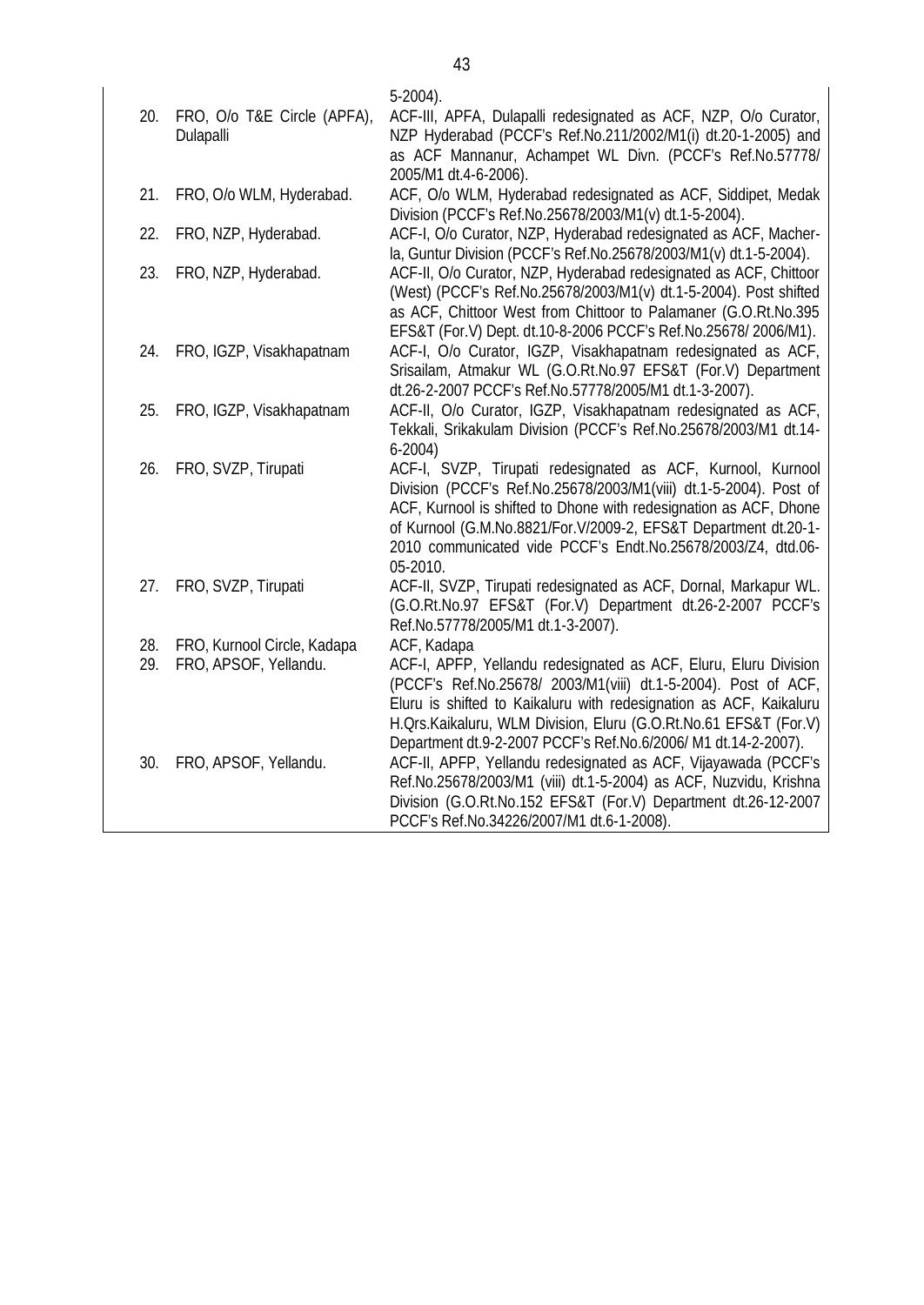| as ACF Mannanur, Achampet WL Divn. (PCCF's Ref.No.57778/<br>2005/M1 dt.4-6-2006).                                                                                                                                                        |  |
|------------------------------------------------------------------------------------------------------------------------------------------------------------------------------------------------------------------------------------------|--|
| 21.<br>FRO, O/o WLM, Hyderabad.<br>ACF, O/o WLM, Hyderabad redesignated as ACF, Siddipet, Medak                                                                                                                                          |  |
| Division (PCCF's Ref.No.25678/2003/M1(v) dt.1-5-2004).                                                                                                                                                                                   |  |
| ACF-I, O/o Curator, NZP, Hyderabad redesignated as ACF, Macher-<br>FRO, NZP, Hyderabad.<br>22.<br>la, Guntur Division (PCCF's Ref.No.25678/2003/M1(v) dt.1-5-2004).                                                                      |  |
| ACF-II, O/o Curator, NZP, Hyderabad redesignated as ACF, Chittoor<br>23.<br>FRO, NZP, Hyderabad.<br>(West) (PCCF's Ref.No.25678/2003/M1(v) dt.1-5-2004). Post shifted<br>as ACF, Chittoor West from Chittoor to Palamaner (G.O.Rt.No.395 |  |
| EFS&T (For.V) Dept. dt.10-8-2006 PCCF's Ref.No.25678/2006/M1).                                                                                                                                                                           |  |
| ACF-I, O/o Curator, IGZP, Visakhapatnam redesignated as ACF,<br>24.<br>FRO, IGZP, Visakhapatnam                                                                                                                                          |  |
| Srisailam, Atmakur WL (G.O.Rt.No.97 EFS&T (For.V) Department                                                                                                                                                                             |  |
| dt.26-2-2007 PCCF's Ref.No.57778/2005/M1 dt.1-3-2007).<br>ACF-II, O/o Curator, IGZP, Visakhapatnam redesignated as ACF,<br>25.<br>FRO, IGZP, Visakhapatnam                                                                               |  |
| Tekkali, Srikakulam Division (PCCF's Ref.No.25678/2003/M1 dt.14-                                                                                                                                                                         |  |
| $6-2004)$                                                                                                                                                                                                                                |  |
| FRO, SVZP, Tirupati<br>ACF-I, SVZP, Tirupati redesignated as ACF, Kurnool, Kurnool<br>26.                                                                                                                                                |  |
| Division (PCCF's Ref.No.25678/2003/M1(viii) dt.1-5-2004). Post of                                                                                                                                                                        |  |
| ACF, Kurnool is shifted to Dhone with redesignation as ACF, Dhone<br>of Kurnool (G.M.No.8821/For.V/2009-2, EFS&T Department dt.20-1-                                                                                                     |  |
| 2010 communicated vide PCCF's Endt.No.25678/2003/Z4, dtd.06-                                                                                                                                                                             |  |
| 05-2010.                                                                                                                                                                                                                                 |  |
| FRO, SVZP, Tirupati<br>ACF-II, SVZP, Tirupati redesignated as ACF, Dornal, Markapur WL.<br>27.                                                                                                                                           |  |
| (G.O.Rt.No.97 EFS&T (For.V) Department dt.26-2-2007 PCCF's                                                                                                                                                                               |  |
| Ref.No.57778/2005/M1 dt.1-3-2007).<br>28.<br>FRO, Kurnool Circle, Kadapa<br>ACF, Kadapa                                                                                                                                                  |  |
| 29.<br>ACF-I, APFP, Yellandu redesignated as ACF, Eluru, Eluru Division<br>FRO, APSOF, Yellandu.                                                                                                                                         |  |
| (PCCF's Ref.No.25678/ 2003/M1(viii) dt.1-5-2004). Post of ACF,                                                                                                                                                                           |  |
| Eluru is shifted to Kaikaluru with redesignation as ACF, Kaikaluru                                                                                                                                                                       |  |
| H. Ors. Kaikaluru, WLM Division, Eluru (G.O.Rt. No.61 EFS&T (For.V)                                                                                                                                                                      |  |
| Department dt.9-2-2007 PCCF's Ref.No.6/2006/ M1 dt.14-2-2007).                                                                                                                                                                           |  |
| ACF-II, APFP, Yellandu redesignated as ACF, Vijayawada (PCCF's<br>30.<br>FRO, APSOF, Yellandu.                                                                                                                                           |  |
| Ref.No.25678/2003/M1 (viii) dt.1-5-2004) as ACF, Nuzvidu, Krishna<br>Division (G.O.Rt.No.152 EFS&T (For.V) Department dt.26-12-2007                                                                                                      |  |
| PCCF's Ref.No.34226/2007/M1 dt.6-1-2008).                                                                                                                                                                                                |  |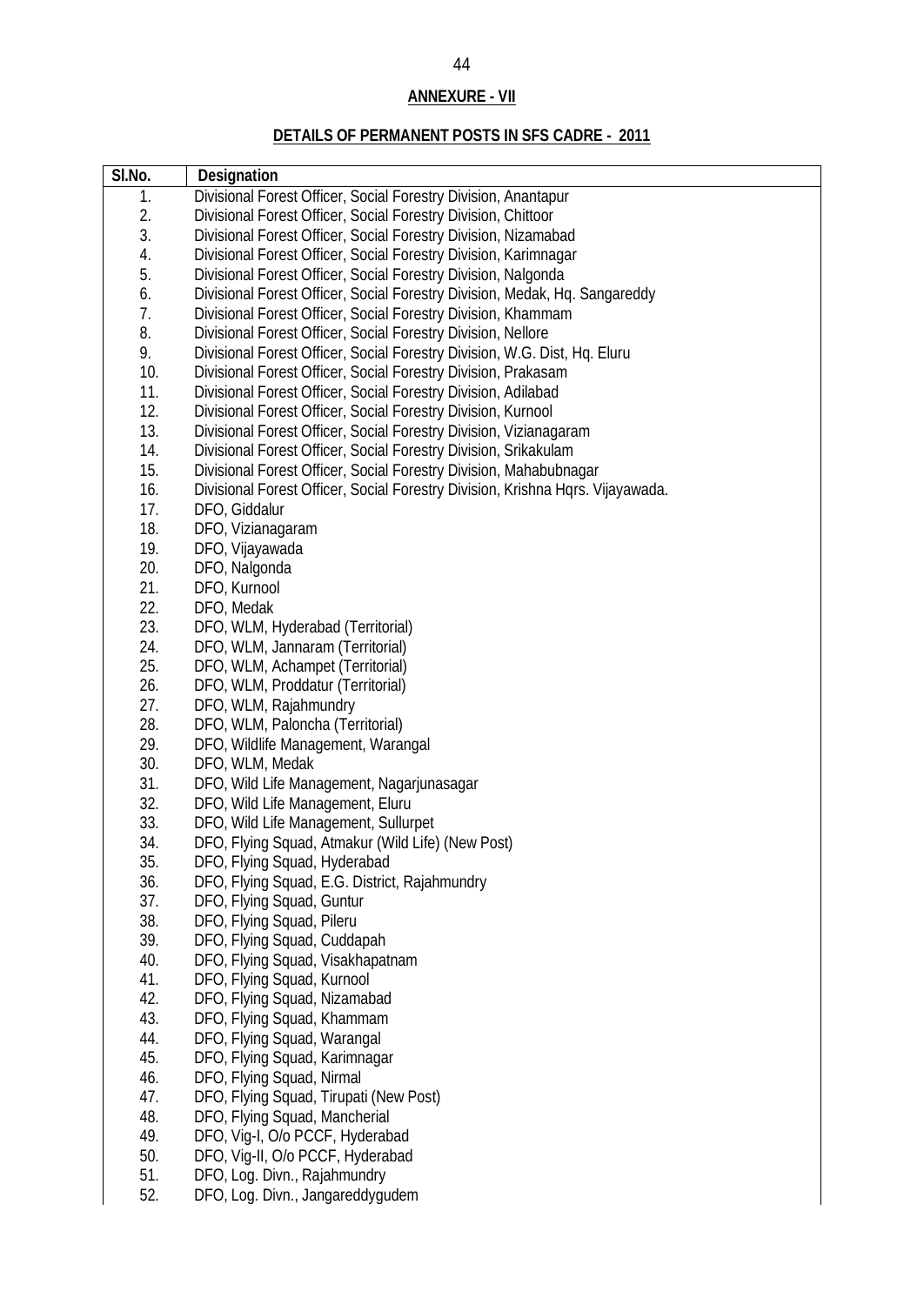# **ANNEXURE - VII**

# **DETAILS OF PERMANENT POSTS IN SFS CADRE - 2011**

| SI.No. | <b>Designation</b>                                                             |
|--------|--------------------------------------------------------------------------------|
| 1.     | Divisional Forest Officer, Social Forestry Division, Anantapur                 |
| 2.     | Divisional Forest Officer, Social Forestry Division, Chittoor                  |
| 3.     | Divisional Forest Officer, Social Forestry Division, Nizamabad                 |
| 4.     | Divisional Forest Officer, Social Forestry Division, Karimnagar                |
| 5.     | Divisional Forest Officer, Social Forestry Division, Nalgonda                  |
| 6.     | Divisional Forest Officer, Social Forestry Division, Medak, Hq. Sangareddy     |
| 7.     | Divisional Forest Officer, Social Forestry Division, Khammam                   |
| 8.     | Divisional Forest Officer, Social Forestry Division, Nellore                   |
| 9.     | Divisional Forest Officer, Social Forestry Division, W.G. Dist, Hq. Eluru      |
| 10.    | Divisional Forest Officer, Social Forestry Division, Prakasam                  |
| 11.    | Divisional Forest Officer, Social Forestry Division, Adilabad                  |
| 12.    | Divisional Forest Officer, Social Forestry Division, Kurnool                   |
| 13.    | Divisional Forest Officer, Social Forestry Division, Vizianagaram              |
| 14.    | Divisional Forest Officer, Social Forestry Division, Srikakulam                |
| 15.    | Divisional Forest Officer, Social Forestry Division, Mahabubnagar              |
| 16.    | Divisional Forest Officer, Social Forestry Division, Krishna Hqrs. Vijayawada. |
| 17.    | DFO, Giddalur                                                                  |
| 18.    | DFO, Vizianagaram                                                              |
| 19.    | DFO, Vijayawada                                                                |
| 20.    | DFO, Nalgonda                                                                  |
| 21.    | DFO, Kurnool                                                                   |
| 22.    | DFO, Medak                                                                     |
| 23.    | DFO, WLM, Hyderabad (Territorial)                                              |
| 24.    | DFO, WLM, Jannaram (Territorial)                                               |
| 25.    | DFO, WLM, Achampet (Territorial)                                               |
| 26.    | DFO, WLM, Proddatur (Territorial)                                              |
| 27.    | DFO, WLM, Rajahmundry                                                          |
| 28.    | DFO, WLM, Paloncha (Territorial)                                               |
| 29.    | DFO, Wildlife Management, Warangal                                             |
| 30.    | DFO, WLM, Medak                                                                |
| 31.    | DFO, Wild Life Management, Nagarjunasagar                                      |
| 32.    | DFO, Wild Life Management, Eluru                                               |
| 33.    | DFO, Wild Life Management, Sullurpet                                           |
| 34.    | DFO, Flying Squad, Atmakur (Wild Life) (New Post)                              |
| 35.    | DFO, Flying Squad, Hyderabad                                                   |
| 36.    | DFO, Flying Squad, E.G. District, Rajahmundry                                  |
| 37.    | DFO, Flying Squad, Guntur                                                      |
| 38.    | DFO, Flying Squad, Pileru                                                      |
| 39.    | DFO, Flying Squad, Cuddapah                                                    |
| 40.    | DFO, Flying Squad, Visakhapatnam                                               |
| 41.    | DFO, Flying Squad, Kurnool                                                     |
| 42.    | DFO, Flying Squad, Nizamabad                                                   |
| 43.    | DFO, Flying Squad, Khammam                                                     |
| 44.    | DFO, Flying Squad, Warangal                                                    |
| 45.    | DFO, Flying Squad, Karimnagar                                                  |
| 46.    | DFO, Flying Squad, Nirmal                                                      |
| 47.    | DFO, Flying Squad, Tirupati (New Post)                                         |
| 48.    | DFO, Flying Squad, Mancherial                                                  |
| 49.    | DFO, Vig-I, O/o PCCF, Hyderabad                                                |
| 50.    | DFO, Vig-II, O/o PCCF, Hyderabad                                               |
| 51.    | DFO, Log. Divn., Rajahmundry                                                   |
| 52.    | DFO, Log. Divn., Jangareddygudem                                               |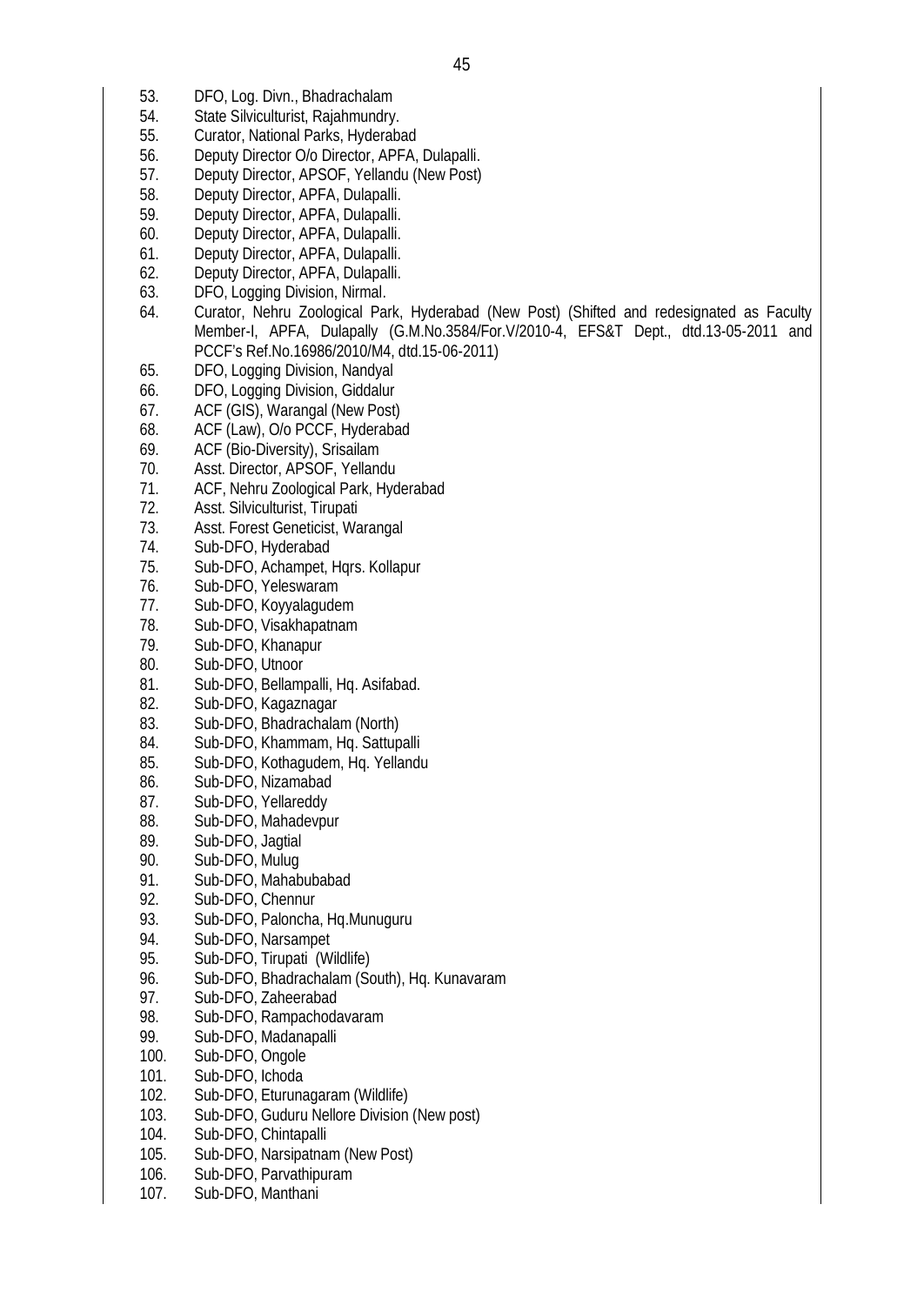- 53. DFO, Log. Divn., Bhadrachalam
- 54. State Silviculturist, Rajahmundry.
- 55. Curator, National Parks, Hyderabad
- 56. Deputy Director O/o Director, APFA, Dulapalli.
- 57. Deputy Director, APSOF, Yellandu (New Post)
- 58. Deputy Director, APFA, Dulapalli.
- 59. Deputy Director, APFA, Dulapalli.
- 60. Deputy Director, APFA, Dulapalli.
- 61. Deputy Director, APFA, Dulapalli.
- 62. Deputy Director, APFA, Dulapalli.
- 63. DFO, Logging Division, Nirmal.
- 64. Curator, Nehru Zoological Park, Hyderabad (New Post) (Shifted and redesignated as Faculty Member-I, APFA, Dulapally (G.M.No.3584/For.V/2010-4, EFS&T Dept., dtd.13-05-2011 and PCCF's Ref.No.16986/2010/M4, dtd.15-06-2011)
- 65. DFO, Logging Division, Nandyal
- 66. DFO, Logging Division, Giddalur
- 67. ACF (GIS), Warangal (New Post)
- 68. ACF (Law), O/o PCCF, Hyderabad
- 69. ACF (Bio-Diversity), Srisailam
- 70. Asst. Director, APSOF, Yellandu
- 71. ACF, Nehru Zoological Park, Hyderabad
- 72. Asst. Silviculturist, Tirupati
- 73. Asst. Forest Geneticist, Warangal
- 74. Sub-DFO, Hyderabad
- 75. Sub-DFO, Achampet, Hqrs. Kollapur
- 76. Sub-DFO, Yeleswaram
- 77. Sub-DFO, Koyyalagudem
- 78. Sub-DFO, Visakhapatnam
- 79. Sub-DFO, Khanapur
- Sub-DFO, Utnoor
- 81. Sub-DFO, Bellampalli, Hq. Asifabad.
- 82. Sub-DFO, Kagaznagar
- 83. Sub-DFO, Bhadrachalam (North)
- 84. Sub-DFO, Khammam, Hq. Sattupalli
- 85. Sub-DFO, Kothagudem, Hq. Yellandu
- 86. Sub-DFO, Nizamabad
- 87. Sub-DFO, Yellareddy
- 88. Sub-DFO, Mahadevpur
- 89. Sub-DFO, Jagtial
- 90. Sub-DFO, Mulug
- 91. Sub-DFO, Mahabubabad<br>92. Sub-DFO, Chennur
- Sub-DFO, Chennur
- 93. Sub-DFO, Paloncha, Hq.Munuguru
- 94. Sub-DFO, Narsampet
- 95. Sub-DFO, Tirupati (Wildlife)
- 96. Sub-DFO, Bhadrachalam (South), Hq. Kunavaram
- 97. Sub-DFO, Zaheerabad
- 98. Sub-DFO, Rampachodavaram
- 99. Sub-DFO, Madanapalli
- 100. Sub-DFO, Ongole
- 101. Sub-DFO, Ichoda
- 102. Sub-DFO, Eturunagaram (Wildlife)
- 103. Sub-DFO, Guduru Nellore Division (New post)<br>104. Sub-DFO. Chintapalli
- Sub-DFO, Chintapalli
- 105. Sub-DFO, Narsipatnam (New Post)
- 106. Sub-DFO, Parvathipuram
- 107. Sub-DFO, Manthani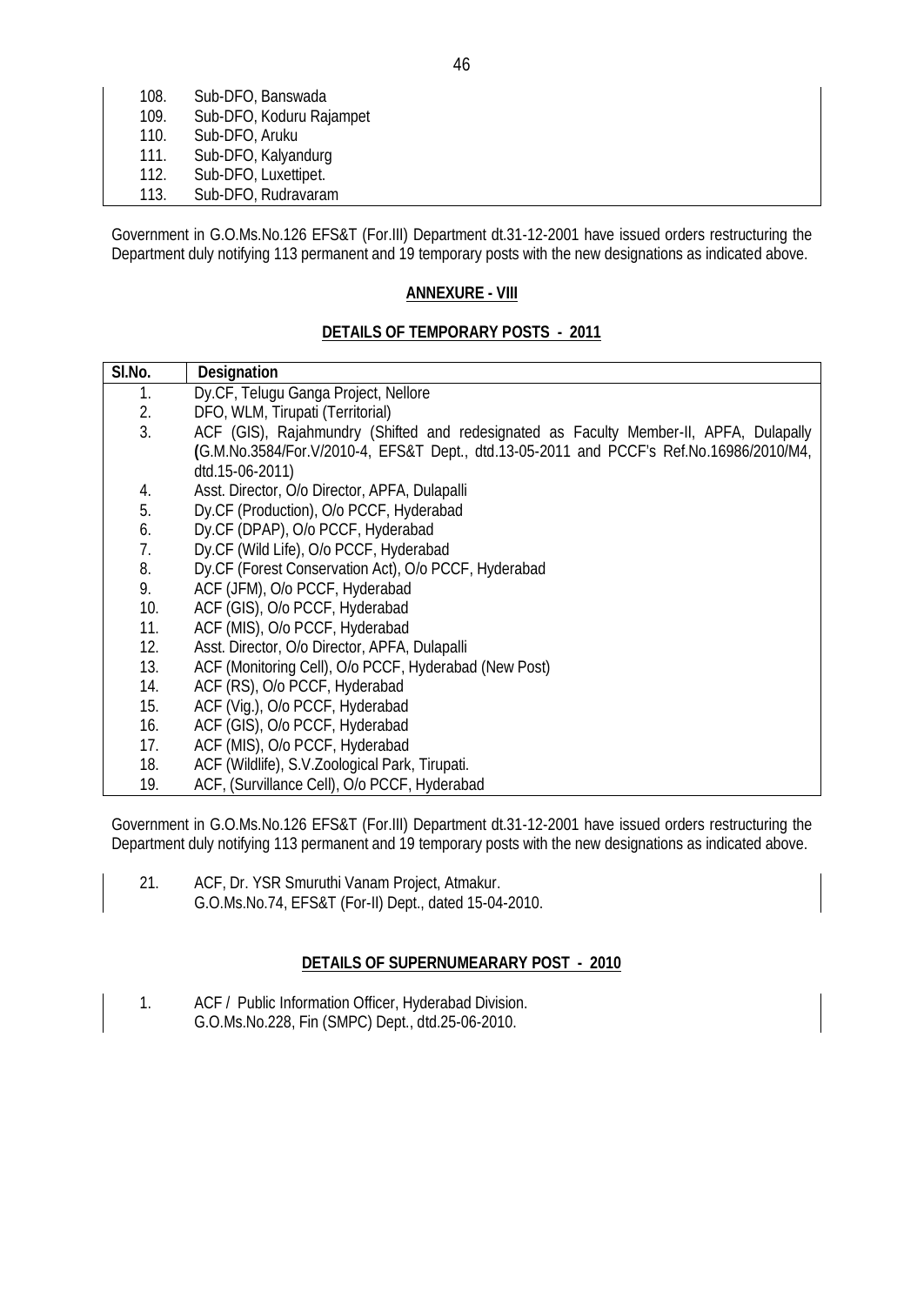| 108. | Sub-DFO, Banswada        |
|------|--------------------------|
| 109. | Sub-DFO, Koduru Rajampet |
| 110. | Sub-DFO, Aruku           |
| 111. | Sub-DFO, Kalyandurg      |
| 112. | Sub-DFO, Luxettipet.     |
| 113. | Sub-DFO, Rudravaram      |

Government in G.O.Ms.No.126 EFS&T (For.III) Department dt.31-12-2001 have issued orders restructuring the Department duly notifying 113 permanent and 19 temporary posts with the new designations as indicated above.

#### **ANNEXURE - VIII**

## **DETAILS OF TEMPORARY POSTS - 2011**

| SI.No. | <b>Designation</b>                                                                      |  |
|--------|-----------------------------------------------------------------------------------------|--|
| 1.     | Dy.CF, Telugu Ganga Project, Nellore                                                    |  |
| 2.     | DFO, WLM, Tirupati (Territorial)                                                        |  |
| 3.     | ACF (GIS), Rajahmundry (Shifted and redesignated as Faculty Member-II, APFA, Dulapally  |  |
|        | (G.M.No.3584/For.V/2010-4, EFS&T Dept., dtd.13-05-2011 and PCCF's Ref.No.16986/2010/M4, |  |
|        | dtd.15-06-2011)                                                                         |  |
| 4.     | Asst. Director, O/o Director, APFA, Dulapalli                                           |  |
| 5.     | Dy.CF (Production), O/o PCCF, Hyderabad                                                 |  |
| 6.     | Dy.CF (DPAP), O/o PCCF, Hyderabad                                                       |  |
| 7.     | Dy.CF (Wild Life), O/o PCCF, Hyderabad                                                  |  |
| 8.     | Dy.CF (Forest Conservation Act), O/o PCCF, Hyderabad                                    |  |
| 9.     | ACF (JFM), O/o PCCF, Hyderabad                                                          |  |
| 10.    | ACF (GIS), O/o PCCF, Hyderabad                                                          |  |
| 11.    | ACF (MIS), O/o PCCF, Hyderabad                                                          |  |
| 12.    | Asst. Director, O/o Director, APFA, Dulapalli                                           |  |
| 13.    | ACF (Monitoring Cell), O/o PCCF, Hyderabad (New Post)                                   |  |
| 14.    | ACF (RS), O/o PCCF, Hyderabad                                                           |  |
| 15.    | ACF (Vig.), O/o PCCF, Hyderabad                                                         |  |
| 16.    | ACF (GIS), O/o PCCF, Hyderabad                                                          |  |
| 17.    | ACF (MIS), O/o PCCF, Hyderabad                                                          |  |
| 18.    | ACF (Wildlife), S.V.Zoological Park, Tirupati.                                          |  |
| 19.    | ACF, (Survillance Cell), O/o PCCF, Hyderabad                                            |  |

Government in G.O.Ms.No.126 EFS&T (For.III) Department dt.31-12-2001 have issued orders restructuring the Department duly notifying 113 permanent and 19 temporary posts with the new designations as indicated above.

21. ACF, Dr. YSR Smuruthi Vanam Project, Atmakur. G.O.Ms.No.74, EFS&T (For-II) Dept., dated 15-04-2010.

#### **DETAILS OF SUPERNUMEARARY POST - 2010**

1. ACF / Public Information Officer, Hyderabad Division. G.O.Ms.No.228, Fin (SMPC) Dept., dtd.25-06-2010.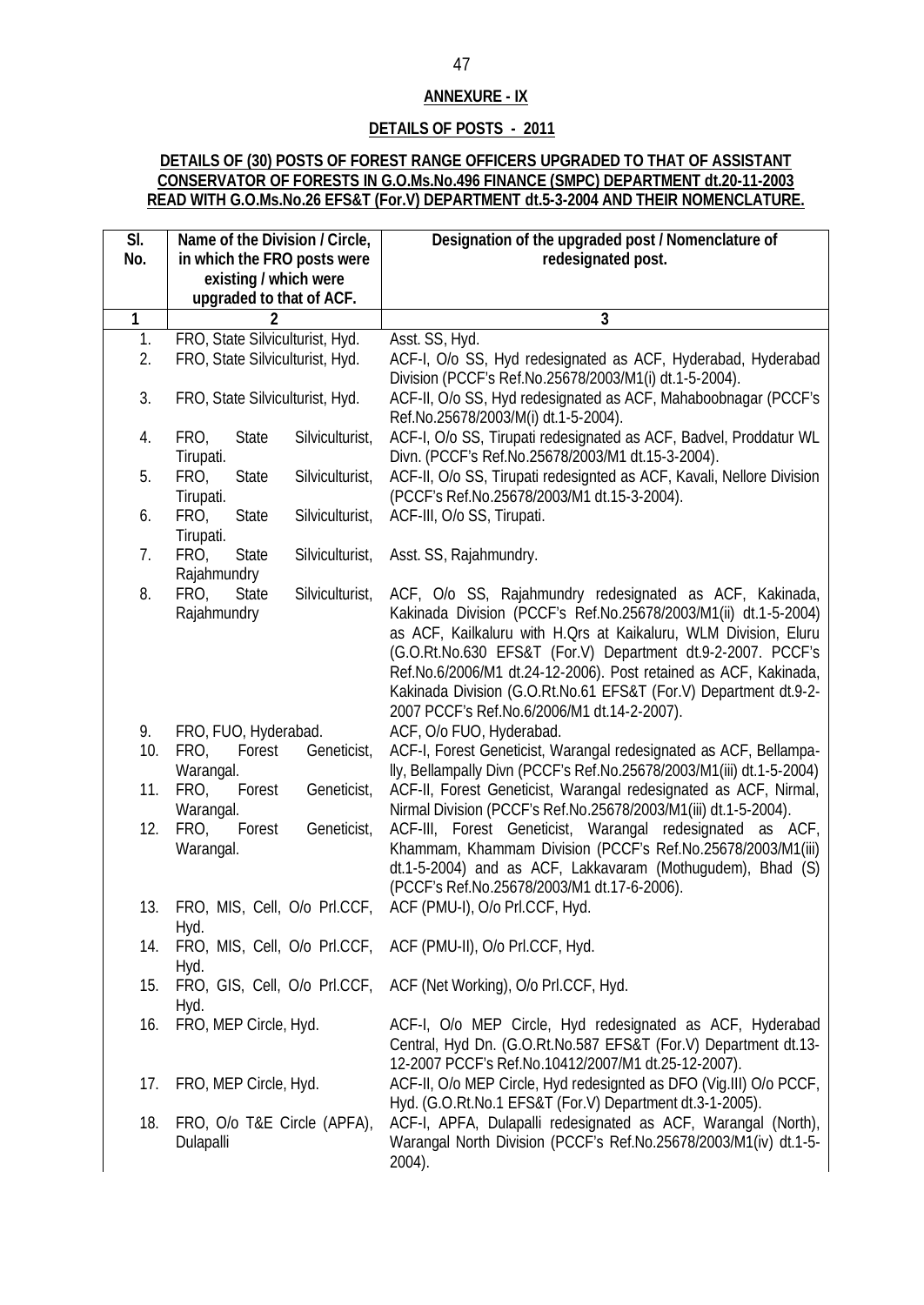## **ANNEXURE - IX**

## **DETAILS OF POSTS - 2011**

#### **DETAILS OF (30) POSTS OF FOREST RANGE OFFICERS UPGRADED TO THAT OF ASSISTANT CONSERVATOR OF FORESTS IN G.O.Ms.No.496 FINANCE (SMPC) DEPARTMENT dt.20-11-2003 READ WITH G.O.Ms.No.26 EFS&T (For.V) DEPARTMENT dt.5-3-2004 AND THEIR NOMENCLATURE.**

| $\overline{\mathsf{SI}}$ . | Name of the Division / Circle,                         | Designation of the upgraded post / Nomenclature of                                                                                                                                                                                                                                                                                                                                                    |
|----------------------------|--------------------------------------------------------|-------------------------------------------------------------------------------------------------------------------------------------------------------------------------------------------------------------------------------------------------------------------------------------------------------------------------------------------------------------------------------------------------------|
| No.                        | in which the FRO posts were                            | redesignated post.                                                                                                                                                                                                                                                                                                                                                                                    |
|                            | existing / which were                                  |                                                                                                                                                                                                                                                                                                                                                                                                       |
|                            | upgraded to that of ACF.                               |                                                                                                                                                                                                                                                                                                                                                                                                       |
| $\overline{1}$             |                                                        | 3                                                                                                                                                                                                                                                                                                                                                                                                     |
| 1.                         | FRO, State Silviculturist, Hyd.                        | Asst. SS, Hyd.                                                                                                                                                                                                                                                                                                                                                                                        |
| 2.                         | FRO, State Silviculturist, Hyd.                        | ACF-I, O/o SS, Hyd redesignated as ACF, Hyderabad, Hyderabad                                                                                                                                                                                                                                                                                                                                          |
|                            |                                                        | Division (PCCF's Ref.No.25678/2003/M1(i) dt.1-5-2004).                                                                                                                                                                                                                                                                                                                                                |
| 3.                         | FRO, State Silviculturist, Hyd.                        | ACF-II, O/o SS, Hyd redesignated as ACF, Mahaboobnagar (PCCF's<br>Ref.No.25678/2003/M(i) dt.1-5-2004).                                                                                                                                                                                                                                                                                                |
| 4.                         | Silviculturist,<br>FRO,<br><b>State</b><br>Tirupati.   | ACF-I, O/o SS, Tirupati redesignated as ACF, Badvel, Proddatur WL<br>Divn. (PCCF's Ref.No.25678/2003/M1 dt.15-3-2004).                                                                                                                                                                                                                                                                                |
| 5.                         | FRO,<br>State<br>Silviculturist,<br>Tirupati.          | ACF-II, O/o SS, Tirupati redesignted as ACF, Kavali, Nellore Division<br>(PCCF's Ref.No.25678/2003/M1 dt.15-3-2004).                                                                                                                                                                                                                                                                                  |
| 6.                         | FRO,<br><b>State</b><br>Silviculturist,<br>Tirupati.   | ACF-III, O/o SS, Tirupati.                                                                                                                                                                                                                                                                                                                                                                            |
| 7.                         | FRO,<br><b>State</b><br>Silviculturist,<br>Rajahmundry | Asst. SS, Rajahmundry.                                                                                                                                                                                                                                                                                                                                                                                |
| 8.                         | Silviculturist,<br>FRO,<br><b>State</b><br>Rajahmundry | ACF, O/o SS, Rajahmundry redesignated as ACF, Kakinada,<br>Kakinada Division (PCCF's Ref.No.25678/2003/M1(ii) dt.1-5-2004)<br>as ACF, Kailkaluru with H. Qrs at Kaikaluru, WLM Division, Eluru<br>(G.O.Rt.No.630 EFS&T (For.V) Department dt.9-2-2007. PCCF's<br>Ref.No.6/2006/M1 dt.24-12-2006). Post retained as ACF, Kakinada,<br>Kakinada Division (G.O.Rt.No.61 EFS&T (For.V) Department dt.9-2- |
|                            |                                                        | 2007 PCCF's Ref.No.6/2006/M1 dt.14-2-2007).                                                                                                                                                                                                                                                                                                                                                           |
| 9.                         | FRO, FUO, Hyderabad.                                   | ACF, O/o FUO, Hyderabad.                                                                                                                                                                                                                                                                                                                                                                              |
| 10.                        | FRO,<br>Forest<br>Geneticist,<br>Warangal.             | ACF-I, Forest Geneticist, Warangal redesignated as ACF, Bellampa-<br>lly, Bellampally Divn (PCCF's Ref.No.25678/2003/M1(iii) dt.1-5-2004)                                                                                                                                                                                                                                                             |
| 11.                        | Geneticist,<br>FRO,<br>Forest<br>Warangal.             | ACF-II, Forest Geneticist, Warangal redesignated as ACF, Nirmal,<br>Nirmal Division (PCCF's Ref.No.25678/2003/M1(iii) dt.1-5-2004).                                                                                                                                                                                                                                                                   |
| 12.                        | FRO,<br>Forest<br>Geneticist,<br>Warangal.             | ACF-III, Forest Geneticist, Warangal redesignated as ACF,<br>Khammam, Khammam Division (PCCF's Ref.No.25678/2003/M1(iii)<br>dt.1-5-2004) and as ACF, Lakkavaram (Mothugudem), Bhad (S)<br>(PCCF's Ref.No.25678/2003/M1 dt.17-6-2006).                                                                                                                                                                 |
| 13.                        | FRO, MIS, Cell, O/o PrI.CCF,<br>Hyd.                   | ACF (PMU-I), O/o PrI.CCF, Hyd.                                                                                                                                                                                                                                                                                                                                                                        |
| 14.                        | Hyd.                                                   | FRO, MIS, Cell, O/o PrI.CCF, ACF (PMU-II), O/o PrI.CCF, Hyd.                                                                                                                                                                                                                                                                                                                                          |
| 15.                        | Hyd.                                                   | FRO, GIS, Cell, O/o PrI.CCF, ACF (Net Working), O/o PrI.CCF, Hyd.                                                                                                                                                                                                                                                                                                                                     |
| 16.                        | FRO, MEP Circle, Hyd.                                  | ACF-I, O/o MEP Circle, Hyd redesignated as ACF, Hyderabad<br>Central, Hyd Dn. (G.O.Rt.No.587 EFS&T (For.V) Department dt.13-<br>12-2007 PCCF's Ref.No.10412/2007/M1 dt.25-12-2007).                                                                                                                                                                                                                   |
| 17.                        | FRO, MEP Circle, Hyd.                                  | ACF-II, O/o MEP Circle, Hyd redesignted as DFO (Vig.III) O/o PCCF,<br>Hyd. (G.O.Rt.No.1 EFS&T (For.V) Department dt.3-1-2005).                                                                                                                                                                                                                                                                        |
| 18.                        | FRO, O/o T&E Circle (APFA),<br>Dulapalli               | ACF-I, APFA, Dulapalli redesignated as ACF, Warangal (North),<br>Warangal North Division (PCCF's Ref.No.25678/2003/M1(iv) dt.1-5-<br>2004).                                                                                                                                                                                                                                                           |